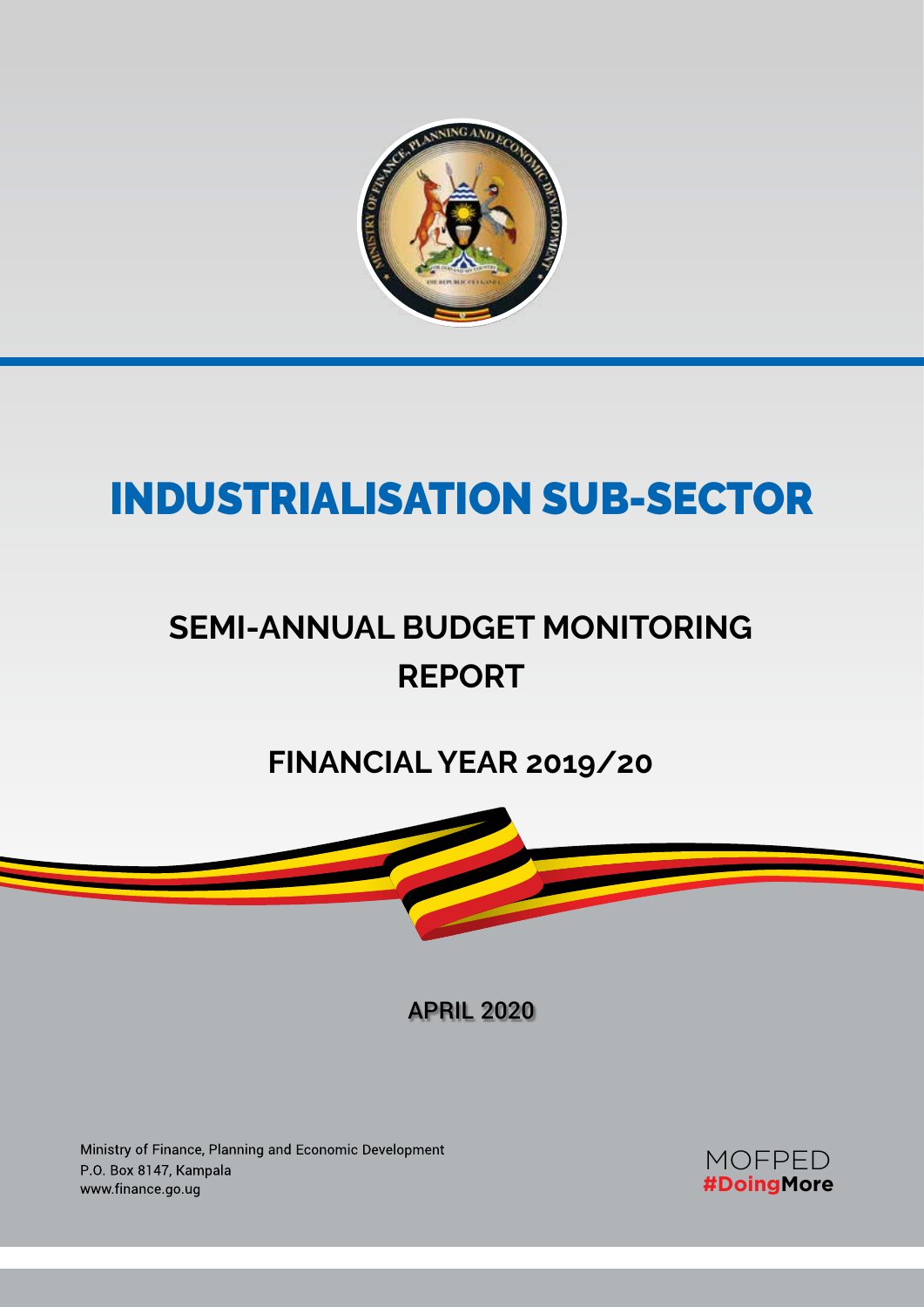

# IndustrialiSation Sub-Sector

# **SEMI-ANNUAL BUDGET MONITORING REPORT**

## **FINANCIAL YEAR 2019/20**



APRIL 2020

**Industrialisation Sub-Sector: Semi-Annual Budget Monitoring Report - FY 2019/20** A

Ministry of Finance, Planning and Economic Development P.O. Box 8147, Kampala www.finance.go.ug

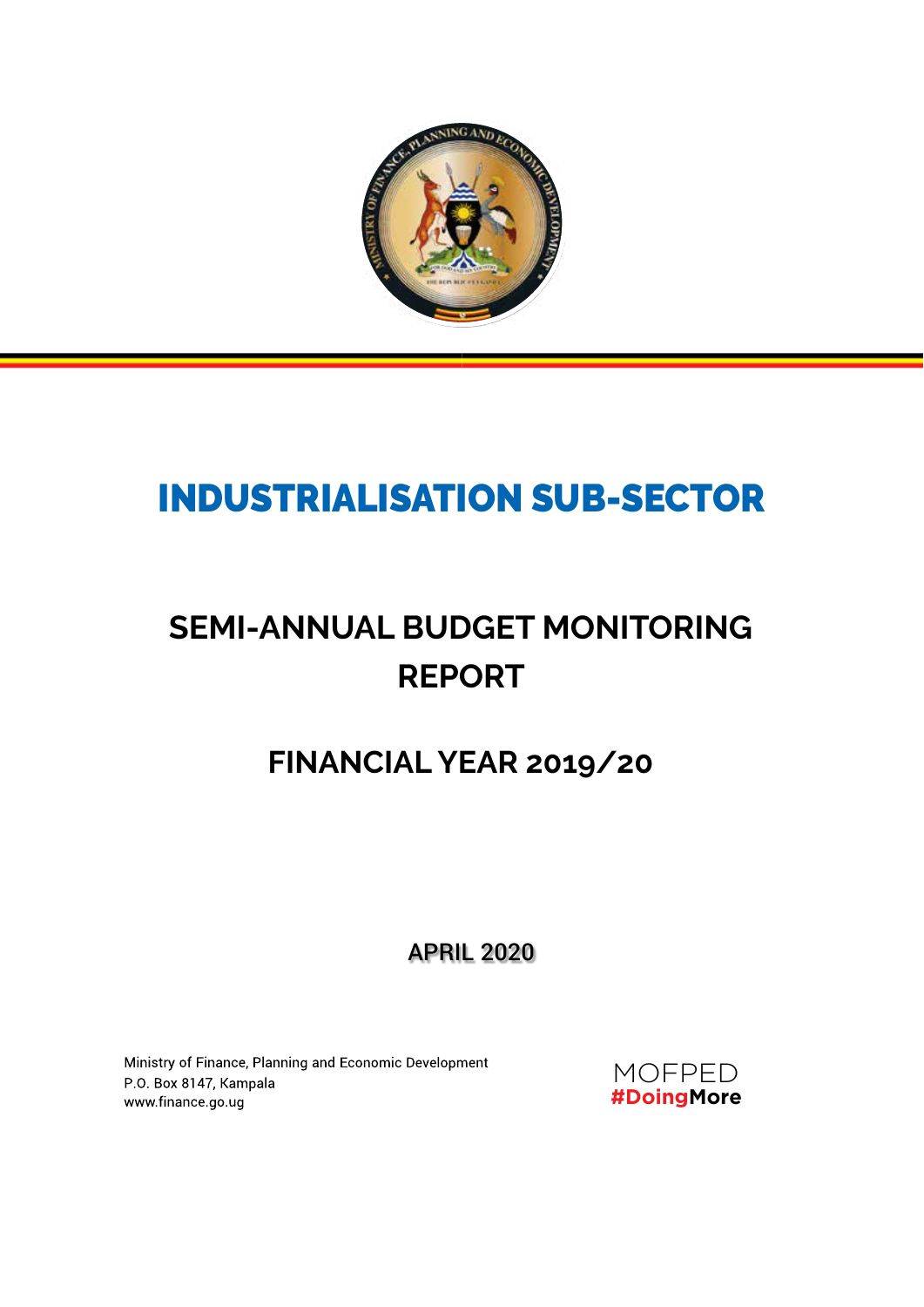

# IndustrialiSation Sub-Sector

# **SEMI-ANNUAL BUDGET MONITORING REPORT**

## **FINANCIAL YEAR 2019/20**

APRIL 2020

Ministry of Finance, Planning and Economic Development P.O. Box 8147, Kampala www.finance.go.ug

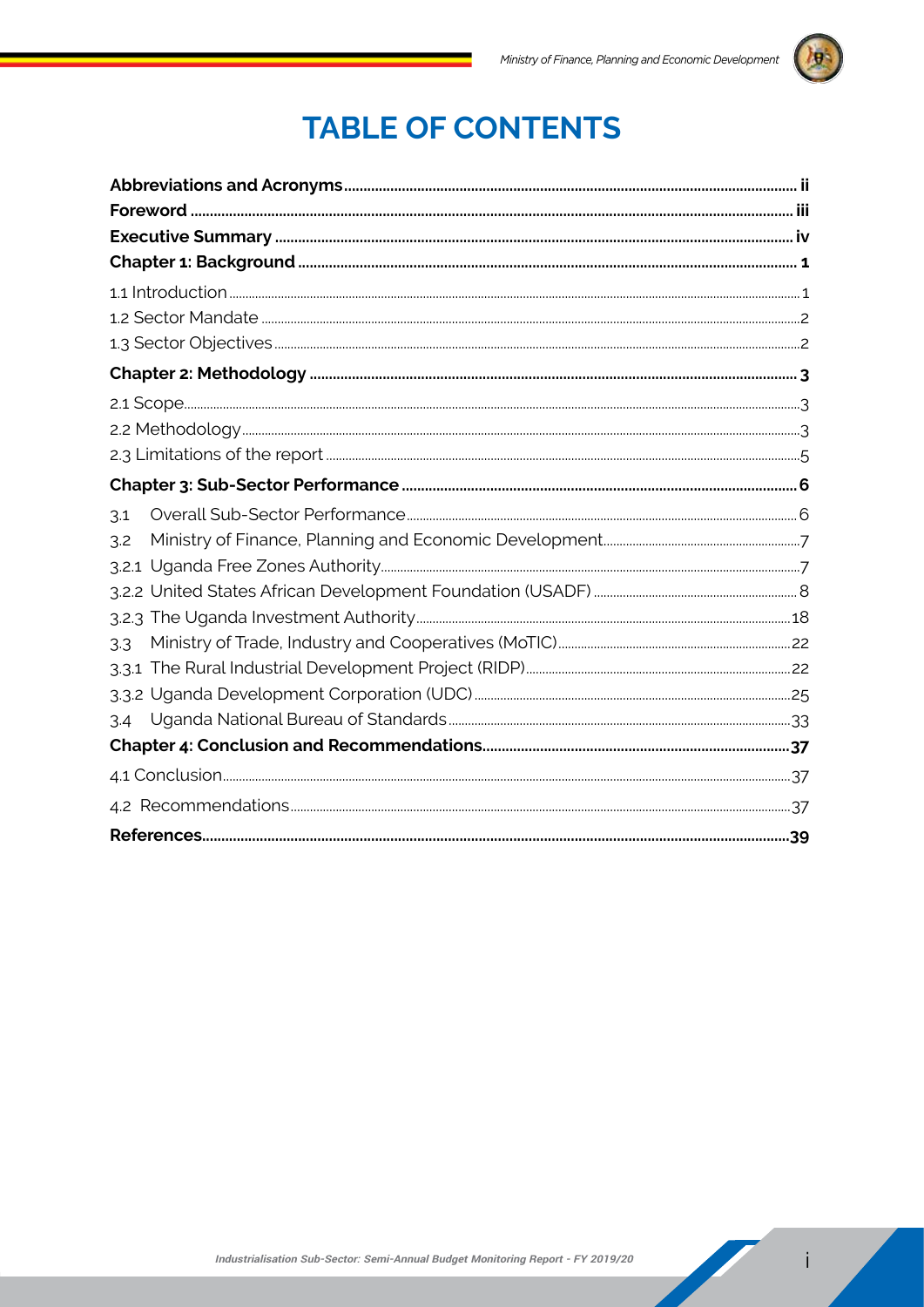

## **TABLE OF CONTENTS**

| 3.1 |
|-----|
| 3.2 |
|     |
|     |
|     |
| 3.3 |
|     |
|     |
| 3.4 |
|     |
|     |
|     |
|     |

**Contract Contract Contract Contract Contract Contract Contract Contract Contract Contract Contract Contract Contract Contract Contract Contract Contract Contract Contract Contract Contract Contract Contract Contract Contr** 

 $\mathbf{i}$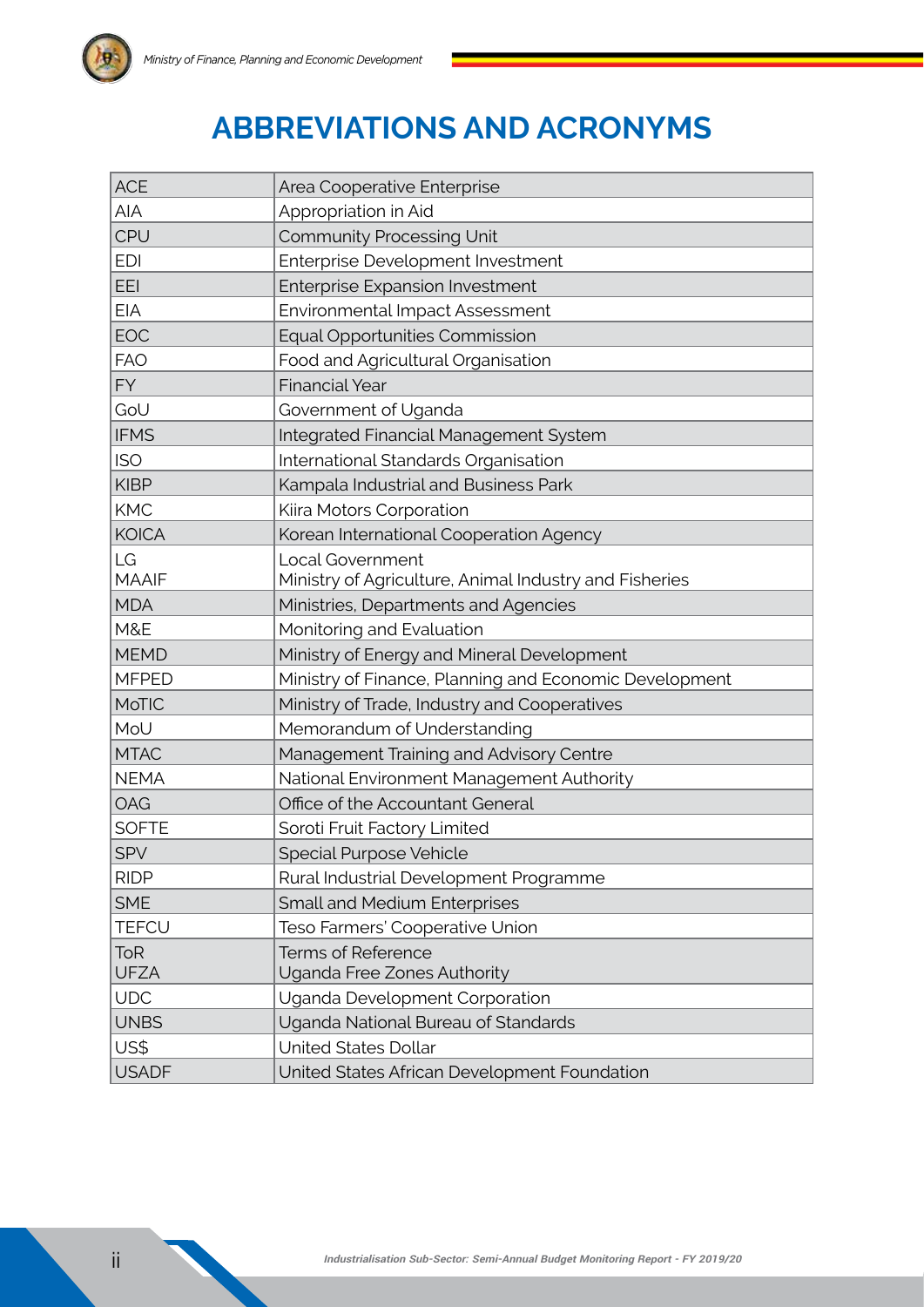## **Abbreviations and Acronyms**

| <b>ACE</b>   | Area Cooperative Enterprise                            |
|--------------|--------------------------------------------------------|
| <b>AIA</b>   | Appropriation in Aid                                   |
| CPU          | <b>Community Processing Unit</b>                       |
| <b>EDI</b>   | Enterprise Development Investment                      |
| <b>EEI</b>   | <b>Enterprise Expansion Investment</b>                 |
| <b>EIA</b>   | Environmental Impact Assessment                        |
| <b>EOC</b>   | <b>Equal Opportunities Commission</b>                  |
| <b>FAO</b>   | Food and Agricultural Organisation                     |
| <b>FY</b>    | <b>Financial Year</b>                                  |
| GoU          | Government of Uganda                                   |
| <b>IFMS</b>  | Integrated Financial Management System                 |
| <b>ISO</b>   | International Standards Organisation                   |
| <b>KIBP</b>  | Kampala Industrial and Business Park                   |
| <b>KMC</b>   | Kiira Motors Corporation                               |
| <b>KOICA</b> | Korean International Cooperation Agency                |
| LG           | <b>Local Government</b>                                |
| <b>MAAIF</b> | Ministry of Agriculture, Animal Industry and Fisheries |
| <b>MDA</b>   | Ministries, Departments and Agencies                   |
| M&E          | Monitoring and Evaluation                              |
| <b>MEMD</b>  | Ministry of Energy and Mineral Development             |
| <b>MFPED</b> | Ministry of Finance, Planning and Economic Development |
| <b>MoTIC</b> | Ministry of Trade, Industry and Cooperatives           |
| MoU          | Memorandum of Understanding                            |
| <b>MTAC</b>  | Management Training and Advisory Centre                |
| <b>NEMA</b>  | National Environment Management Authority              |
| <b>OAG</b>   | Office of the Accountant General                       |
| <b>SOFTE</b> | Soroti Fruit Factory Limited                           |
| <b>SPV</b>   | <b>Special Purpose Vehicle</b>                         |
| RIDP         | Rural Industrial Development Programme                 |
| <b>SME</b>   | <b>Small and Medium Enterprises</b>                    |
| <b>TEFCU</b> | Teso Farmers' Cooperative Union                        |
| <b>ToR</b>   | <b>Terms of Reference</b>                              |
| UFZA         | Uganda Free Zones Authority                            |
| <b>UDC</b>   | Uganda Development Corporation                         |
| <b>UNBS</b>  | Uganda National Bureau of Standards                    |
| US\$         | <b>United States Dollar</b>                            |
| <b>USADF</b> | United States African Development Foundation           |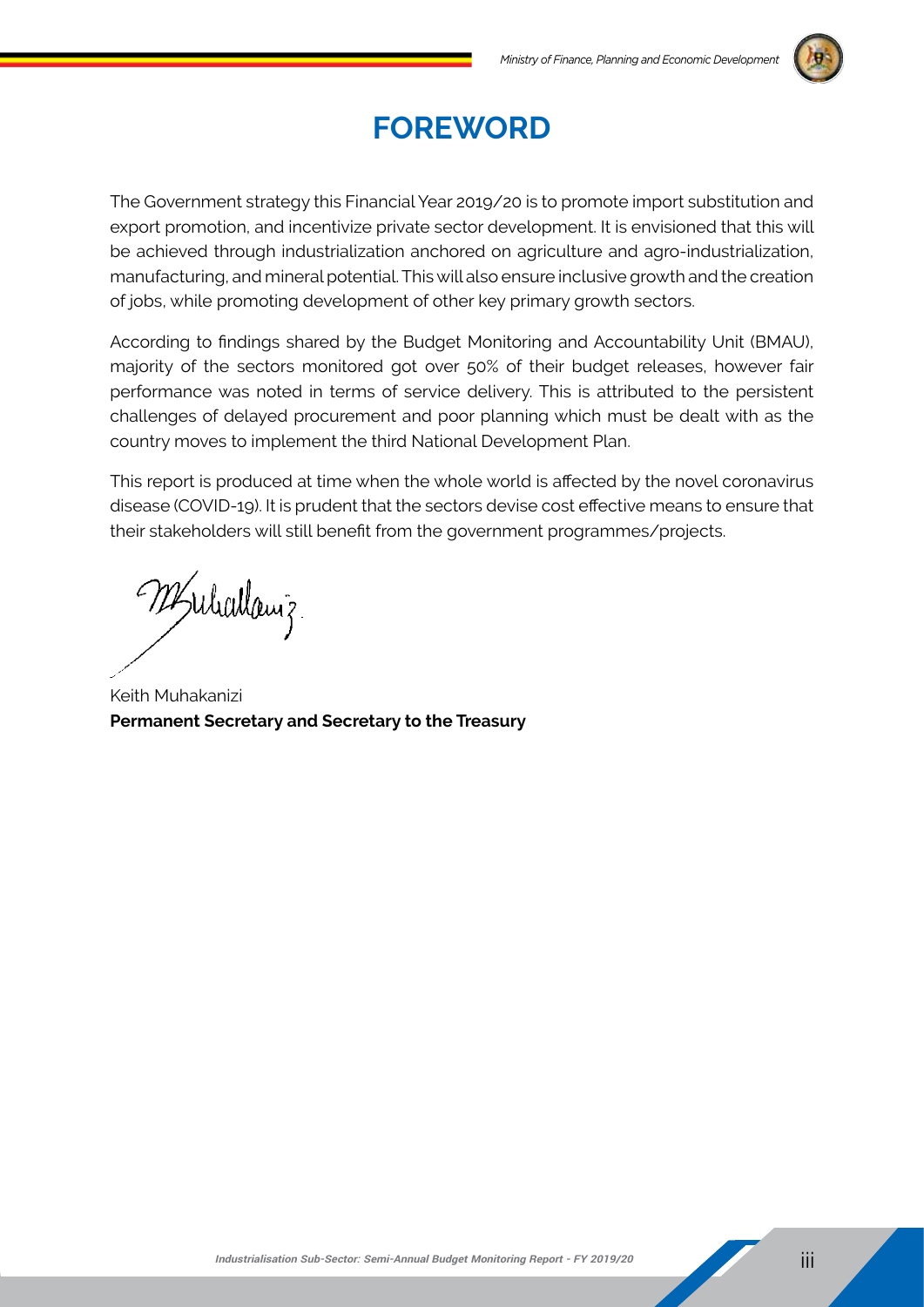

## **Foreword**

The Government strategy this Financial Year 2019/20 is to promote import substitution and export promotion, and incentivize private sector development. It is envisioned that this will be achieved through industrialization anchored on agriculture and agro-industrialization, manufacturing, and mineral potential. This will also ensure inclusive growth and the creation of jobs, while promoting development of other key primary growth sectors.

According to findings shared by the Budget Monitoring and Accountability Unit (BMAU), majority of the sectors monitored got over 50% of their budget releases, however fair performance was noted in terms of service delivery. This is attributed to the persistent challenges of delayed procurement and poor planning which must be dealt with as the country moves to implement the third National Development Plan.

This report is produced at time when the whole world is affected by the novel coronavirus disease (COVID-19). It is prudent that the sectors devise cost effective means to ensure that their stakeholders will still benefit from the government programmes/projects.

Zuballaniz.

Keith Muhakanizi **Permanent Secretary and Secretary to the Treasury**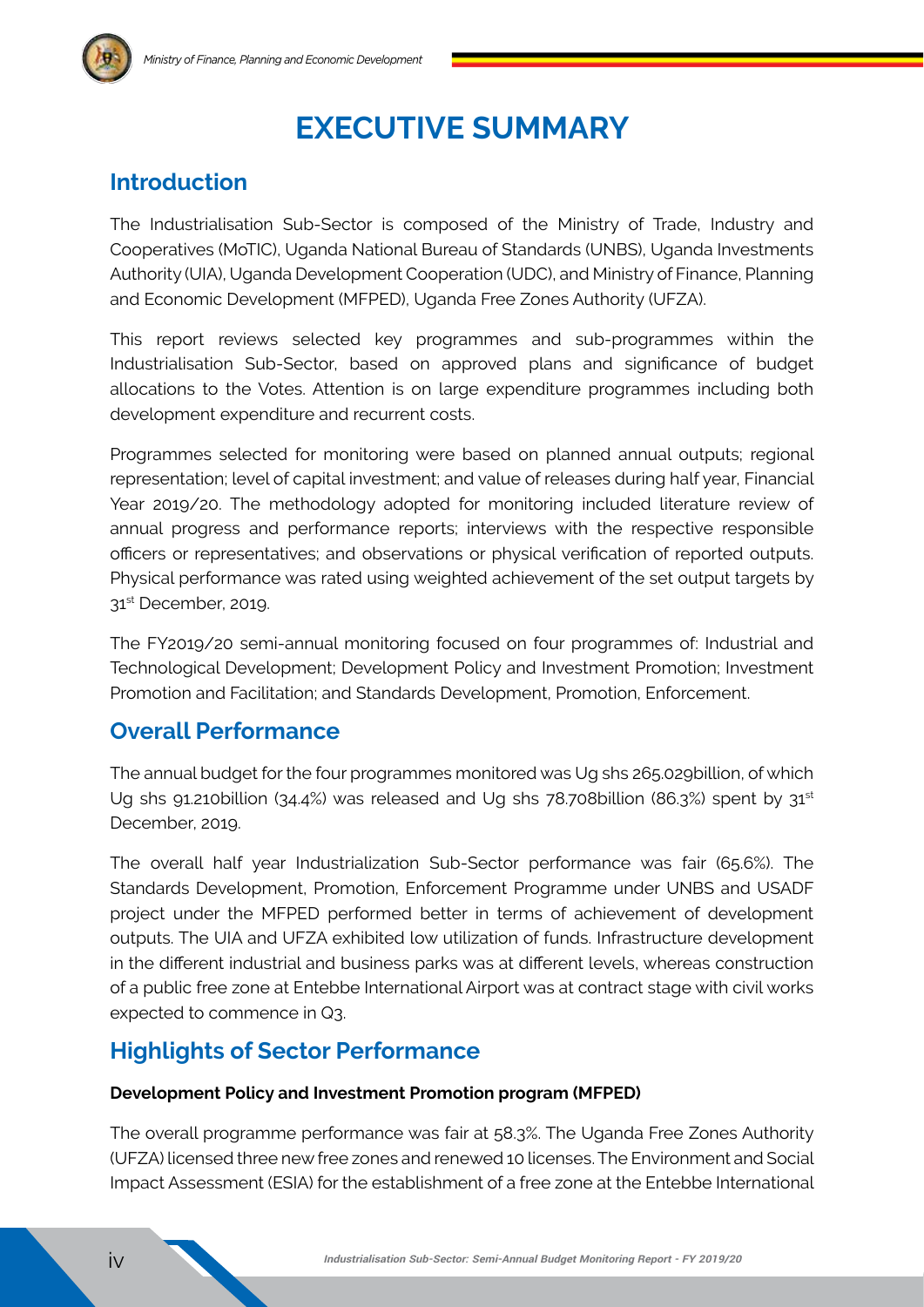

## **Executive Summary**

## **Introduction**

The Industrialisation Sub-Sector is composed of the Ministry of Trade, Industry and Cooperatives (MoTIC), Uganda National Bureau of Standards (UNBS), Uganda Investments Authority (UIA), Uganda Development Cooperation (UDC), and Ministry of Finance, Planning and Economic Development (MFPED), Uganda Free Zones Authority (UFZA).

This report reviews selected key programmes and sub-programmes within the Industrialisation Sub-Sector, based on approved plans and significance of budget allocations to the Votes. Attention is on large expenditure programmes including both development expenditure and recurrent costs.

Programmes selected for monitoring were based on planned annual outputs; regional representation; level of capital investment; and value of releases during half year, Financial Year 2019/20. The methodology adopted for monitoring included literature review of annual progress and performance reports; interviews with the respective responsible officers or representatives; and observations or physical verification of reported outputs. Physical performance was rated using weighted achievement of the set output targets by 31<sup>st</sup> December, 2019.

The FY2019/20 semi-annual monitoring focused on four programmes of: Industrial and Technological Development; Development Policy and Investment Promotion; Investment Promotion and Facilitation; and Standards Development, Promotion, Enforcement.

## **Overall Performance**

The annual budget for the four programmes monitored was Ug shs 265.029billion, of which Ug shs 91.210billion (34.4%) was released and Ug shs 78.708billion (86.3%) spent by  $31^{st}$ December, 2019.

The overall half year Industrialization Sub-Sector performance was fair (65.6%). The Standards Development, Promotion, Enforcement Programme under UNBS and USADF project under the MFPED performed better in terms of achievement of development outputs. The UIA and UFZA exhibited low utilization of funds. Infrastructure development in the different industrial and business parks was at different levels, whereas construction of a public free zone at Entebbe International Airport was at contract stage with civil works expected to commence in Q3.

## **Highlights of Sector Performance**

## **Development Policy and Investment Promotion program (MFPED)**

The overall programme performance was fair at 58.3%. The Uganda Free Zones Authority (UFZA) licensed three new free zones and renewed 10 licenses. The Environment and Social Impact Assessment (ESIA) for the establishment of a free zone at the Entebbe International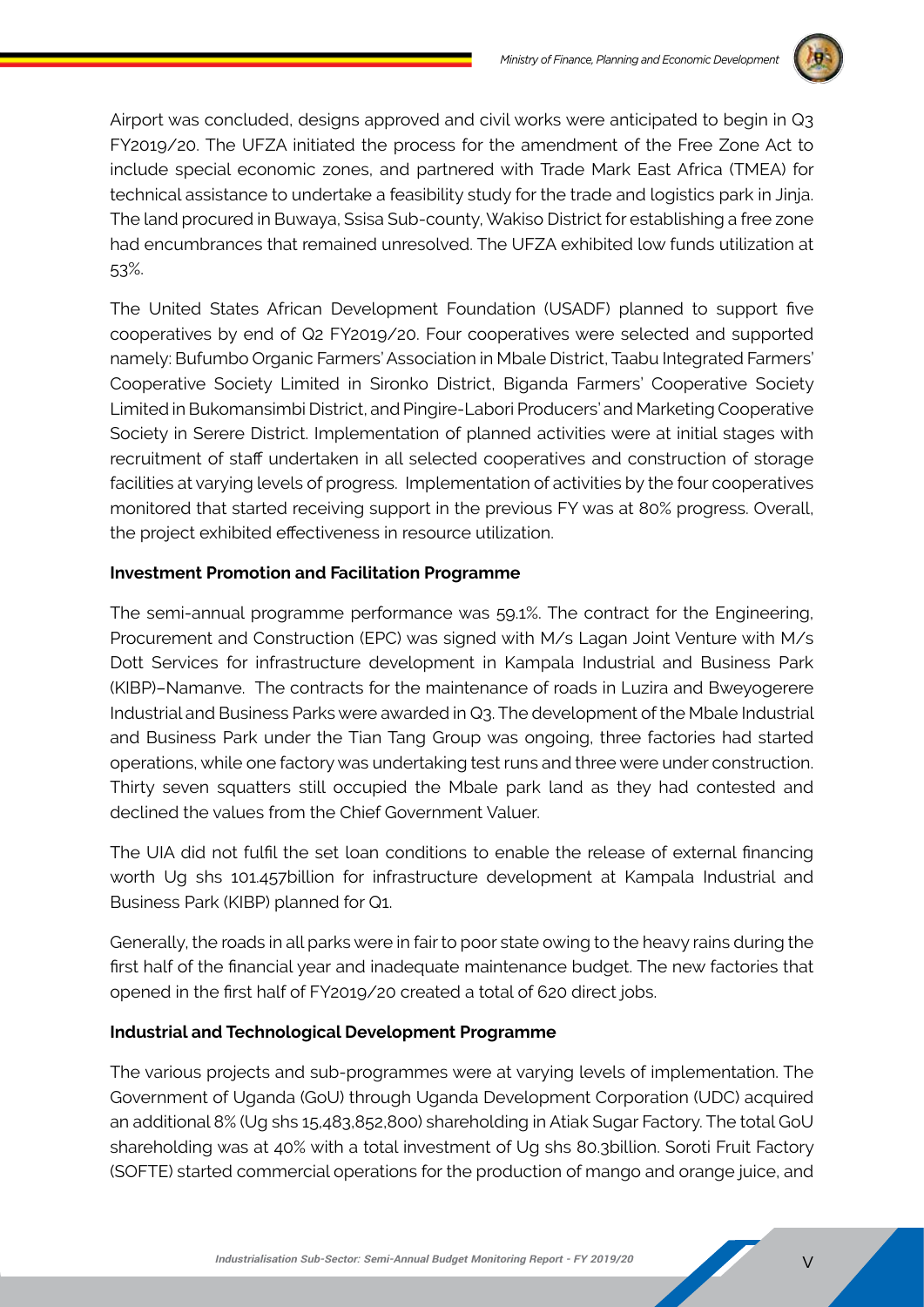

Airport was concluded, designs approved and civil works were anticipated to begin in Q3 FY2019/20. The UFZA initiated the process for the amendment of the Free Zone Act to include special economic zones, and partnered with Trade Mark East Africa (TMEA) for technical assistance to undertake a feasibility study for the trade and logistics park in Jinja. The land procured in Buwaya, Ssisa Sub-county, Wakiso District for establishing a free zone had encumbrances that remained unresolved. The UFZA exhibited low funds utilization at 53%.

The United States African Development Foundation (USADF) planned to support five cooperatives by end of Q2 FY2019/20. Four cooperatives were selected and supported namely: Bufumbo Organic Farmers' Association in Mbale District, Taabu Integrated Farmers' Cooperative Society Limited in Sironko District, Biganda Farmers' Cooperative Society Limited in Bukomansimbi District, and Pingire-Labori Producers' and Marketing Cooperative Society in Serere District. Implementation of planned activities were at initial stages with recruitment of staff undertaken in all selected cooperatives and construction of storage facilities at varying levels of progress. Implementation of activities by the four cooperatives monitored that started receiving support in the previous FY was at 80% progress. Overall, the project exhibited effectiveness in resource utilization.

## **Investment Promotion and Facilitation Programme**

The semi-annual programme performance was 59.1%. The contract for the Engineering, Procurement and Construction (EPC) was signed with M/s Lagan Joint Venture with M/s Dott Services for infrastructure development in Kampala Industrial and Business Park (KIBP)–Namanve. The contracts for the maintenance of roads in Luzira and Bweyogerere Industrial and Business Parks were awarded in Q3. The development of the Mbale Industrial and Business Park under the Tian Tang Group was ongoing, three factories had started operations, while one factory was undertaking test runs and three were under construction. Thirty seven squatters still occupied the Mbale park land as they had contested and declined the values from the Chief Government Valuer.

The UIA did not fulfil the set loan conditions to enable the release of external financing worth Ug shs 101.457billion for infrastructure development at Kampala Industrial and Business Park (KIBP) planned for Q1.

Generally, the roads in all parks were in fair to poor state owing to the heavy rains during the first half of the financial year and inadequate maintenance budget. The new factories that opened in the first half of FY2019/20 created a total of 620 direct jobs.

## **Industrial and Technological Development Programme**

The various projects and sub-programmes were at varying levels of implementation. The Government of Uganda (GoU) through Uganda Development Corporation (UDC) acquired an additional 8% (Ug shs 15,483,852,800) shareholding in Atiak Sugar Factory. The total GoU shareholding was at 40% with a total investment of Ug shs 80.3billion. Soroti Fruit Factory (SOFTE) started commercial operations for the production of mango and orange juice, and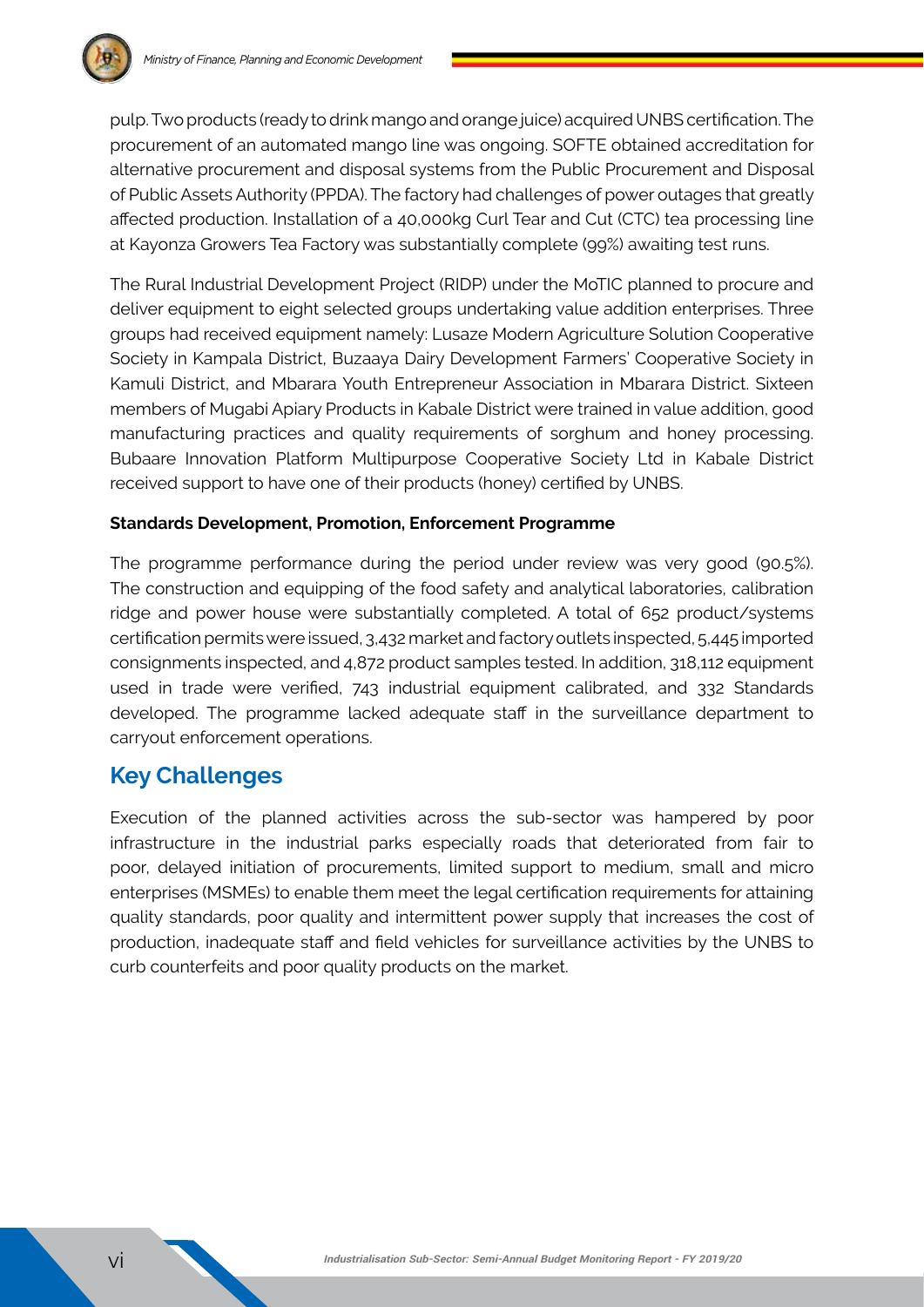

pulp. Two products (ready to drink mango and orange juice) acquired UNBS certification. The procurement of an automated mango line was ongoing. SOFTE obtained accreditation for alternative procurement and disposal systems from the Public Procurement and Disposal of Public Assets Authority (PPDA). The factory had challenges of power outages that greatly affected production. Installation of a 40,000kg Curl Tear and Cut (CTC) tea processing line at Kayonza Growers Tea Factory was substantially complete (99%) awaiting test runs.

The Rural Industrial Development Project (RIDP) under the MoTIC planned to procure and deliver equipment to eight selected groups undertaking value addition enterprises. Three groups had received equipment namely: Lusaze Modern Agriculture Solution Cooperative Society in Kampala District, Buzaaya Dairy Development Farmers' Cooperative Society in Kamuli District, and Mbarara Youth Entrepreneur Association in Mbarara District. Sixteen members of Mugabi Apiary Products in Kabale District were trained in value addition, good manufacturing practices and quality requirements of sorghum and honey processing. Bubaare Innovation Platform Multipurpose Cooperative Society Ltd in Kabale District received support to have one of their products (honey) certified by UNBS.

### **Standards Development, Promotion, Enforcement Programme**

The programme performance during the period under review was very good (90.5%). The construction and equipping of the food safety and analytical laboratories, calibration ridge and power house were substantially completed. A total of 652 product/systems certification permits were issued, 3,432 market and factory outlets inspected, 5,445 imported consignments inspected, and 4,872 product samples tested. In addition, 318,112 equipment used in trade were verified, 743 industrial equipment calibrated, and 332 Standards developed. The programme lacked adequate staff in the surveillance department to carryout enforcement operations.

## **Key Challenges**

Execution of the planned activities across the sub-sector was hampered by poor infrastructure in the industrial parks especially roads that deteriorated from fair to poor, delayed initiation of procurements, limited support to medium, small and micro enterprises (MSMEs) to enable them meet the legal certification requirements for attaining quality standards, poor quality and intermittent power supply that increases the cost of production, inadequate staff and field vehicles for surveillance activities by the UNBS to curb counterfeits and poor quality products on the market.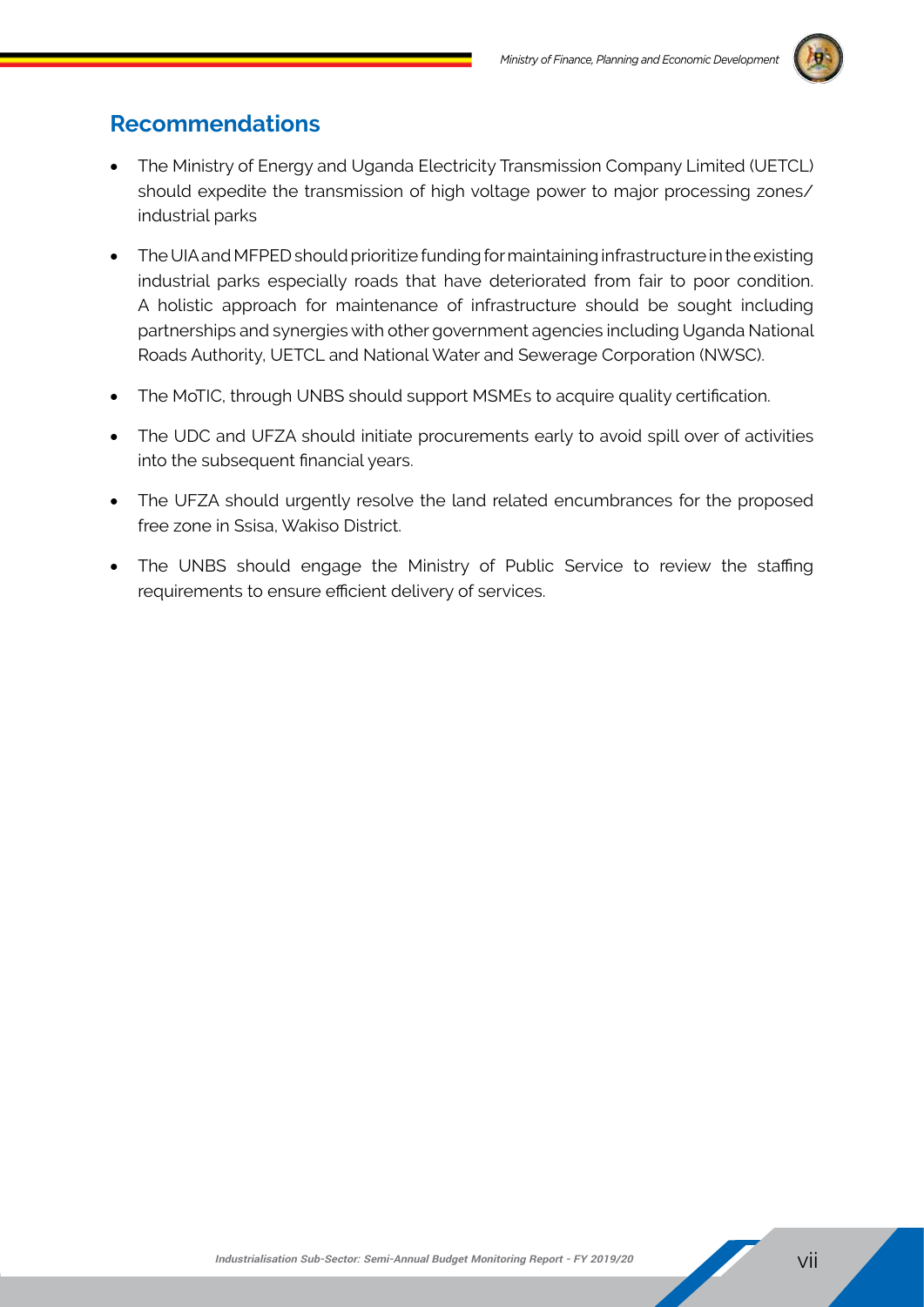

## **Recommendations**

- The Ministry of Energy and Uganda Electricity Transmission Company Limited (UETCL) should expedite the transmission of high voltage power to major processing zones/ industrial parks
- The UIA and MFPED should prioritize funding for maintaining infrastructure in the existing industrial parks especially roads that have deteriorated from fair to poor condition. A holistic approach for maintenance of infrastructure should be sought including partnerships and synergies with other government agencies including Uganda National Roads Authority, UETCL and National Water and Sewerage Corporation (NWSC).
- The MoTIC, through UNBS should support MSMEs to acquire quality certification.
- The UDC and UFZA should initiate procurements early to avoid spill over of activities into the subsequent financial years.
- The UFZA should urgently resolve the land related encumbrances for the proposed free zone in Ssisa, Wakiso District.
- The UNBS should engage the Ministry of Public Service to review the staffing requirements to ensure efficient delivery of services.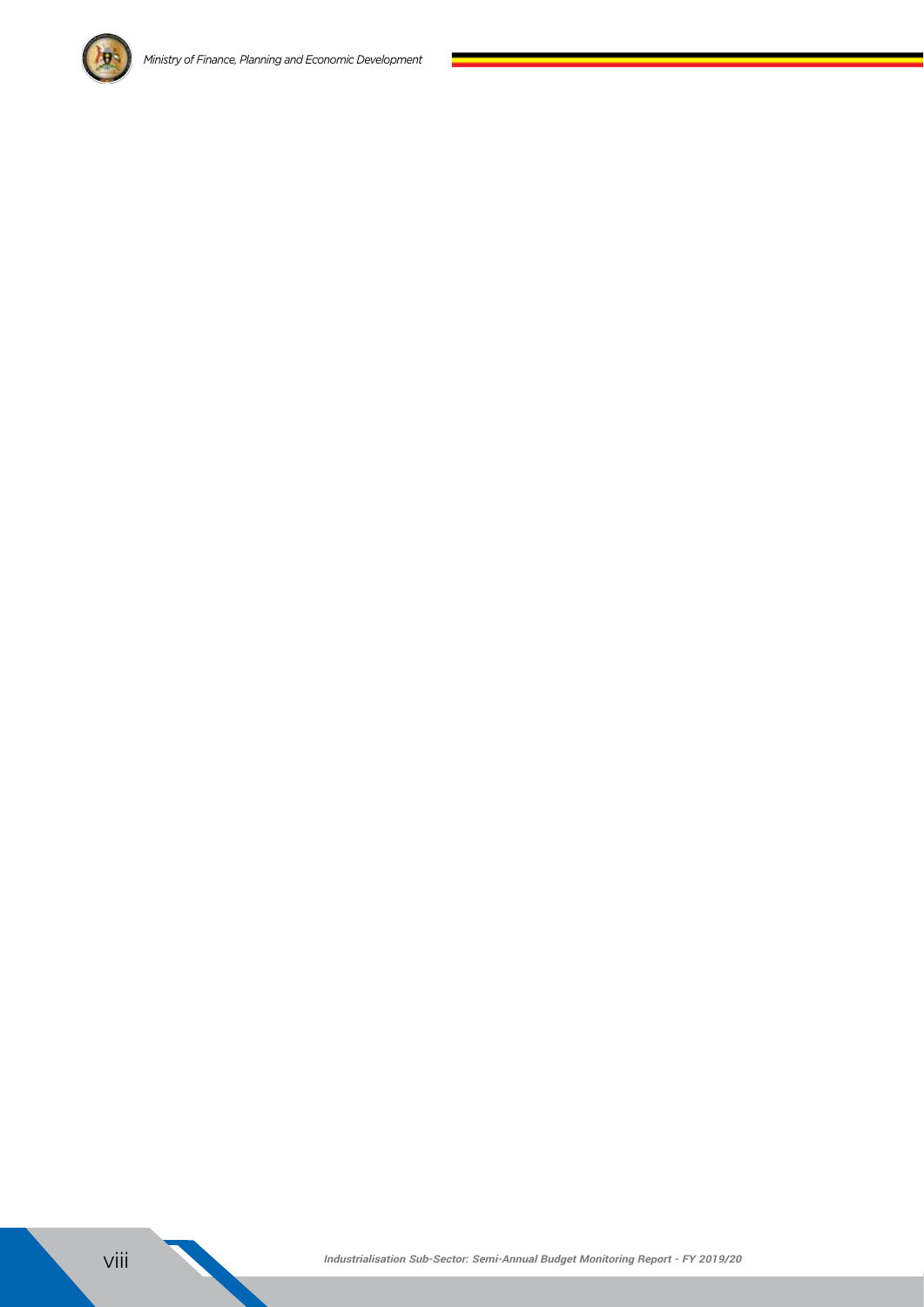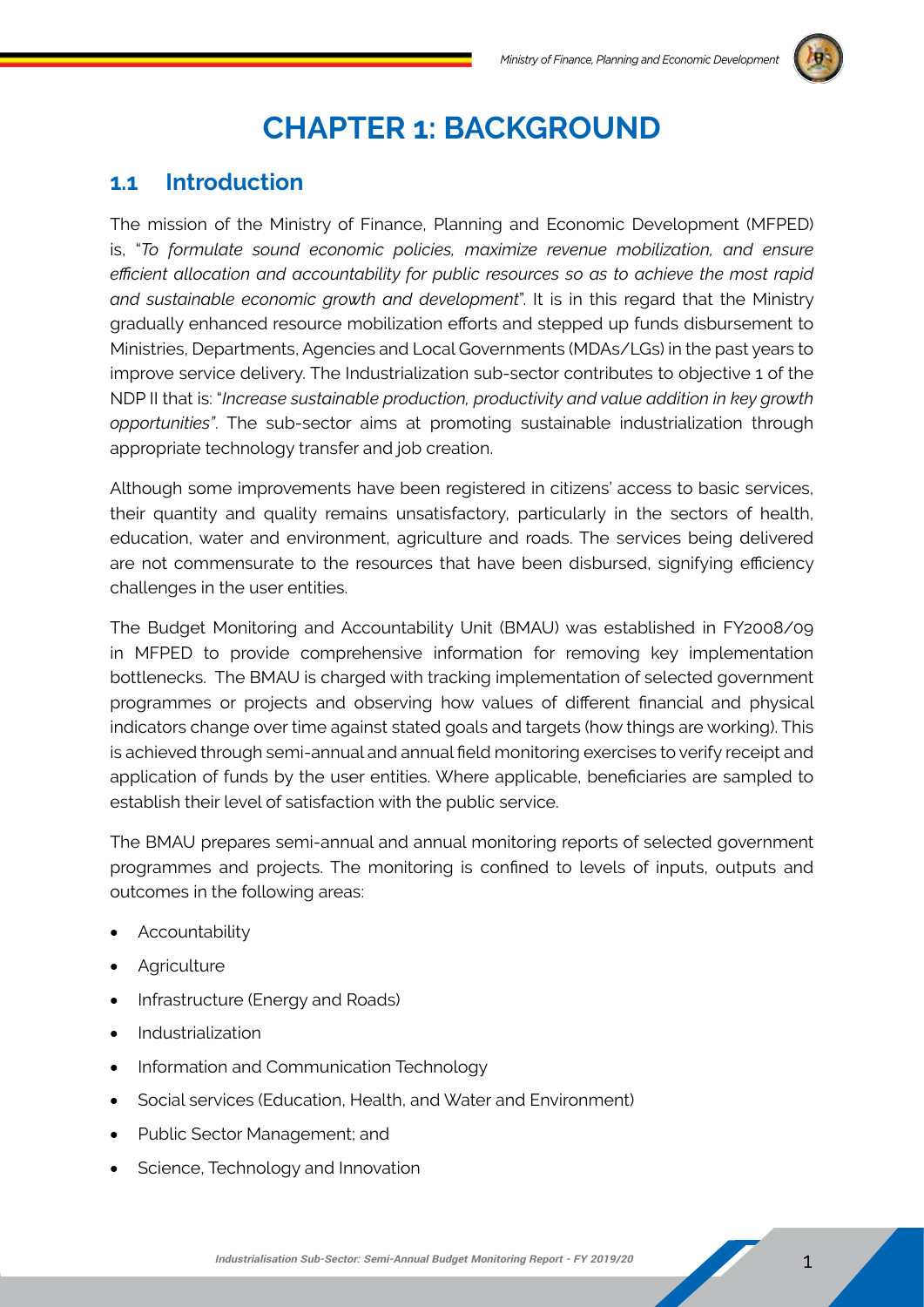

## **Chapter 1: BACKGROUND**

## **1.1 Introduction**

The mission of the Ministry of Finance, Planning and Economic Development (MFPED) is, "*To formulate sound economic policies, maximize revenue mobilization, and ensure efficient allocation and accountability for public resources so as to achieve the most rapid and sustainable economic growth and development*". It is in this regard that the Ministry gradually enhanced resource mobilization efforts and stepped up funds disbursement to Ministries, Departments, Agencies and Local Governments (MDAs/LGs) in the past years to improve service delivery. The Industrialization sub-sector contributes to objective 1 of the NDP II that is: "*Increase sustainable production, productivity and value addition in key growth opportunities"*. The sub-sector aims at promoting sustainable industrialization through appropriate technology transfer and job creation.

Although some improvements have been registered in citizens' access to basic services, their quantity and quality remains unsatisfactory, particularly in the sectors of health, education, water and environment, agriculture and roads. The services being delivered are not commensurate to the resources that have been disbursed, signifying efficiency challenges in the user entities.

The Budget Monitoring and Accountability Unit (BMAU) was established in FY2008/09 in MFPED to provide comprehensive information for removing key implementation bottlenecks. The BMAU is charged with tracking implementation of selected government programmes or projects and observing how values of different financial and physical indicators change over time against stated goals and targets (how things are working). This is achieved through semi-annual and annual field monitoring exercises to verify receipt and application of funds by the user entities. Where applicable, beneficiaries are sampled to establish their level of satisfaction with the public service.

The BMAU prepares semi-annual and annual monitoring reports of selected government programmes and projects. The monitoring is confined to levels of inputs, outputs and outcomes in the following areas:

- **Accountability**
- **Agriculture**
- Infrastructure (Energy and Roads)
- **Industrialization**
- Information and Communication Technology
- Social services (Education, Health, and Water and Environment)
- Public Sector Management; and
- Science, Technology and Innovation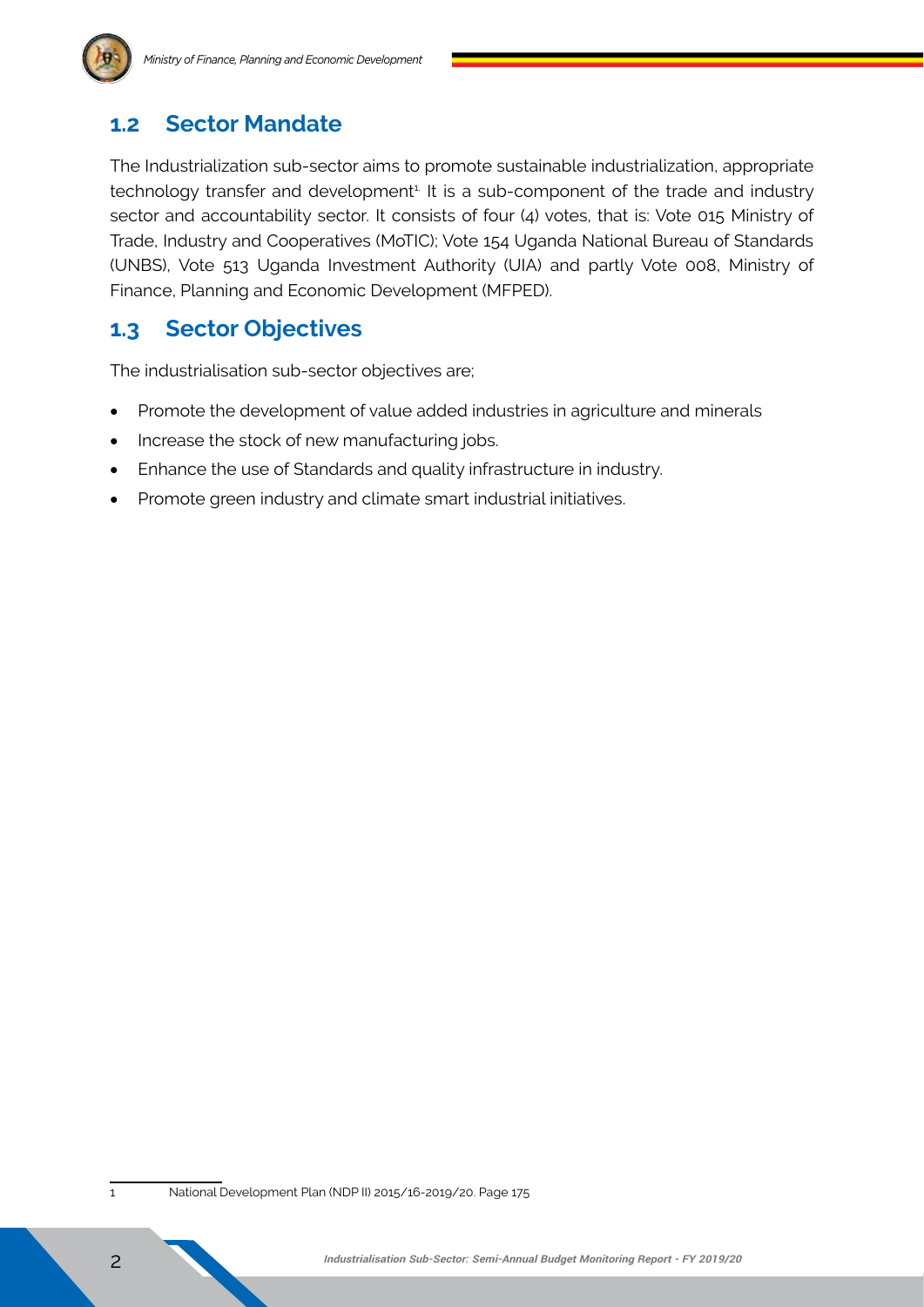## **1.2 Sector Mandate**

The Industrialization sub-sector aims to promote sustainable industrialization, appropriate technology transfer and development<sup>1</sup>. It is a sub-component of the trade and industry sector and accountability sector. It consists of four (4) votes, that is: Vote 015 Ministry of Trade, Industry and Cooperatives (MoTIC); Vote 154 Uganda National Bureau of Standards (UNBS), Vote 513 Uganda Investment Authority (UIA) and partly Vote 008, Ministry of Finance, Planning and Economic Development (MFPED).

## **1.3 Sector Objectives**

The industrialisation sub-sector objectives are;

- Promote the development of value added industries in agriculture and minerals
- Increase the stock of new manufacturing jobs.
- Enhance the use of Standards and quality infrastructure in industry.
- Promote green industry and climate smart industrial initiatives.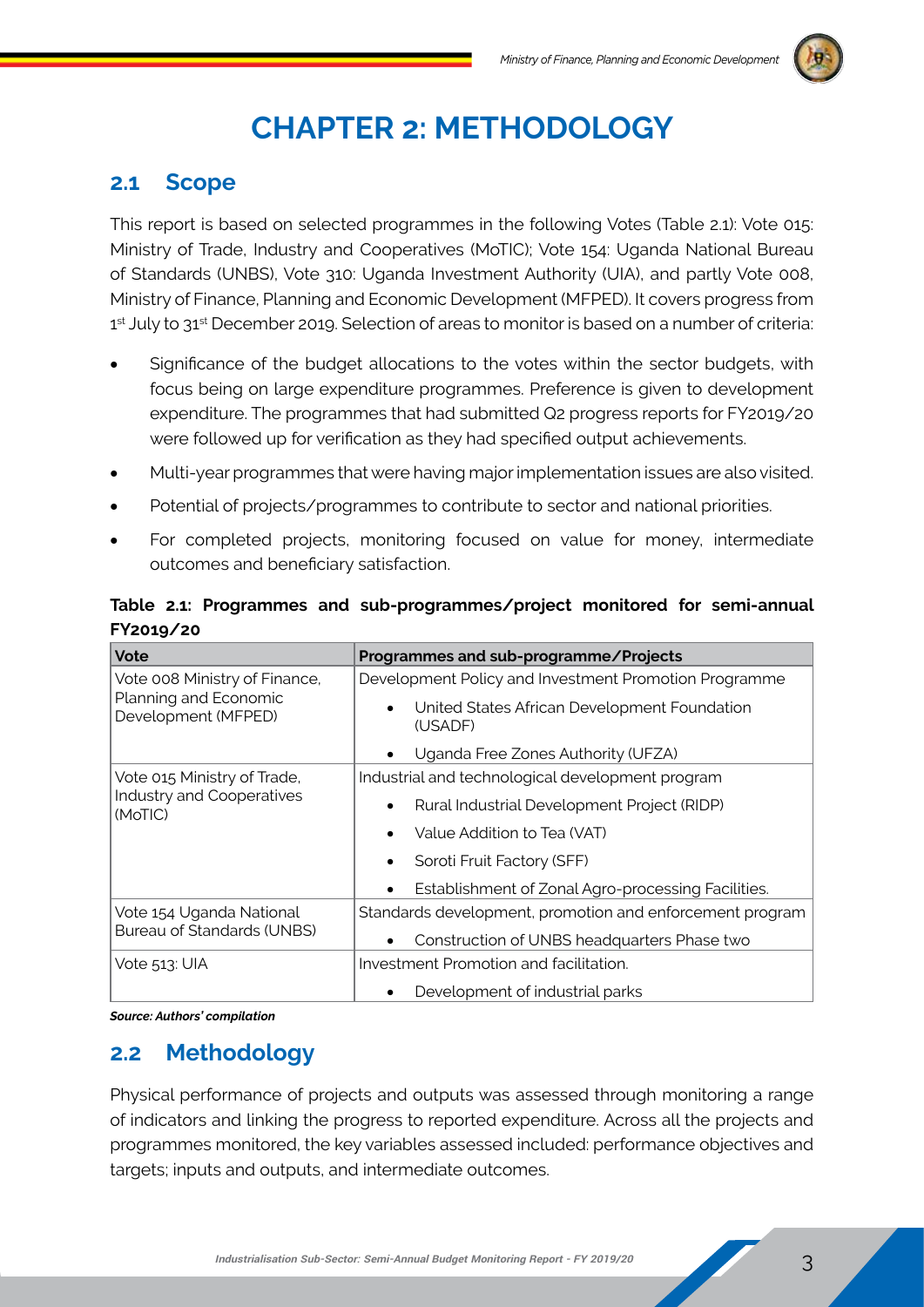

## **Chapter 2: METHODOLOGY**

## **2.1 Scope**

This report is based on selected programmes in the following Votes (Table 2.1): Vote 015: Ministry of Trade, Industry and Cooperatives (MoTIC); Vote 154: Uganda National Bureau of Standards (UNBS), Vote 310: Uganda Investment Authority (UIA), and partly Vote 008, Ministry of Finance, Planning and Economic Development (MFPED). It covers progress from 1<sup>st</sup> July to 31<sup>st</sup> December 2019. Selection of areas to monitor is based on a number of criteria:

- Significance of the budget allocations to the votes within the sector budgets, with focus being on large expenditure programmes. Preference is given to development expenditure. The programmes that had submitted Q2 progress reports for FY2019/20 were followed up for verification as they had specified output achievements.
- Multi-year programmes that were having major implementation issues are also visited.
- Potential of projects/programmes to contribute to sector and national priorities.
- For completed projects, monitoring focused on value for money, intermediate outcomes and beneficiary satisfaction.

| <b>Vote</b>                                  | Programmes and sub-programme/Projects                                |  |  |  |  |
|----------------------------------------------|----------------------------------------------------------------------|--|--|--|--|
| Vote 008 Ministry of Finance,                | Development Policy and Investment Promotion Programme                |  |  |  |  |
| Planning and Economic<br>Development (MFPED) | United States African Development Foundation<br>$\bullet$<br>(USADF) |  |  |  |  |
|                                              | Uganda Free Zones Authority (UFZA)                                   |  |  |  |  |
| Vote 015 Ministry of Trade,                  | Industrial and technological development program                     |  |  |  |  |
| Industry and Cooperatives<br>(MoTIC)         | Rural Industrial Development Project (RIDP)<br>$\bullet$             |  |  |  |  |
|                                              | Value Addition to Tea (VAT)                                          |  |  |  |  |
|                                              | Soroti Fruit Factory (SFF)                                           |  |  |  |  |
|                                              | Establishment of Zonal Agro-processing Facilities.<br>$\bullet$      |  |  |  |  |
| Vote 154 Uganda National                     | Standards development, promotion and enforcement program             |  |  |  |  |
| <b>Bureau of Standards (UNBS)</b>            | Construction of UNBS headquarters Phase two<br>$\bullet$             |  |  |  |  |
| Vote $513$ : UIA                             | Investment Promotion and facilitation.                               |  |  |  |  |
|                                              | Development of industrial parks                                      |  |  |  |  |

**Table 2.1: Programmes and sub-programmes/project monitored for semi-annual FY2019/20** 

*Source: Authors' compilation*

## **2.2 Methodology**

Physical performance of projects and outputs was assessed through monitoring a range of indicators and linking the progress to reported expenditure. Across all the projects and programmes monitored, the key variables assessed included: performance objectives and targets; inputs and outputs, and intermediate outcomes.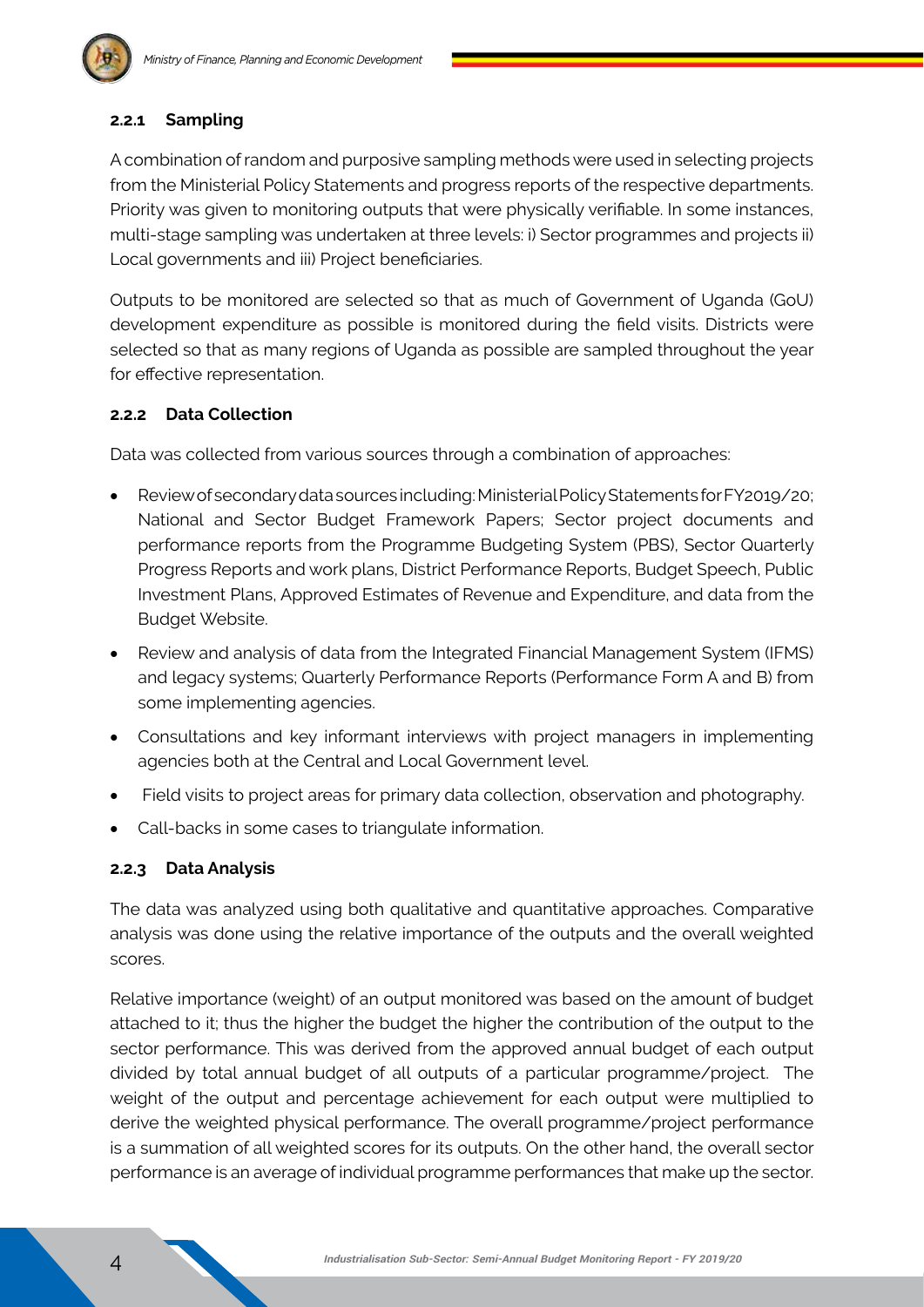## **2.2.1 Sampling**

A combination of random and purposive sampling methods were used in selecting projects from the Ministerial Policy Statements and progress reports of the respective departments. Priority was given to monitoring outputs that were physically verifiable. In some instances, multi-stage sampling was undertaken at three levels: i) Sector programmes and projects ii) Local governments and iii) Project beneficiaries.

Outputs to be monitored are selected so that as much of Government of Uganda (GoU) development expenditure as possible is monitored during the field visits. Districts were selected so that as many regions of Uganda as possible are sampled throughout the year for effective representation.

## **2.2.2 Data Collection**

Data was collected from various sources through a combination of approaches:

- • Review of secondary data sources including: Ministerial Policy Statements for FY2019/20; National and Sector Budget Framework Papers; Sector project documents and performance reports from the Programme Budgeting System (PBS), Sector Quarterly Progress Reports and work plans, District Performance Reports, Budget Speech, Public Investment Plans, Approved Estimates of Revenue and Expenditure, and data from the Budget Website.
- Review and analysis of data from the Integrated Financial Management System (IFMS) and legacy systems; Quarterly Performance Reports (Performance Form A and B) from some implementing agencies.
- Consultations and key informant interviews with project managers in implementing agencies both at the Central and Local Government level.
- Field visits to project areas for primary data collection, observation and photography.
- Call-backs in some cases to triangulate information.

## **2.2.3 Data Analysis**

The data was analyzed using both qualitative and quantitative approaches. Comparative analysis was done using the relative importance of the outputs and the overall weighted scores.

Relative importance (weight) of an output monitored was based on the amount of budget attached to it; thus the higher the budget the higher the contribution of the output to the sector performance. This was derived from the approved annual budget of each output divided by total annual budget of all outputs of a particular programme/project. The weight of the output and percentage achievement for each output were multiplied to derive the weighted physical performance. The overall programme/project performance is a summation of all weighted scores for its outputs. On the other hand, the overall sector performance is an average of individual programme performances that make up the sector.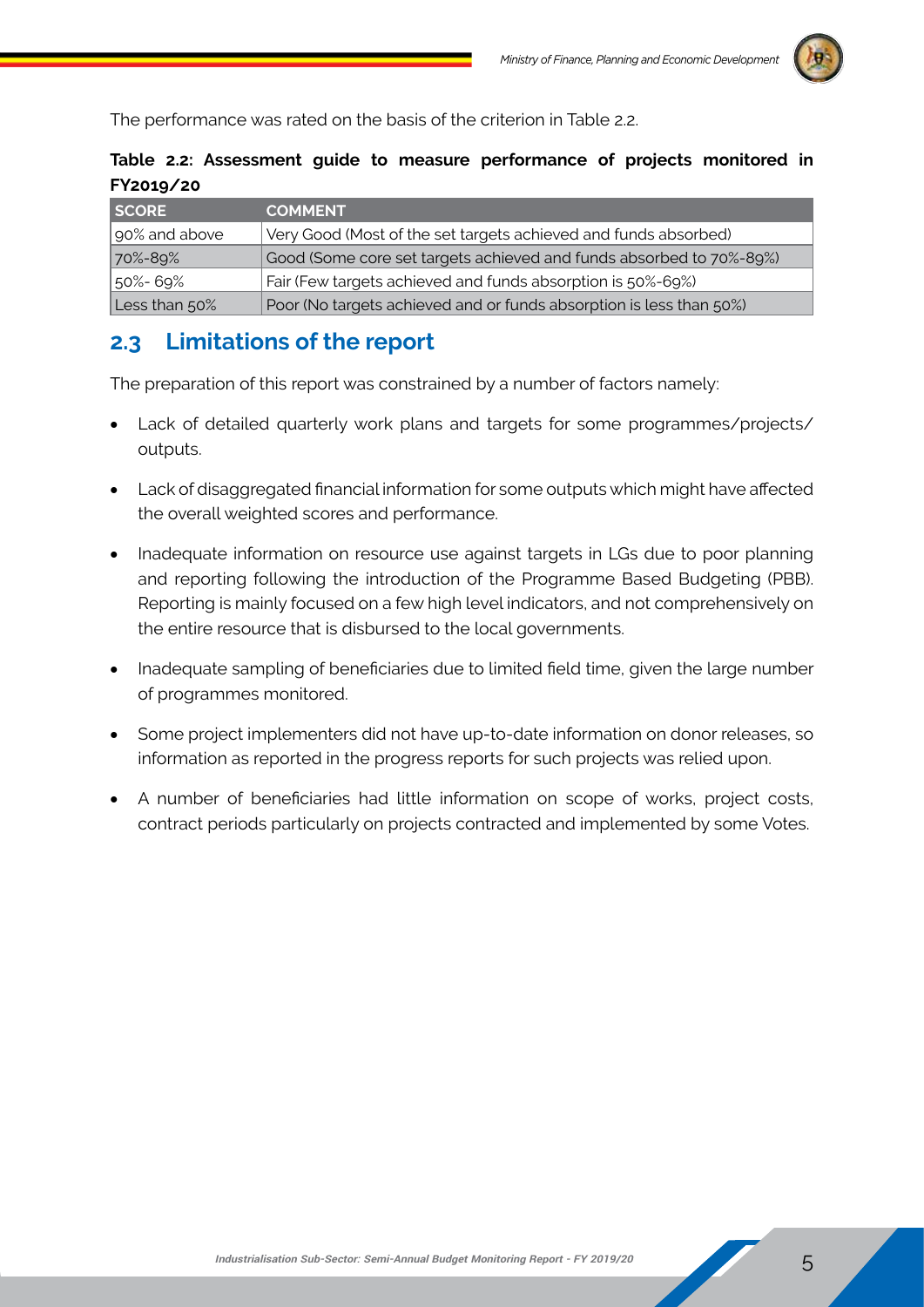

The performance was rated on the basis of the criterion in Table 2.2.

**Table 2.2: Assessment guide to measure performance of projects monitored in FY2019/20**

| <b>SCORE</b>  | <b>COMMENT</b>                                                      |
|---------------|---------------------------------------------------------------------|
| 90% and above | Very Good (Most of the set targets achieved and funds absorbed)     |
| 70%-89%       | Good (Some core set targets achieved and funds absorbed to 70%-89%) |
| 50%- 69%      | Fair (Few targets achieved and funds absorption is 50%-69%)         |
| Less than 50% | Poor (No targets achieved and or funds absorption is less than 50%) |

## **2.3 Limitations of the report**

The preparation of this report was constrained by a number of factors namely:

- Lack of detailed quarterly work plans and targets for some programmes/projects/ outputs.
- Lack of disaggregated financial information for some outputs which might have affected the overall weighted scores and performance.
- Inadequate information on resource use against targets in LGs due to poor planning and reporting following the introduction of the Programme Based Budgeting (PBB). Reporting is mainly focused on a few high level indicators, and not comprehensively on the entire resource that is disbursed to the local governments.
- Inadequate sampling of beneficiaries due to limited field time, given the large number of programmes monitored.
- Some project implementers did not have up-to-date information on donor releases, so information as reported in the progress reports for such projects was relied upon.
- A number of beneficiaries had little information on scope of works, project costs, contract periods particularly on projects contracted and implemented by some Votes.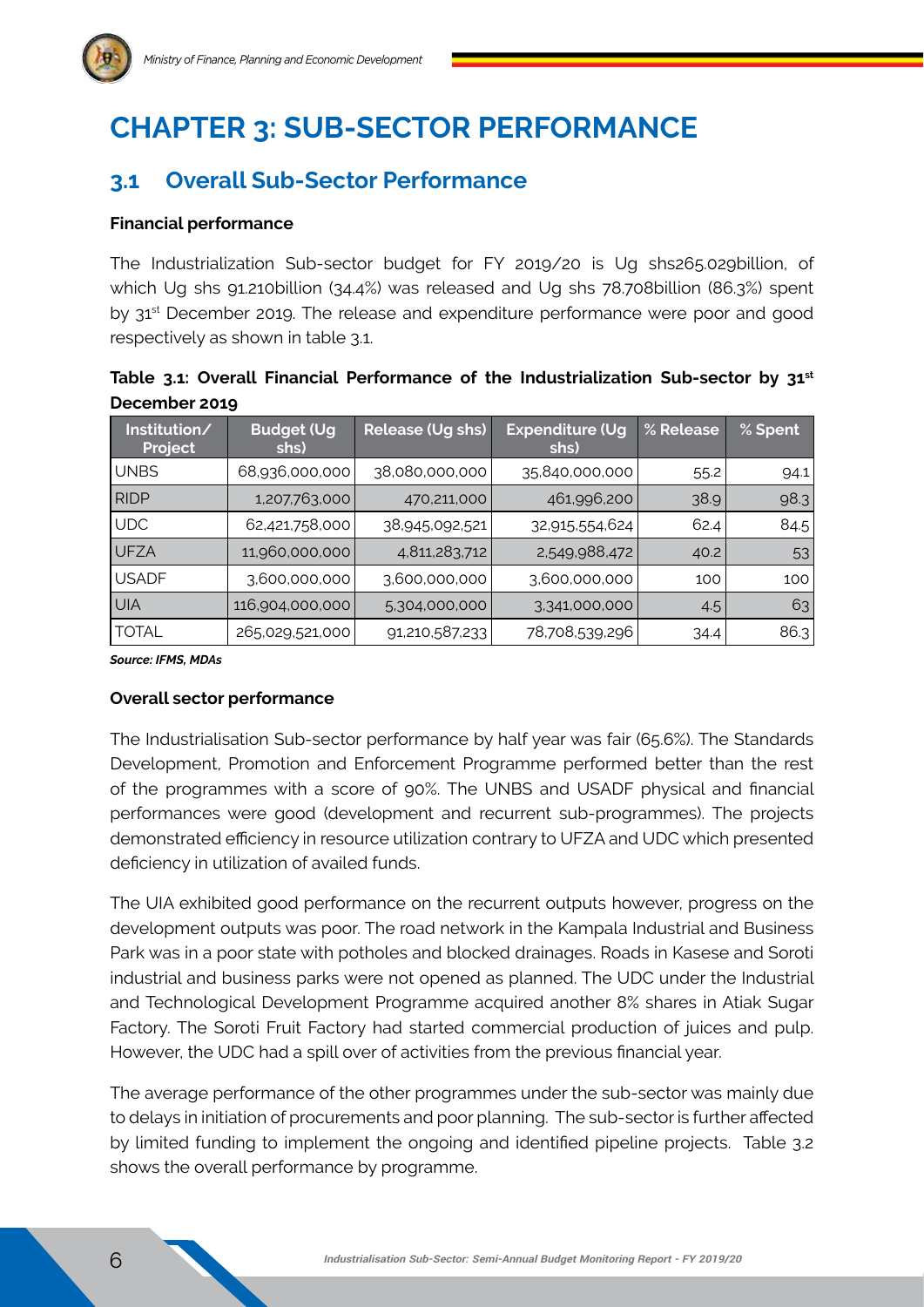

## **Chapter 3: SUB-SECTOR PERFORMANCE**

## **3.1 Overall Sub-Sector Performance**

#### **Financial performance**

The Industrialization Sub-sector budget for FY 2019/20 is Ug shs265.029billion, of which Ug shs 91.210billion (34.4%) was released and Ug shs 78.708billion (86.3%) spent by 31<sup>st</sup> December 2019. The release and expenditure performance were poor and good respectively as shown in table 3.1.

## **Table 3.1: Overall Financial Performance of the Industrialization Sub-sector by 31st December 2019**

| Institution/<br>Project | <b>Budget (Ug</b><br>shs) | <b>Release (Ug shs)</b> | <b>Expenditure (Ug</b><br>shs) | % Release | % Spent |
|-------------------------|---------------------------|-------------------------|--------------------------------|-----------|---------|
| <b>UNBS</b>             | 68,936,000,000            | 38,080,000,000          | 35,840,000,000                 | 55.2      | 94.1    |
| <b>RIDP</b>             | 1,207,763,000             | 470,211,000             | 461,996,200                    | 38.9      | 98.3    |
| <b>UDC</b>              | 62,421,758,000            | 38,945,092,521          | 32,915,554,624                 | 62.4      | 84.5    |
| <b>UFZA</b>             | 11,960,000,000            | 4,811,283,712           | 2,549,988,472                  | 40.2      | 53      |
| <b>USADF</b>            | 3,600,000,000             | 3,600,000,000           | 3,600,000,000                  | 100       | 100     |
| <b>UIA</b>              | 116,904,000,000           | 5,304,000,000           | 3,341,000,000                  | 4.5       | 63      |
| <b>TOTAL</b>            | 265,029,521,000           | 91,210,587,233          | 78,708,539,296                 | 34.4      | 86.3    |

*Source: IFMS, MDAs*

#### **Overall sector performance**

The Industrialisation Sub-sector performance by half year was fair (65.6%). The Standards Development, Promotion and Enforcement Programme performed better than the rest of the programmes with a score of 90%. The UNBS and USADF physical and financial performances were good (development and recurrent sub-programmes). The projects demonstrated efficiency in resource utilization contrary to UFZA and UDC which presented deficiency in utilization of availed funds.

The UIA exhibited good performance on the recurrent outputs however, progress on the development outputs was poor. The road network in the Kampala Industrial and Business Park was in a poor state with potholes and blocked drainages. Roads in Kasese and Soroti industrial and business parks were not opened as planned. The UDC under the Industrial and Technological Development Programme acquired another 8% shares in Atiak Sugar Factory. The Soroti Fruit Factory had started commercial production of juices and pulp. However, the UDC had a spill over of activities from the previous financial year.

The average performance of the other programmes under the sub-sector was mainly due to delays in initiation of procurements and poor planning. The sub-sector is further affected by limited funding to implement the ongoing and identified pipeline projects. Table 3.2 shows the overall performance by programme.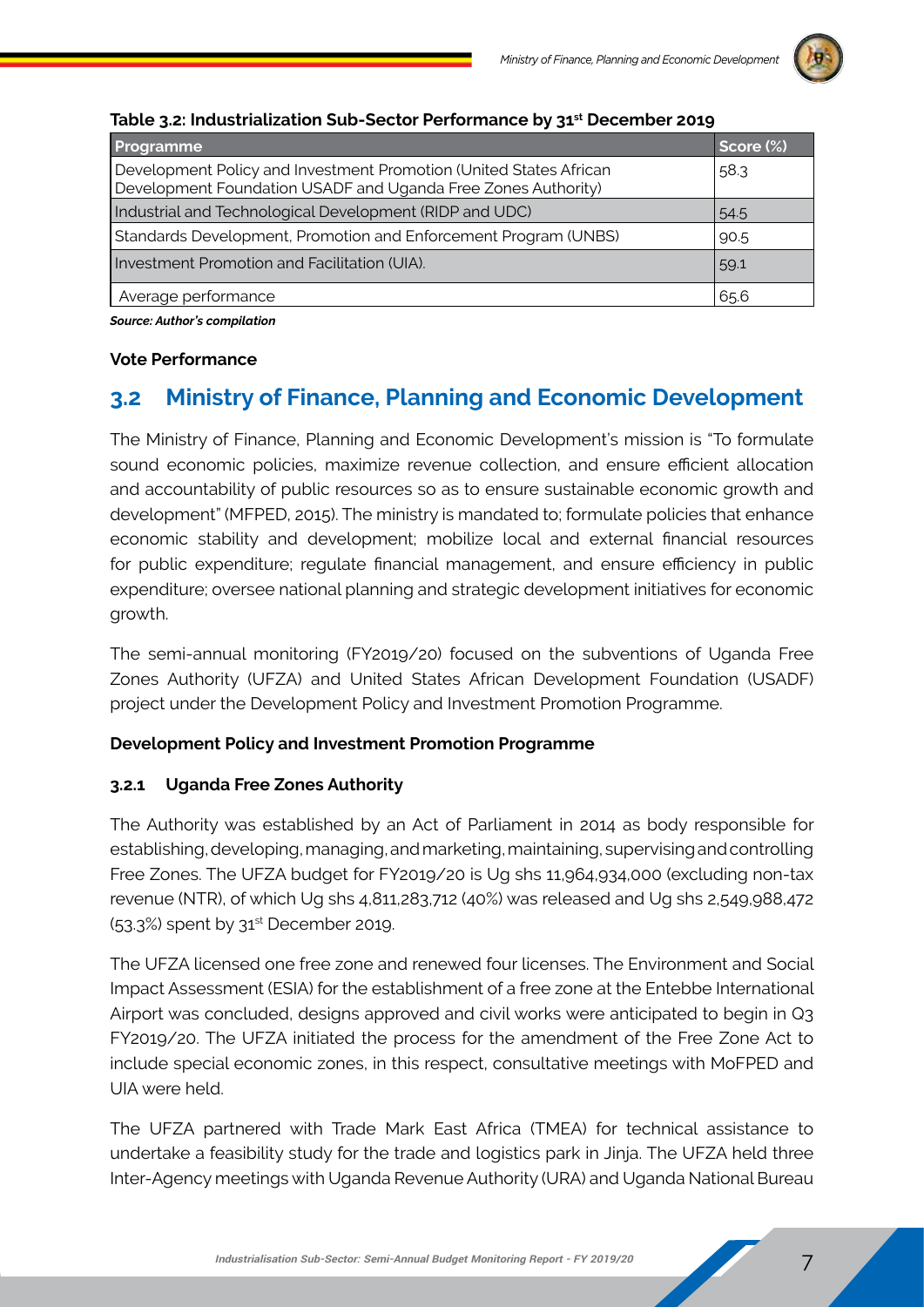

| Programme                                                                                                                           | Score (%) |
|-------------------------------------------------------------------------------------------------------------------------------------|-----------|
| Development Policy and Investment Promotion (United States African<br>Development Foundation USADF and Uganda Free Zones Authority) | 58.3      |
| Industrial and Technological Development (RIDP and UDC)                                                                             | 54.5      |
| Standards Development, Promotion and Enforcement Program (UNBS)                                                                     | 90.5      |
| Investment Promotion and Facilitation (UIA).                                                                                        | 59.1      |
| Average performance                                                                                                                 | 65.6      |

#### Table 3.2: Industrialization Sub-Sector Performance by 31<sup>st</sup> December 2019

*Source: Author's compilation*

### **Vote Performance**

## **3.2 Ministry of Finance, Planning and Economic Development**

The Ministry of Finance, Planning and Economic Development's mission is "To formulate sound economic policies, maximize revenue collection, and ensure efficient allocation and accountability of public resources so as to ensure sustainable economic growth and development" (MFPED, 2015). The ministry is mandated to; formulate policies that enhance economic stability and development; mobilize local and external financial resources for public expenditure; regulate financial management, and ensure efficiency in public expenditure; oversee national planning and strategic development initiatives for economic growth.

The semi-annual monitoring (FY2019/20) focused on the subventions of Uganda Free Zones Authority (UFZA) and United States African Development Foundation (USADF) project under the Development Policy and Investment Promotion Programme.

### **Development Policy and Investment Promotion Programme**

## **3.2.1 Uganda Free Zones Authority**

The Authority was established by an Act of Parliament in 2014 as body responsible for establishing, developing, managing, and marketing, maintaining, supervising and controlling Free Zones. The UFZA budget for FY2019/20 is Ug shs 11,964,934,000 (excluding non-tax revenue (NTR), of which Ug shs 4,811,283,712 (40%) was released and Ug shs 2,549,988,472 (53.3%) spent by 31<sup>st</sup> December 2019.

The UFZA licensed one free zone and renewed four licenses. The Environment and Social Impact Assessment (ESIA) for the establishment of a free zone at the Entebbe International Airport was concluded, designs approved and civil works were anticipated to begin in Q3 FY2019/20. The UFZA initiated the process for the amendment of the Free Zone Act to include special economic zones, in this respect, consultative meetings with MoFPED and UIA were held.

The UFZA partnered with Trade Mark East Africa (TMEA) for technical assistance to undertake a feasibility study for the trade and logistics park in Jinja. The UFZA held three Inter-Agency meetings with Uganda Revenue Authority (URA) and Uganda National Bureau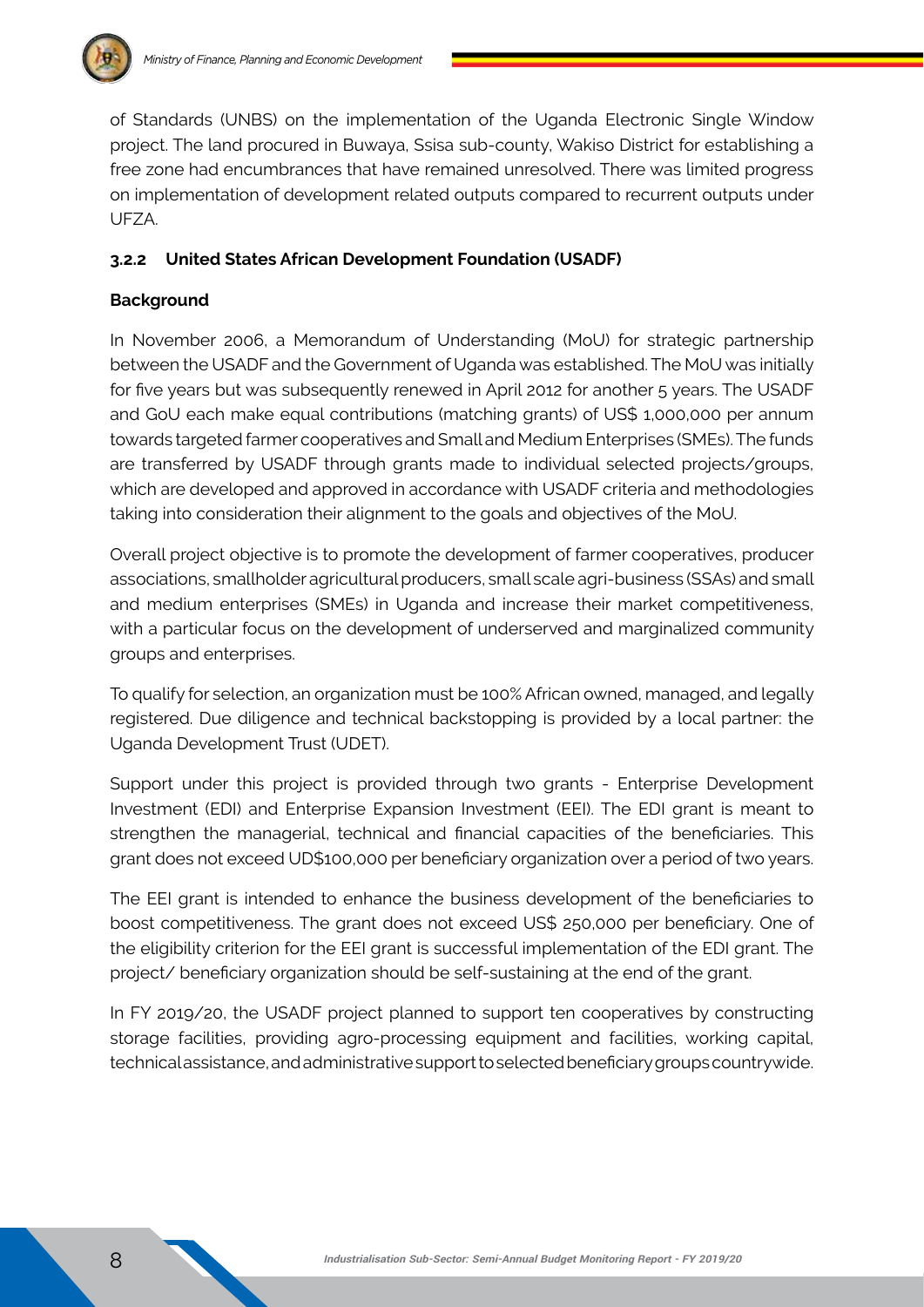of Standards (UNBS) on the implementation of the Uganda Electronic Single Window project. The land procured in Buwaya, Ssisa sub-county, Wakiso District for establishing a free zone had encumbrances that have remained unresolved. There was limited progress on implementation of development related outputs compared to recurrent outputs under UFZA.

### **3.2.2 United States African Development Foundation (USADF)**

### **Background**

In November 2006, a Memorandum of Understanding (MoU) for strategic partnership between the USADF and the Government of Uganda was established. The MoU was initially for five years but was subsequently renewed in April 2012 for another 5 years. The USADF and GoU each make equal contributions (matching grants) of US\$ 1,000,000 per annum towards targeted farmer cooperatives and Small and Medium Enterprises (SMEs). The funds are transferred by USADF through grants made to individual selected projects/groups, which are developed and approved in accordance with USADF criteria and methodologies taking into consideration their alignment to the goals and objectives of the MoU.

Overall project objective is to promote the development of farmer cooperatives, producer associations, smallholder agricultural producers, small scale agri-business (SSAs) and small and medium enterprises (SMEs) in Uganda and increase their market competitiveness, with a particular focus on the development of underserved and marginalized community groups and enterprises.

To qualify for selection, an organization must be 100% African owned, managed, and legally registered. Due diligence and technical backstopping is provided by a local partner: the Uganda Development Trust (UDET).

Support under this project is provided through two grants - Enterprise Development Investment (EDI) and Enterprise Expansion Investment (EEI). The EDI grant is meant to strengthen the managerial, technical and financial capacities of the beneficiaries. This grant does not exceed UD\$100,000 per beneficiary organization over a period of two years.

The EEI grant is intended to enhance the business development of the beneficiaries to boost competitiveness. The grant does not exceed US\$ 250,000 per beneficiary. One of the eligibility criterion for the EEI grant is successful implementation of the EDI grant. The project/ beneficiary organization should be self-sustaining at the end of the grant.

In FY 2019/20, the USADF project planned to support ten cooperatives by constructing storage facilities, providing agro-processing equipment and facilities, working capital, technical assistance, and administrative support to selected beneficiary groups countrywide.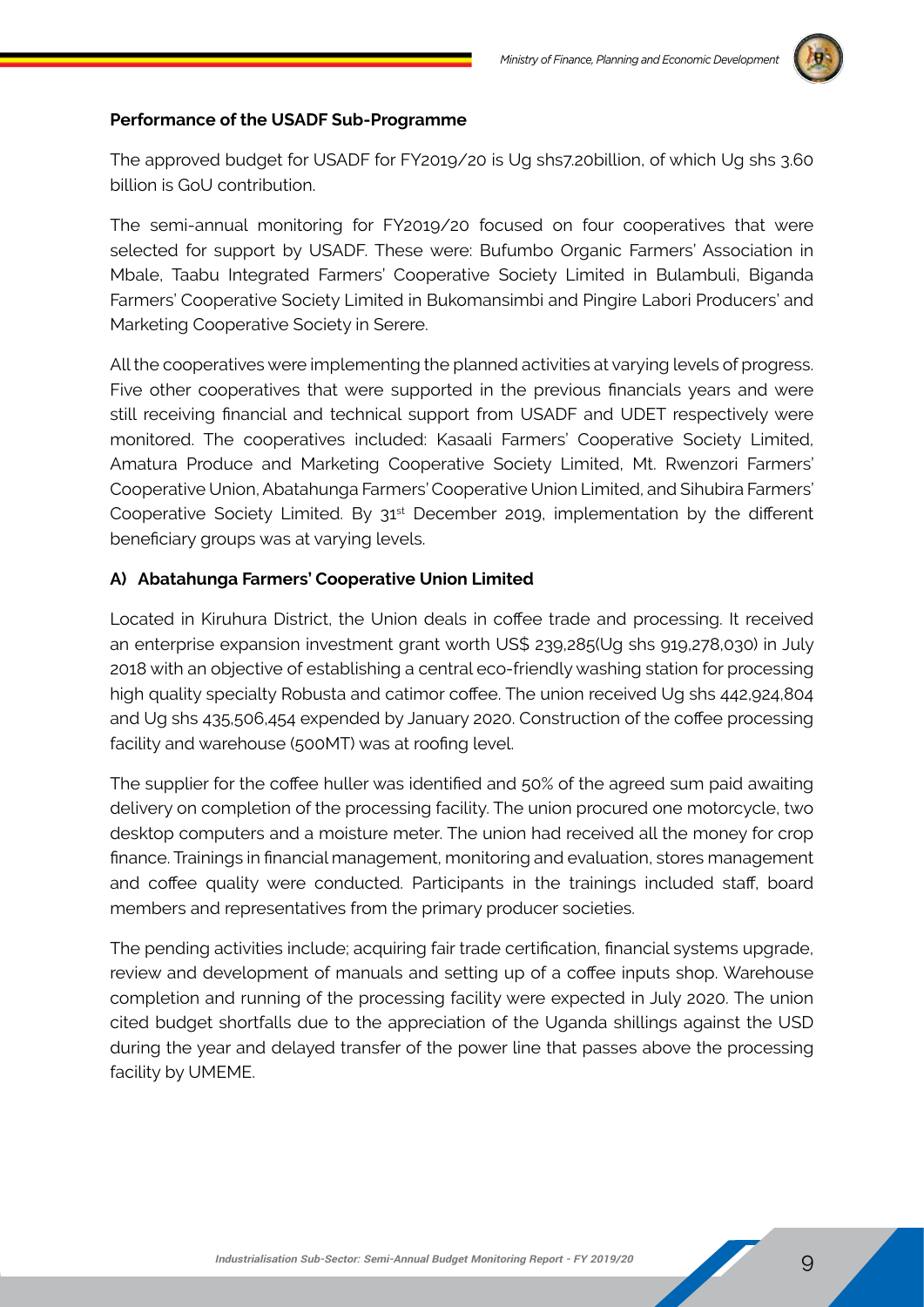

#### **Performance of the USADF Sub-Programme**

The approved budget for USADF for FY2019/20 is Ug shs7.20billion, of which Ug shs 3.60 billion is GoU contribution.

The semi-annual monitoring for FY2019/20 focused on four cooperatives that were selected for support by USADF. These were: Bufumbo Organic Farmers' Association in Mbale, Taabu Integrated Farmers' Cooperative Society Limited in Bulambuli, Biganda Farmers' Cooperative Society Limited in Bukomansimbi and Pingire Labori Producers' and Marketing Cooperative Society in Serere.

All the cooperatives were implementing the planned activities at varying levels of progress. Five other cooperatives that were supported in the previous financials years and were still receiving financial and technical support from USADF and UDET respectively were monitored. The cooperatives included: Kasaali Farmers' Cooperative Society Limited, Amatura Produce and Marketing Cooperative Society Limited, Mt. Rwenzori Farmers' Cooperative Union, Abatahunga Farmers' Cooperative Union Limited, and Sihubira Farmers' Cooperative Society Limited. By 31<sup>st</sup> December 2019, implementation by the different beneficiary groups was at varying levels.

### **A) Abatahunga Farmers' Cooperative Union Limited**

Located in Kiruhura District, the Union deals in coffee trade and processing. It received an enterprise expansion investment grant worth US\$ 239,285(Ug shs 919,278,030) in July 2018 with an objective of establishing a central eco-friendly washing station for processing high quality specialty Robusta and catimor coffee. The union received Ug shs 442,924,804 and Ug shs 435,506,454 expended by January 2020. Construction of the coffee processing facility and warehouse (500MT) was at roofing level.

The supplier for the coffee huller was identified and 50% of the agreed sum paid awaiting delivery on completion of the processing facility. The union procured one motorcycle, two desktop computers and a moisture meter. The union had received all the money for crop finance. Trainings in financial management, monitoring and evaluation, stores management and coffee quality were conducted. Participants in the trainings included staff, board members and representatives from the primary producer societies.

The pending activities include; acquiring fair trade certification, financial systems upgrade, review and development of manuals and setting up of a coffee inputs shop. Warehouse completion and running of the processing facility were expected in July 2020. The union cited budget shortfalls due to the appreciation of the Uganda shillings against the USD during the year and delayed transfer of the power line that passes above the processing facility by UMEME.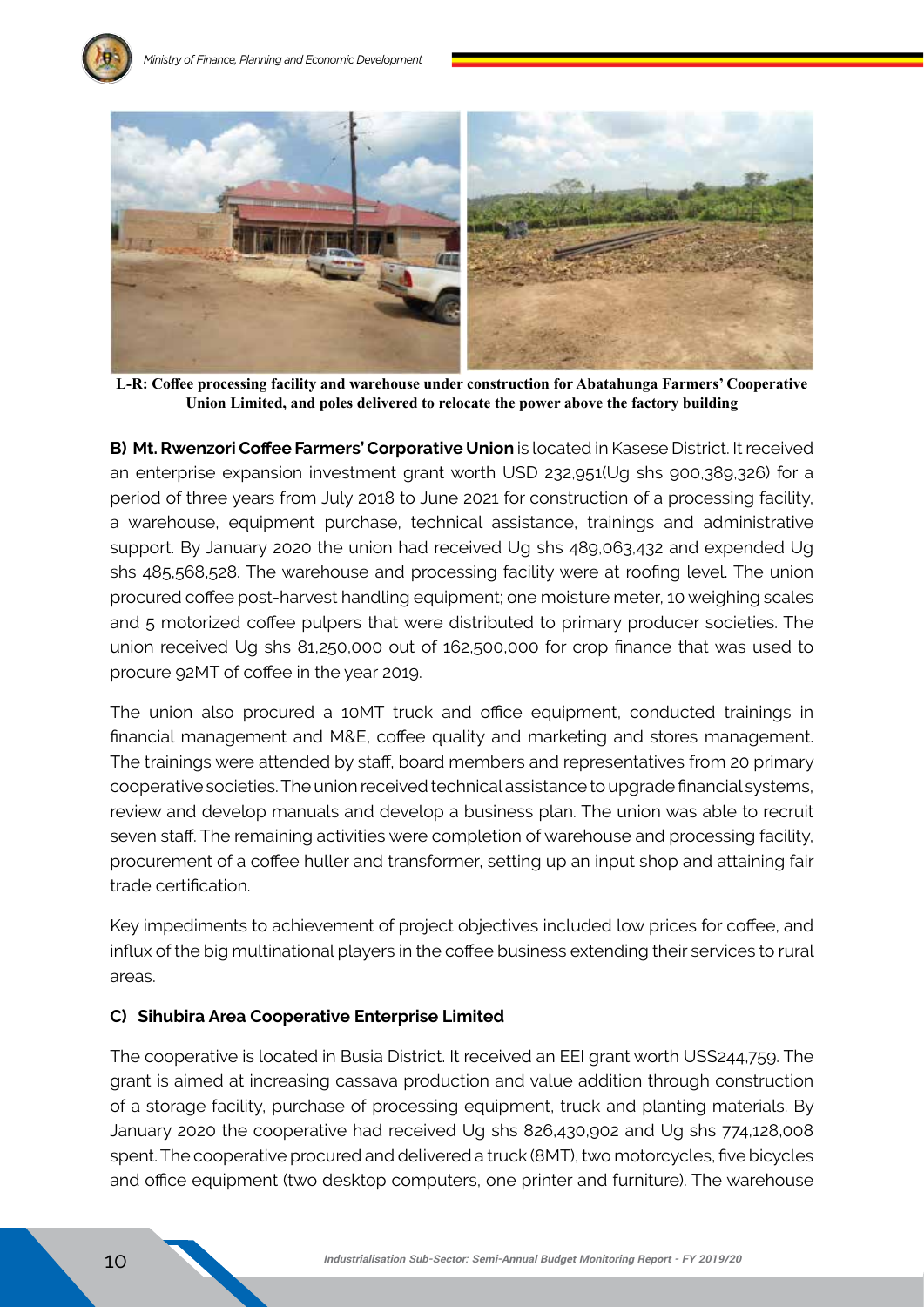



**L-R: Coffee processing facility and warehouse under construction for Abatahunga Farmers' Cooperative Union Limited, and poles delivered to relocate the power above the factory building**

**B) Mt. Rwenzori Coffee Farmers' Corporative Union** is located in Kasese District. It received an enterprise expansion investment grant worth USD 232,951(Ug shs 900,389,326) for a period of three years from July 2018 to June 2021 for construction of a processing facility, a warehouse, equipment purchase, technical assistance, trainings and administrative support. By January 2020 the union had received Ug shs 489,063,432 and expended Ug shs 485,568,528. The warehouse and processing facility were at roofing level. The union procured coffee post-harvest handling equipment; one moisture meter, 10 weighing scales and 5 motorized coffee pulpers that were distributed to primary producer societies. The union received Ug shs 81,250,000 out of 162,500,000 for crop finance that was used to procure 92MT of coffee in the year 2019.

The union also procured a 10MT truck and office equipment, conducted trainings in financial management and M&E, coffee quality and marketing and stores management. The trainings were attended by staff, board members and representatives from 20 primary cooperative societies. The union received technical assistance to upgrade financial systems, review and develop manuals and develop a business plan. The union was able to recruit seven staff. The remaining activities were completion of warehouse and processing facility, procurement of a coffee huller and transformer, setting up an input shop and attaining fair trade certification.

Key impediments to achievement of project objectives included low prices for coffee, and influx of the big multinational players in the coffee business extending their services to rural areas.

### **C) Sihubira Area Cooperative Enterprise Limited**

The cooperative is located in Busia District. It received an EEI grant worth US\$244,759. The grant is aimed at increasing cassava production and value addition through construction of a storage facility, purchase of processing equipment, truck and planting materials. By January 2020 the cooperative had received Ug shs 826,430,902 and Ug shs 774,128,008 spent. The cooperative procured and delivered a truck (8MT), two motorcycles, five bicycles and office equipment (two desktop computers, one printer and furniture). The warehouse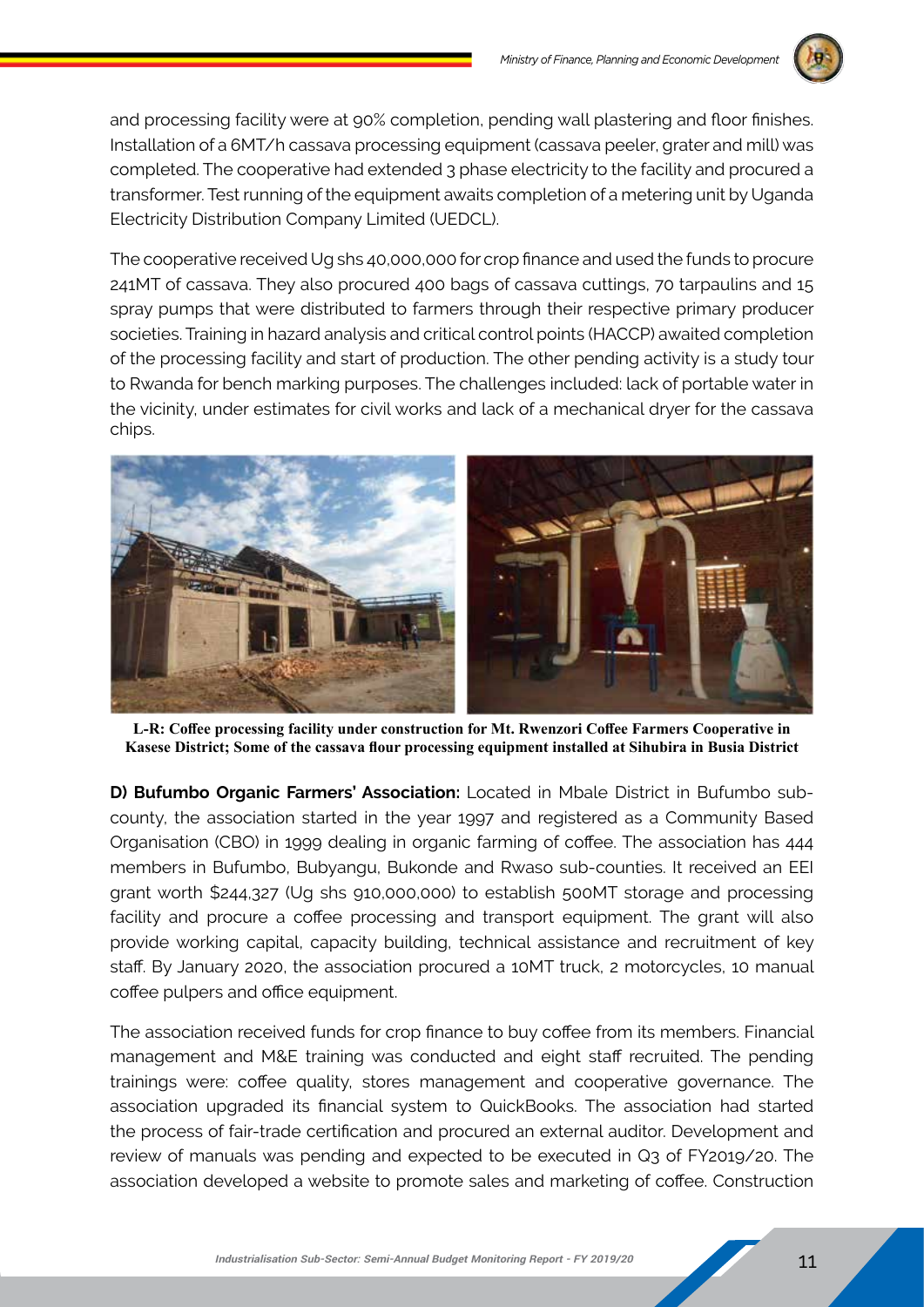

and processing facility were at 90% completion, pending wall plastering and floor finishes. Installation of a 6MT/h cassava processing equipment (cassava peeler, grater and mill) was completed. The cooperative had extended 3 phase electricity to the facility and procured a transformer. Test running of the equipment awaits completion of a metering unit by Uganda Electricity Distribution Company Limited (UEDCL).

The cooperative received Ug shs 40,000,000 for crop finance and used the funds to procure 241MT of cassava. They also procured 400 bags of cassava cuttings, 70 tarpaulins and 15 spray pumps that were distributed to farmers through their respective primary producer societies. Training in hazard analysis and critical control points (HACCP) awaited completion of the processing facility and start of production. The other pending activity is a study tour to Rwanda for bench marking purposes. The challenges included: lack of portable water in the vicinity, under estimates for civil works and lack of a mechanical dryer for the cassava chips.



**L-R: Coffee processing facility under construction for Mt. Rwenzori Coffee Farmers Cooperative in Kasese District; Some of the cassava flour processing equipment installed at Sihubira in Busia District**

**D) Bufumbo Organic Farmers' Association:** Located in Mbale District in Bufumbo subcounty, the association started in the year 1997 and registered as a Community Based Organisation (CBO) in 1999 dealing in organic farming of coffee. The association has 444 members in Bufumbo, Bubyangu, Bukonde and Rwaso sub-counties. It received an EEI grant worth \$244,327 (Ug shs 910,000,000) to establish 500MT storage and processing facility and procure a coffee processing and transport equipment. The grant will also provide working capital, capacity building, technical assistance and recruitment of key staff. By January 2020, the association procured a 10MT truck, 2 motorcycles, 10 manual coffee pulpers and office equipment.

The association received funds for crop finance to buy coffee from its members. Financial management and M&E training was conducted and eight staff recruited. The pending trainings were: coffee quality, stores management and cooperative governance. The association upgraded its financial system to QuickBooks. The association had started the process of fair-trade certification and procured an external auditor. Development and review of manuals was pending and expected to be executed in Q3 of FY2019/20. The association developed a website to promote sales and marketing of coffee. Construction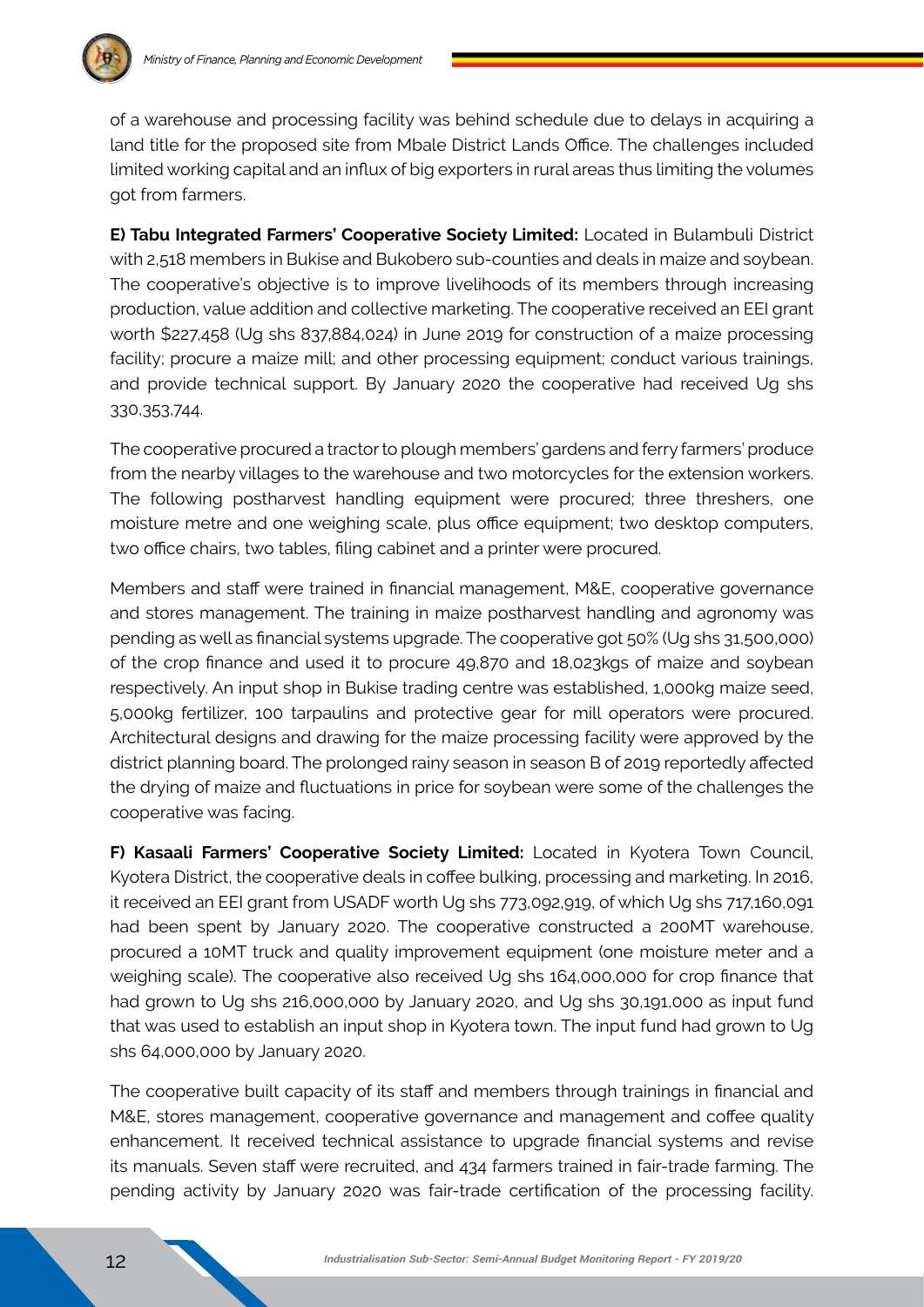

of a warehouse and processing facility was behind schedule due to delays in acquiring a land title for the proposed site from Mbale District Lands Office. The challenges included limited working capital and an influx of big exporters in rural areas thus limiting the volumes got from farmers.

**E) Tabu Integrated Farmers' Cooperative Society Limited:** Located in Bulambuli District with 2,518 members in Bukise and Bukobero sub-counties and deals in maize and soybean. The cooperative's objective is to improve livelihoods of its members through increasing production, value addition and collective marketing. The cooperative received an EEI grant worth \$227,458 (Ug shs 837,884,024) in June 2019 for construction of a maize processing facility; procure a maize mill; and other processing equipment; conduct various trainings, and provide technical support. By January 2020 the cooperative had received Ug shs 330,353,744.

The cooperative procured a tractor to plough members' gardens and ferry farmers' produce from the nearby villages to the warehouse and two motorcycles for the extension workers. The following postharvest handling equipment were procured; three threshers, one moisture metre and one weighing scale, plus office equipment; two desktop computers, two office chairs, two tables, filing cabinet and a printer were procured.

Members and staff were trained in financial management, M&E, cooperative governance and stores management. The training in maize postharvest handling and agronomy was pending as well as financial systems upgrade. The cooperative got 50% (Ug shs 31,500,000) of the crop finance and used it to procure 49,870 and 18,023kgs of maize and soybean respectively. An input shop in Bukise trading centre was established, 1,000kg maize seed, 5,000kg fertilizer, 100 tarpaulins and protective gear for mill operators were procured. Architectural designs and drawing for the maize processing facility were approved by the district planning board. The prolonged rainy season in season B of 2019 reportedly affected the drying of maize and fluctuations in price for soybean were some of the challenges the cooperative was facing.

**F) Kasaali Farmers' Cooperative Society Limited:** Located in Kyotera Town Council, Kyotera District, the cooperative deals in coffee bulking, processing and marketing. In 2016, it received an EEI grant from USADF worth Ug shs 773,092,919, of which Ug shs 717,160,091 had been spent by January 2020. The cooperative constructed a 200MT warehouse, procured a 10MT truck and quality improvement equipment (one moisture meter and a weighing scale). The cooperative also received Ug shs 164,000,000 for crop finance that had grown to Ug shs 216,000,000 by January 2020, and Ug shs 30,191,000 as input fund that was used to establish an input shop in Kyotera town. The input fund had grown to Ug shs 64,000,000 by January 2020.

The cooperative built capacity of its staff and members through trainings in financial and M&E, stores management, cooperative governance and management and coffee quality enhancement. It received technical assistance to upgrade financial systems and revise its manuals. Seven staff were recruited, and 434 farmers trained in fair-trade farming. The pending activity by January 2020 was fair-trade certification of the processing facility.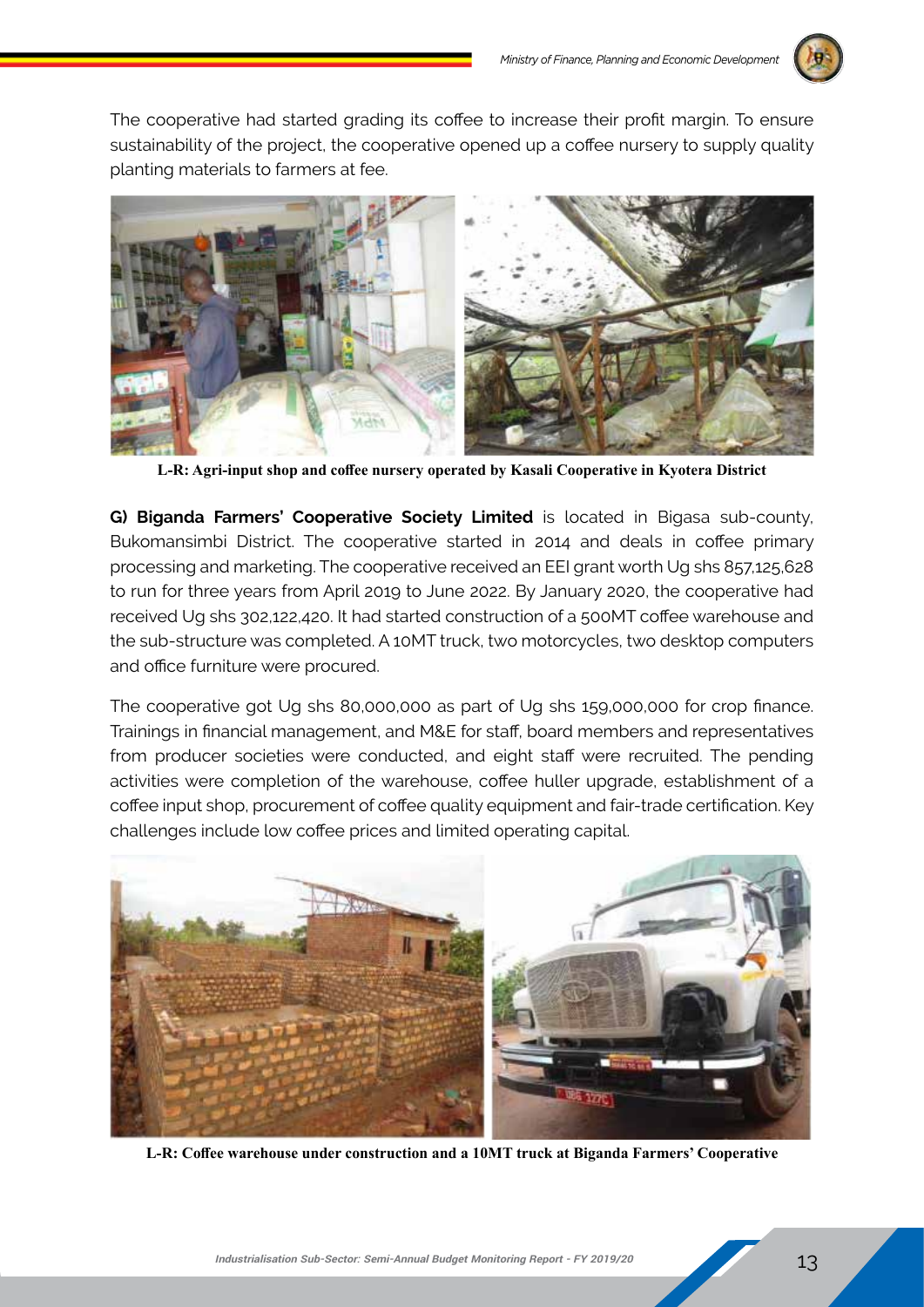

The cooperative had started grading its coffee to increase their profit margin. To ensure sustainability of the project, the cooperative opened up a coffee nursery to supply quality planting materials to farmers at fee.



**L-R: Agri-input shop and coffee nursery operated by Kasali Cooperative in Kyotera District**

**G) Biganda Farmers' Cooperative Society Limited** is located in Bigasa sub-county, Bukomansimbi District. The cooperative started in 2014 and deals in coffee primary processing and marketing. The cooperative received an EEI grant worth Ug shs 857,125,628 to run for three years from April 2019 to June 2022. By January 2020, the cooperative had received Ug shs 302,122,420. It had started construction of a 500MT coffee warehouse and the sub-structure was completed. A 10MT truck, two motorcycles, two desktop computers and office furniture were procured.

The cooperative got Ug shs 80,000,000 as part of Ug shs 159,000,000 for crop finance. Trainings in financial management, and M&E for staff, board members and representatives from producer societies were conducted, and eight staff were recruited. The pending activities were completion of the warehouse, coffee huller upgrade, establishment of a coffee input shop, procurement of coffee quality equipment and fair-trade certification. Key challenges include low coffee prices and limited operating capital.



**L-R: Coffee warehouse under construction and a 10MT truck at Biganda Farmers' Cooperative**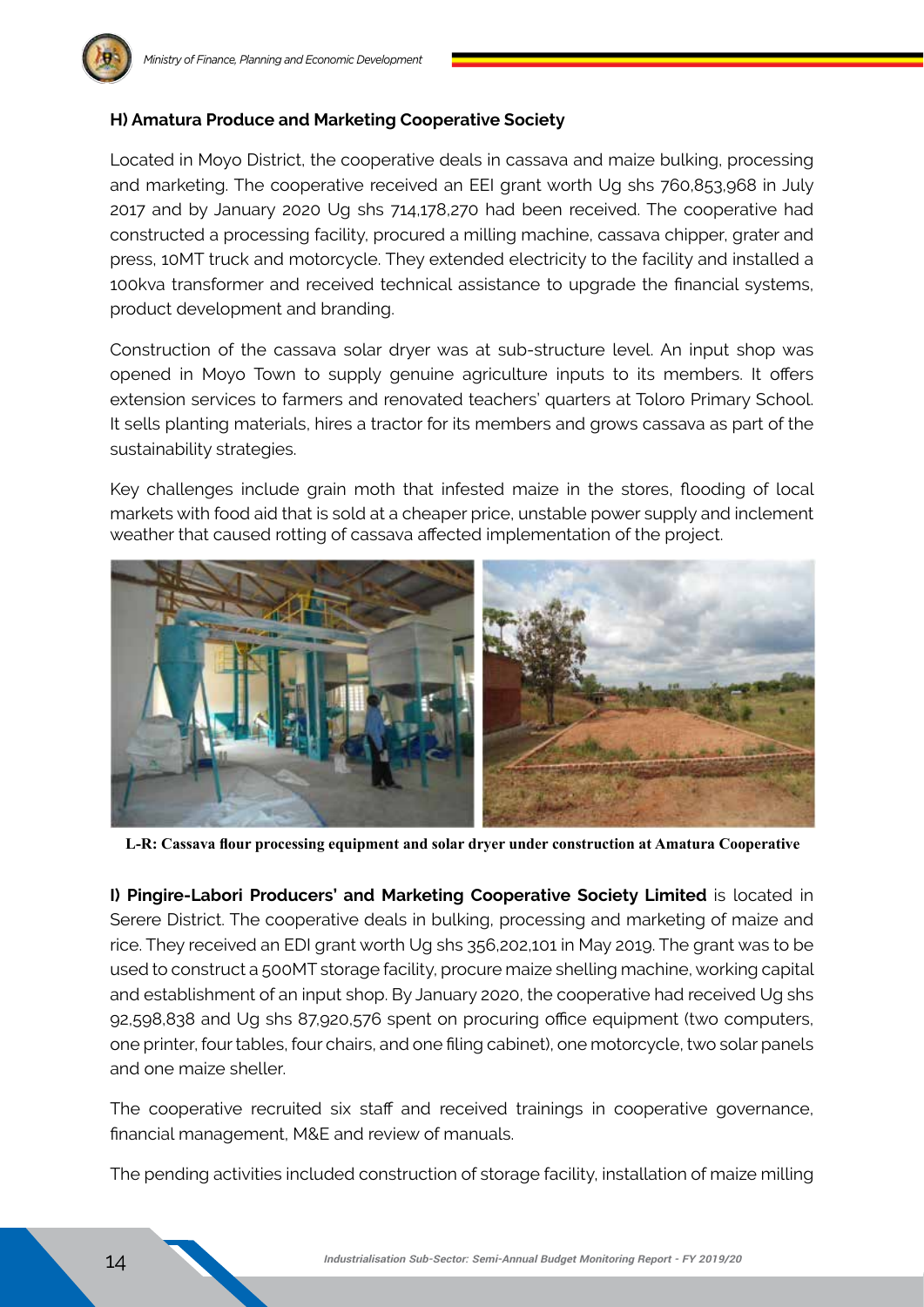

### **H) Amatura Produce and Marketing Cooperative Society**

Located in Moyo District, the cooperative deals in cassava and maize bulking, processing and marketing. The cooperative received an EEI grant worth Ug shs 760,853,968 in July 2017 and by January 2020 Ug shs 714,178,270 had been received. The cooperative had constructed a processing facility, procured a milling machine, cassava chipper, grater and press, 10MT truck and motorcycle. They extended electricity to the facility and installed a 100kva transformer and received technical assistance to upgrade the financial systems, product development and branding.

Construction of the cassava solar dryer was at sub-structure level. An input shop was opened in Moyo Town to supply genuine agriculture inputs to its members. It offers extension services to farmers and renovated teachers' quarters at Toloro Primary School. It sells planting materials, hires a tractor for its members and grows cassava as part of the sustainability strategies.

Key challenges include grain moth that infested maize in the stores, flooding of local markets with food aid that is sold at a cheaper price, unstable power supply and inclement weather that caused rotting of cassava affected implementation of the project.



**L-R: Cassava flour processing equipment and solar dryer under construction at Amatura Cooperative**

**I) Pingire-Labori Producers' and Marketing Cooperative Society Limited** is located in Serere District. The cooperative deals in bulking, processing and marketing of maize and rice. They received an EDI grant worth Ug shs 356,202,101 in May 2019. The grant was to be used to construct a 500MT storage facility, procure maize shelling machine, working capital and establishment of an input shop. By January 2020, the cooperative had received Ug shs 92,598,838 and Ug shs 87,920,576 spent on procuring office equipment (two computers, one printer, four tables, four chairs, and one filing cabinet), one motorcycle, two solar panels and one maize sheller.

The cooperative recruited six staff and received trainings in cooperative governance, financial management, M&E and review of manuals.

The pending activities included construction of storage facility, installation of maize milling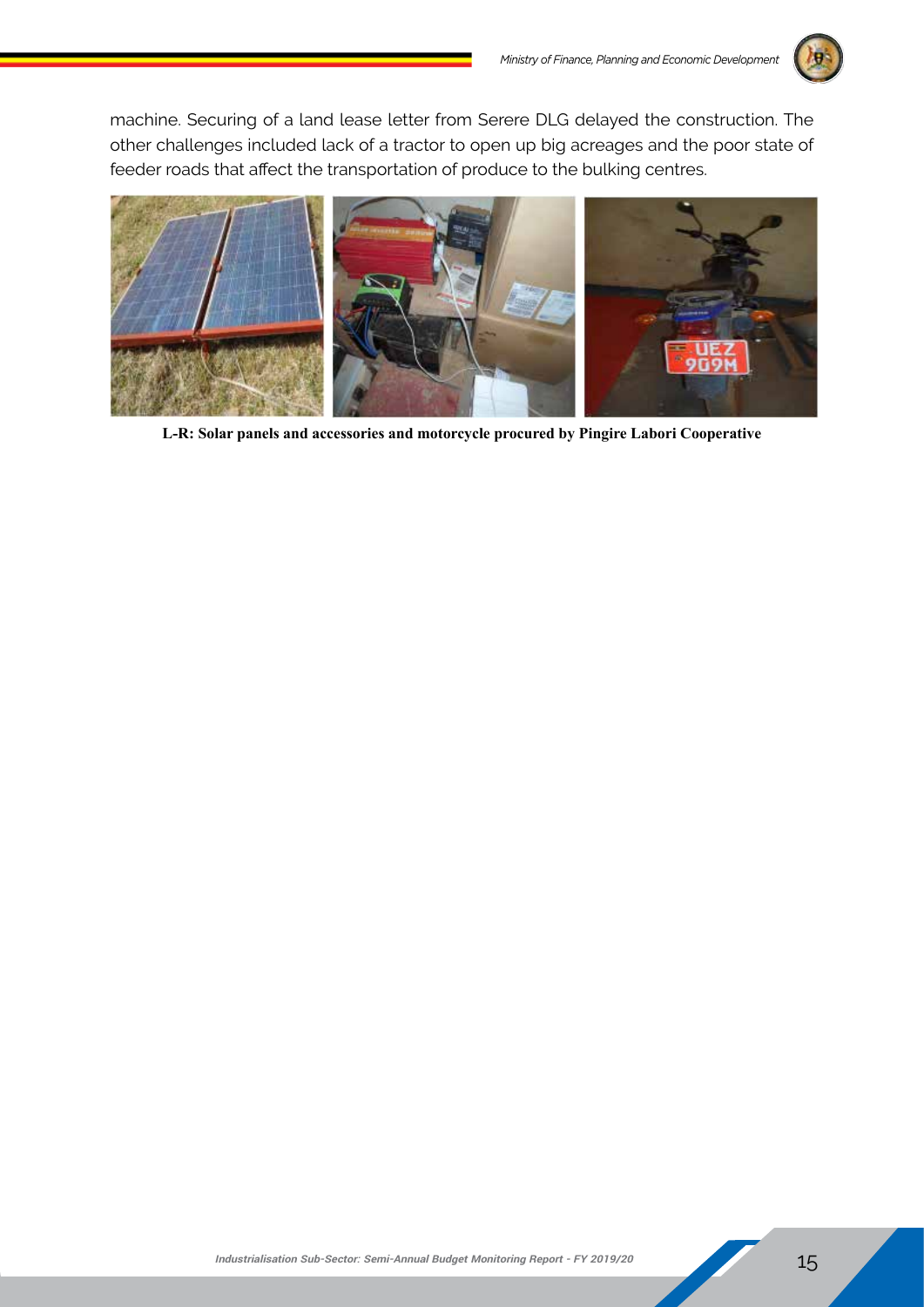

machine. Securing of a land lease letter from Serere DLG delayed the construction. The other challenges included lack of a tractor to open up big acreages and the poor state of feeder roads that affect the transportation of produce to the bulking centres.



**L-R: Solar panels and accessories and motorcycle procured by Pingire Labori Cooperative**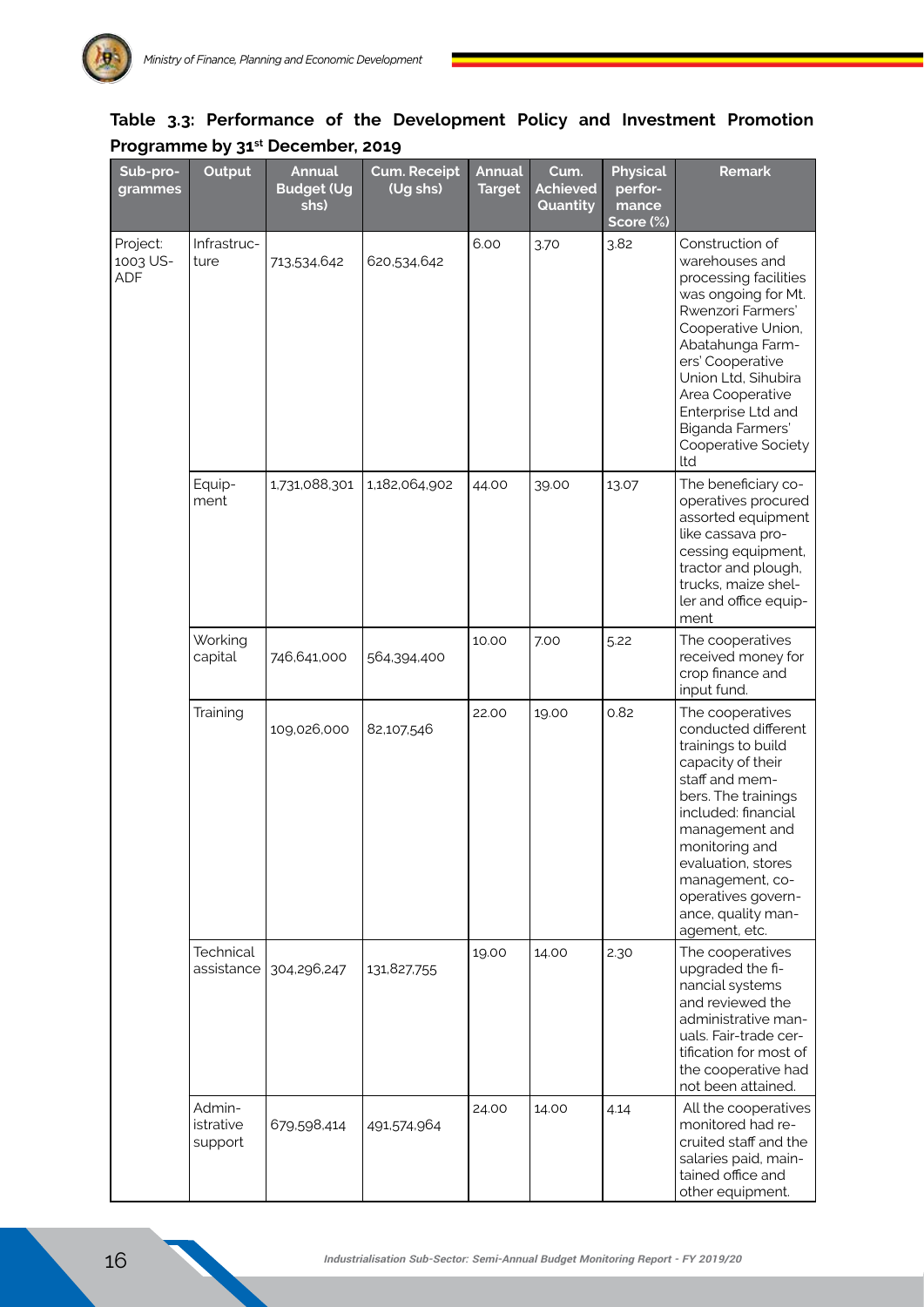

## **Table 3.3: Performance of the Development Policy and Investment Promotion**  Programme by 31<sup>st</sup> December, 2019

| Sub-pro-<br>grammes         | Output                         | <b>Annual</b><br><b>Budget (Ug</b><br>shs) | <b>Cum. Receipt</b><br>(Ug shs) | <b>Annual</b><br><b>Target</b> | Cum.<br><b>Achieved</b><br>Quantity | <b>Physical</b><br>perfor-<br>mance<br>Score (%) | Remark                                                                                                                                                                                                                                                                                       |
|-----------------------------|--------------------------------|--------------------------------------------|---------------------------------|--------------------------------|-------------------------------------|--------------------------------------------------|----------------------------------------------------------------------------------------------------------------------------------------------------------------------------------------------------------------------------------------------------------------------------------------------|
| Project:<br>1003 US-<br>ADF | Infrastruc-<br>ture            | 713,534,642                                | 620,534,642                     | 6.00                           | 3.70                                | 3.82                                             | Construction of<br>warehouses and<br>processing facilities<br>was ongoing for Mt.<br>Rwenzori Farmers'<br>Cooperative Union,<br>Abatahunga Farm-<br>ers' Cooperative<br>Union Ltd, Sihubira<br>Area Cooperative<br>Enterprise Ltd and<br>Biganda Farmers'<br>Cooperative Society<br>ltd      |
|                             | Equip-<br>ment                 | 1,731,088,301                              | 1,182,064,902                   | 44.00                          | 39.00                               | 13.07                                            | The beneficiary co-<br>operatives procured<br>assorted equipment<br>like cassava pro-<br>cessing equipment,<br>tractor and plough,<br>trucks, maize shel-<br>ler and office equip-<br>ment                                                                                                   |
|                             | Working<br>capital             | 746,641,000                                | 564,394,400                     | 10.00                          | 7.00                                | 5.22                                             | The cooperatives<br>received money for<br>crop finance and<br>input fund.                                                                                                                                                                                                                    |
|                             | Training                       | 109,026,000                                | 82,107,546                      | 22.00                          | 19.00                               | 0.82                                             | The cooperatives<br>conducted different<br>trainings to build<br>capacity of their<br>staff and mem-<br>bers. The trainings<br>included: financial<br>management and<br>monitoring and<br>evaluation, stores<br>management, co-<br>operatives govern-<br>ance, quality man-<br>agement, etc. |
|                             | Technical<br>assistance        | 304,296,247                                | 131,827,755                     | 19.00                          | 14.00                               | 2.30                                             | The cooperatives<br>upgraded the fi-<br>nancial systems<br>and reviewed the<br>administrative man-<br>uals. Fair-trade cer-<br>tification for most of<br>the cooperative had<br>not been attained.                                                                                           |
|                             | Admin-<br>istrative<br>support | 679,598,414                                | 491,574,964                     | 24.00                          | 14.00                               | 4.14                                             | All the cooperatives<br>monitored had re-<br>cruited staff and the<br>salaries paid, main-<br>tained office and<br>other equipment.                                                                                                                                                          |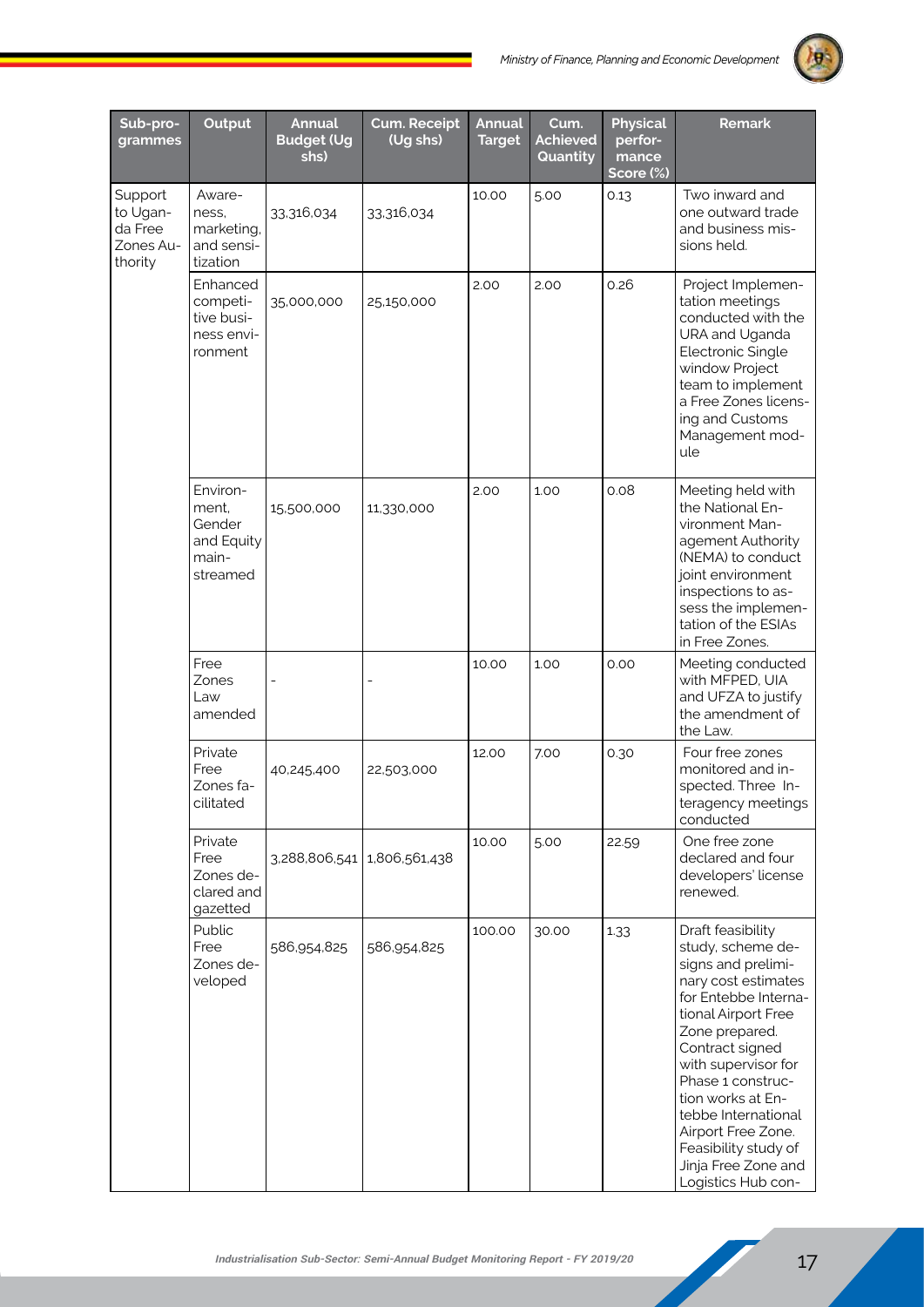

| Sub-pro-<br>grammes                                    | Output                                                         | <b>Annual</b><br><b>Budget (Ug</b><br>shs) | <b>Cum. Receipt</b><br>(Ug shs) | <b>Annual</b><br><b>Target</b> | Cum.<br><b>Achieved</b><br>Quantity | <b>Physical</b><br>perfor-<br>mance<br>Score (%) | <b>Remark</b>                                                                                                                                                                                                                                                                                                                                              |
|--------------------------------------------------------|----------------------------------------------------------------|--------------------------------------------|---------------------------------|--------------------------------|-------------------------------------|--------------------------------------------------|------------------------------------------------------------------------------------------------------------------------------------------------------------------------------------------------------------------------------------------------------------------------------------------------------------------------------------------------------------|
| Support<br>to Ugan-<br>da Free<br>Zones Au-<br>thority | Aware-<br>ness,<br>marketing,<br>and sensi-<br>tization        | 33.316,034                                 | 33,316,034                      | 10.00                          | 5.00                                | 0.13                                             | Two inward and<br>one outward trade<br>and business mis-<br>sions held.                                                                                                                                                                                                                                                                                    |
|                                                        | Enhanced<br>competi-<br>tive busi-<br>ness envi-<br>ronment    | 35,000,000                                 | 25,150,000                      | 2.00                           | 2.00                                | 0.26                                             | Project Implemen-<br>tation meetings<br>conducted with the<br>URA and Uganda<br>Electronic Single<br>window Project<br>team to implement<br>a Free Zones licens-<br>ing and Customs<br>Management mod-<br>ule                                                                                                                                              |
|                                                        | Environ-<br>ment,<br>Gender<br>and Equity<br>main-<br>streamed | 15,500,000                                 | 11,330,000                      | 2.00                           | 1.00                                | 0.08                                             | Meeting held with<br>the National En-<br>vironment Man-<br>agement Authority<br>(NEMA) to conduct<br>joint environment<br>inspections to as-<br>sess the implemen-<br>tation of the ESIAs<br>in Free Zones.                                                                                                                                                |
|                                                        | Free<br>Zones<br>Law<br>amended                                |                                            |                                 | 10.00                          | 1.00                                | 0.00                                             | Meeting conducted<br>with MFPED, UIA<br>and UFZA to justify<br>the amendment of<br>the Law.                                                                                                                                                                                                                                                                |
|                                                        | Private<br>Free<br>Zones fa-<br>cilitated                      | 40,245,400                                 | 22,503,000                      | 12.00                          | 7.00                                | 0.30                                             | Four free zones<br>monitored and in-<br>spected. Three In-<br>teragency meetings<br>conducted                                                                                                                                                                                                                                                              |
|                                                        | Private<br>Free<br>Zones de-<br>clared and<br>gazetted         | 3,288,806,541                              | 1,806,561,438                   | 10.00                          | 5.00                                | 22.59                                            | One free zone<br>declared and four<br>developers' license<br>renewed.                                                                                                                                                                                                                                                                                      |
|                                                        | Public<br>Free<br>Zones de-<br>veloped                         | 586,954,825                                | 586,954,825                     | 100.00                         | 30.00                               | 1.33                                             | Draft feasibility<br>study, scheme de-<br>signs and prelimi-<br>nary cost estimates<br>for Entebbe Interna-<br>tional Airport Free<br>Zone prepared.<br>Contract signed<br>with supervisor for<br>Phase 1 construc-<br>tion works at En-<br>tebbe International<br>Airport Free Zone.<br>Feasibility study of<br>Jinja Free Zone and<br>Logistics Hub con- |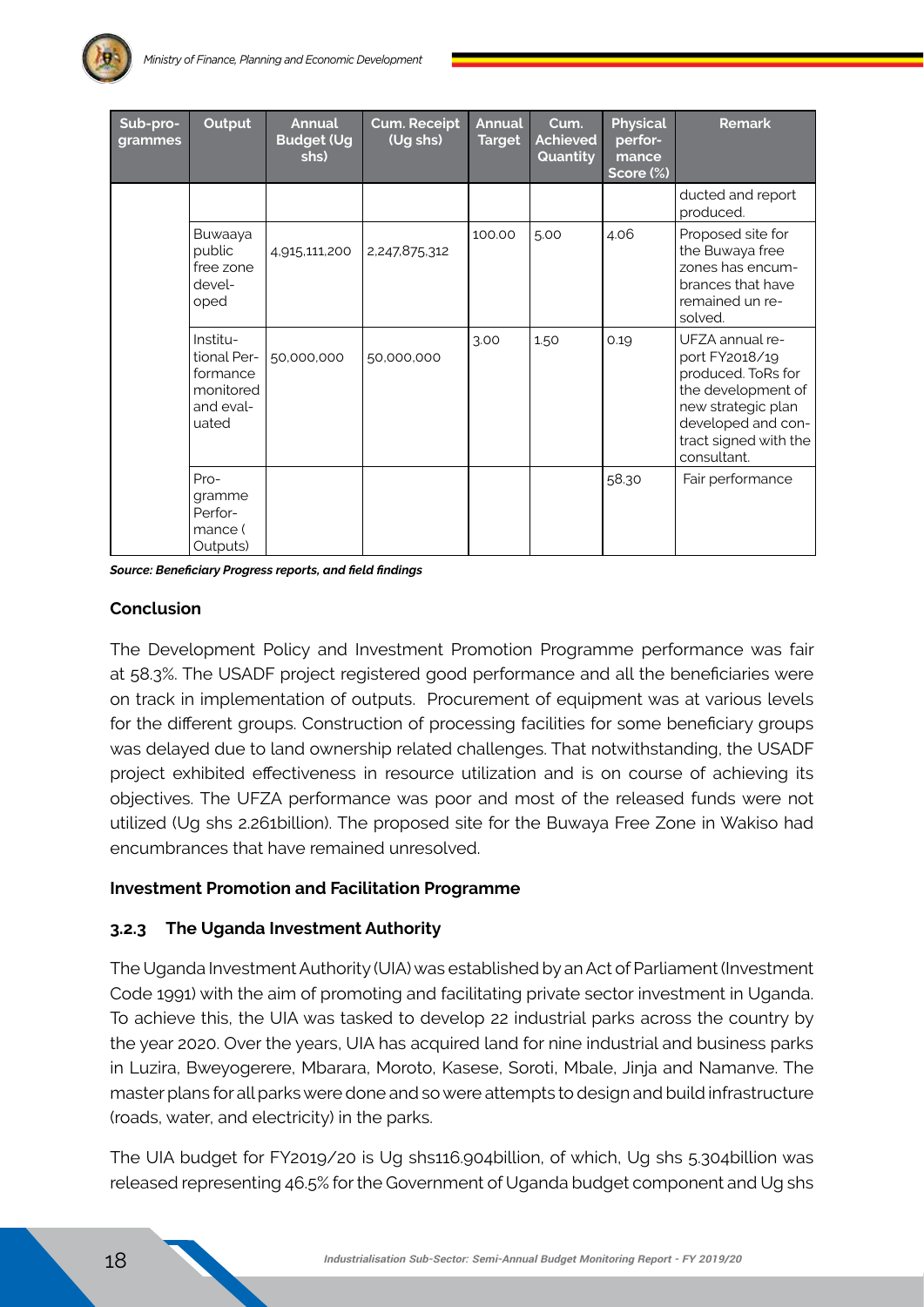

| Sub-pro-<br>grammes | Output                                                                 | <b>Annual</b><br><b>Budget (Ug</b><br>shs) | <b>Cum. Receipt</b><br>(Ug shs) | <b>Annual</b><br><b>Target</b> | Cum.<br><b>Achieved</b><br>Quantity | <b>Physical</b><br>perfor-<br>mance<br>Score (%) | <b>Remark</b>                                                                                                                                                     |
|---------------------|------------------------------------------------------------------------|--------------------------------------------|---------------------------------|--------------------------------|-------------------------------------|--------------------------------------------------|-------------------------------------------------------------------------------------------------------------------------------------------------------------------|
|                     |                                                                        |                                            |                                 |                                |                                     |                                                  | ducted and report<br>produced.                                                                                                                                    |
|                     | Buwaaya<br>public<br>free zone<br>devel-<br>oped                       | 4,915,111,200                              | 2,247,875,312                   | 100.00                         | 5.00                                | 4.06                                             | Proposed site for<br>the Buwaya free<br>zones has encum-<br>brances that have<br>remained un re-<br>solved.                                                       |
|                     | Institu-<br>tional Per-<br>formance<br>monitored<br>and eval-<br>uated | 50,000,000                                 | 50,000,000                      | 3.00                           | 1.50                                | 0.19                                             | UFZA annual re-<br>port FY2018/19<br>produced. ToRs for<br>the development of<br>new strategic plan<br>developed and con-<br>tract signed with the<br>consultant. |
|                     | $Pro-$<br>gramme<br>Perfor-<br>mance (<br>Outputs)                     |                                            |                                 |                                |                                     | 58.30                                            | Fair performance                                                                                                                                                  |

*Source: Beneficiary Progress reports, and field findings*

### **Conclusion**

The Development Policy and Investment Promotion Programme performance was fair at 58.3%. The USADF project registered good performance and all the beneficiaries were on track in implementation of outputs. Procurement of equipment was at various levels for the different groups. Construction of processing facilities for some beneficiary groups was delayed due to land ownership related challenges. That notwithstanding, the USADF project exhibited effectiveness in resource utilization and is on course of achieving its objectives. The UFZA performance was poor and most of the released funds were not utilized (Ug shs 2.261billion). The proposed site for the Buwaya Free Zone in Wakiso had encumbrances that have remained unresolved.

## **Investment Promotion and Facilitation Programme**

## **3.2.3 The Uganda Investment Authority**

The Uganda Investment Authority (UIA) was established by an Act of Parliament (Investment Code 1991) with the aim of promoting and facilitating private sector investment in Uganda. To achieve this, the UIA was tasked to develop 22 industrial parks across the country by the year 2020. Over the years, UIA has acquired land for nine industrial and business parks in Luzira, Bweyogerere, Mbarara, Moroto, Kasese, Soroti, Mbale, Jinja and Namanve. The master plans for all parks were done and so were attempts to design and build infrastructure (roads, water, and electricity) in the parks.

The UIA budget for FY2019/20 is Ug shs116.904billion, of which, Ug shs 5.304billion was released representing 46.5% for the Government of Uganda budget component and Ug shs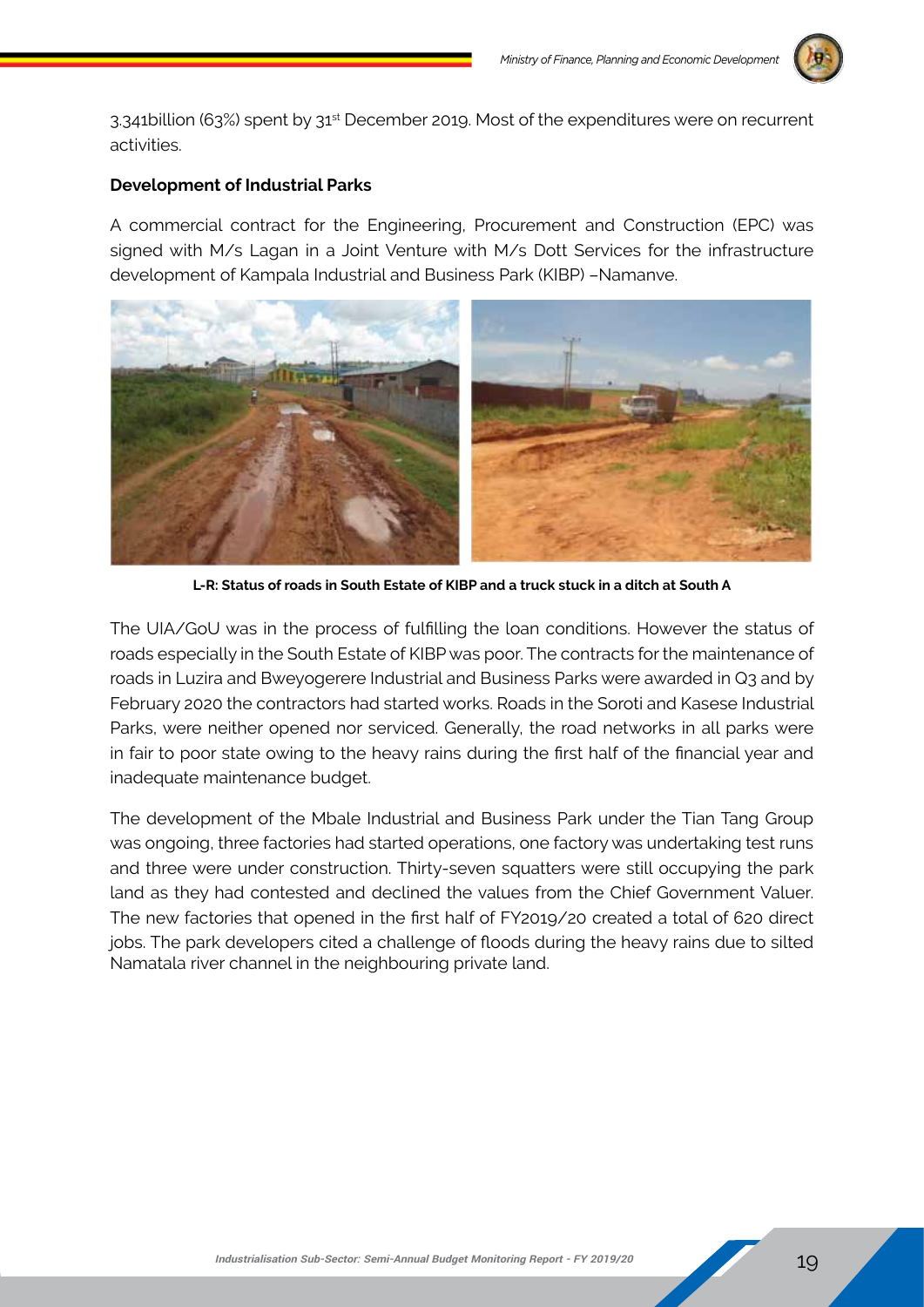

3.341billion (63%) spent by 31<sup>st</sup> December 2019. Most of the expenditures were on recurrent activities.

## **Development of Industrial Parks**

A commercial contract for the Engineering, Procurement and Construction (EPC) was signed with M/s Lagan in a Joint Venture with M/s Dott Services for the infrastructure development of Kampala Industrial and Business Park (KIBP) –Namanve.



**L-R: Status of roads in South Estate of KIBP and a truck stuck in a ditch at South A**

The UIA/GoU was in the process of fulfilling the loan conditions. However the status of roads especially in the South Estate of KIBP was poor. The contracts for the maintenance of roads in Luzira and Bweyogerere Industrial and Business Parks were awarded in Q3 and by February 2020 the contractors had started works. Roads in the Soroti and Kasese Industrial Parks, were neither opened nor serviced. Generally, the road networks in all parks were in fair to poor state owing to the heavy rains during the first half of the financial year and inadequate maintenance budget.

The development of the Mbale Industrial and Business Park under the Tian Tang Group was ongoing, three factories had started operations, one factory was undertaking test runs and three were under construction. Thirty-seven squatters were still occupying the park land as they had contested and declined the values from the Chief Government Valuer. The new factories that opened in the first half of FY2019/20 created a total of 620 direct jobs. The park developers cited a challenge of floods during the heavy rains due to silted Namatala river channel in the neighbouring private land.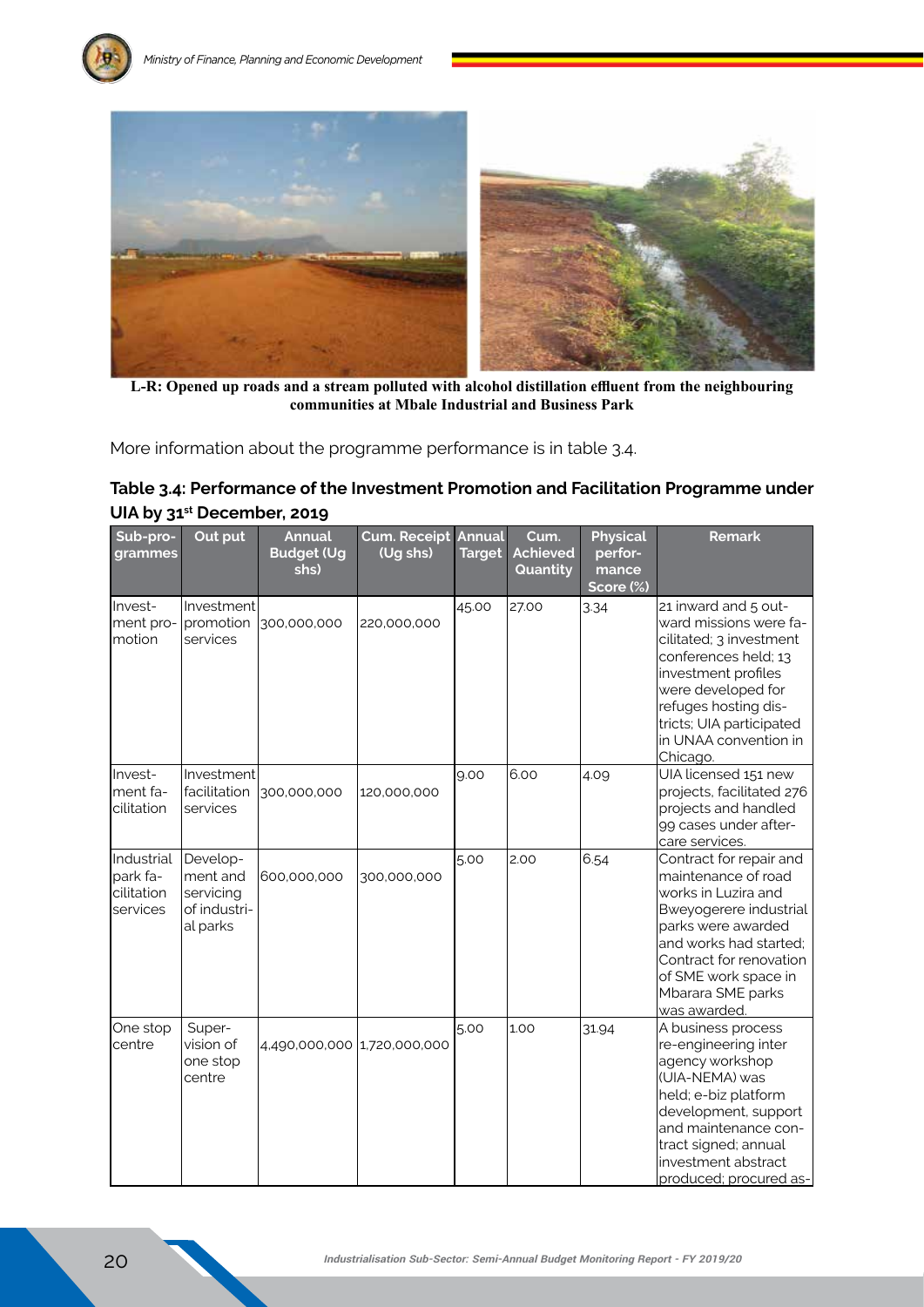

**L-R: Opened up roads and a stream polluted with alcohol distillation effluent from the neighbouring communities at Mbale Industrial and Business Park**

More information about the programme performance is in table 3.4.

| Table 3.4: Performance of the Investment Promotion and Facilitation Programme under |
|-------------------------------------------------------------------------------------|
| UIA by 31 <sup>st</sup> December, 2019                                              |

| Sub-pro-<br>grammes                              | Out put                                                       | <b>Annual</b><br><b>Budget (Ug</b><br>shs) | <b>Cum. Receipt Annual</b><br>(Ug shs) | Target | Cum.<br><b>Achieved</b><br>Quantity | <b>Physical</b><br>perfor-<br>mance<br>Score (%) | <b>Remark</b>                                                                                                                                                                                                                           |
|--------------------------------------------------|---------------------------------------------------------------|--------------------------------------------|----------------------------------------|--------|-------------------------------------|--------------------------------------------------|-----------------------------------------------------------------------------------------------------------------------------------------------------------------------------------------------------------------------------------------|
| Invest-<br>ment pro-<br>motion                   | Investment<br>promotion<br>services                           | 300,000,000                                | 220,000,000                            | 45.00  | 27.00                               | 3.34                                             | 21 inward and 5 out-<br>ward missions were fa-<br>cilitated; 3 investment<br>conferences held; 13<br>investment profiles<br>were developed for<br>refuges hosting dis-<br>tricts; UIA participated<br>in UNAA convention in<br>Chicago. |
| Invest-<br>ment fa-<br>cilitation                | Investment<br>facilitation<br>services                        | 300,000,000                                | 120,000,000                            | 9.00   | 6.00                                | 4.09                                             | UIA licensed 151 new<br>projects, facilitated 276<br>projects and handled<br>99 cases under after-<br>care services.                                                                                                                    |
| Industrial<br>park fa-<br>cilitation<br>services | Develop-<br>ment and<br>servicing<br>of industri-<br>al parks | 600,000,000                                | 300,000,000                            | 5.00   | 2.00                                | 6.54                                             | Contract for repair and<br>maintenance of road<br>works in Luzira and<br>Bweyogerere industrial<br>parks were awarded<br>and works had started;<br>Contract for renovation<br>of SME work space in<br>Mbarara SME parks<br>was awarded. |
| One stop<br>centre                               | Super-<br>vision of<br>one stop<br>centre                     | 4,490,000,000 1,720,000,000                |                                        | 5.00   | 1.00                                | 31.94                                            | A business process<br>re-engineering inter<br>agency workshop<br>(UIA-NEMA) was<br>held; e-biz platform<br>development, support<br>and maintenance con-<br>tract signed; annual<br>investment abstract<br>produced; procured as-        |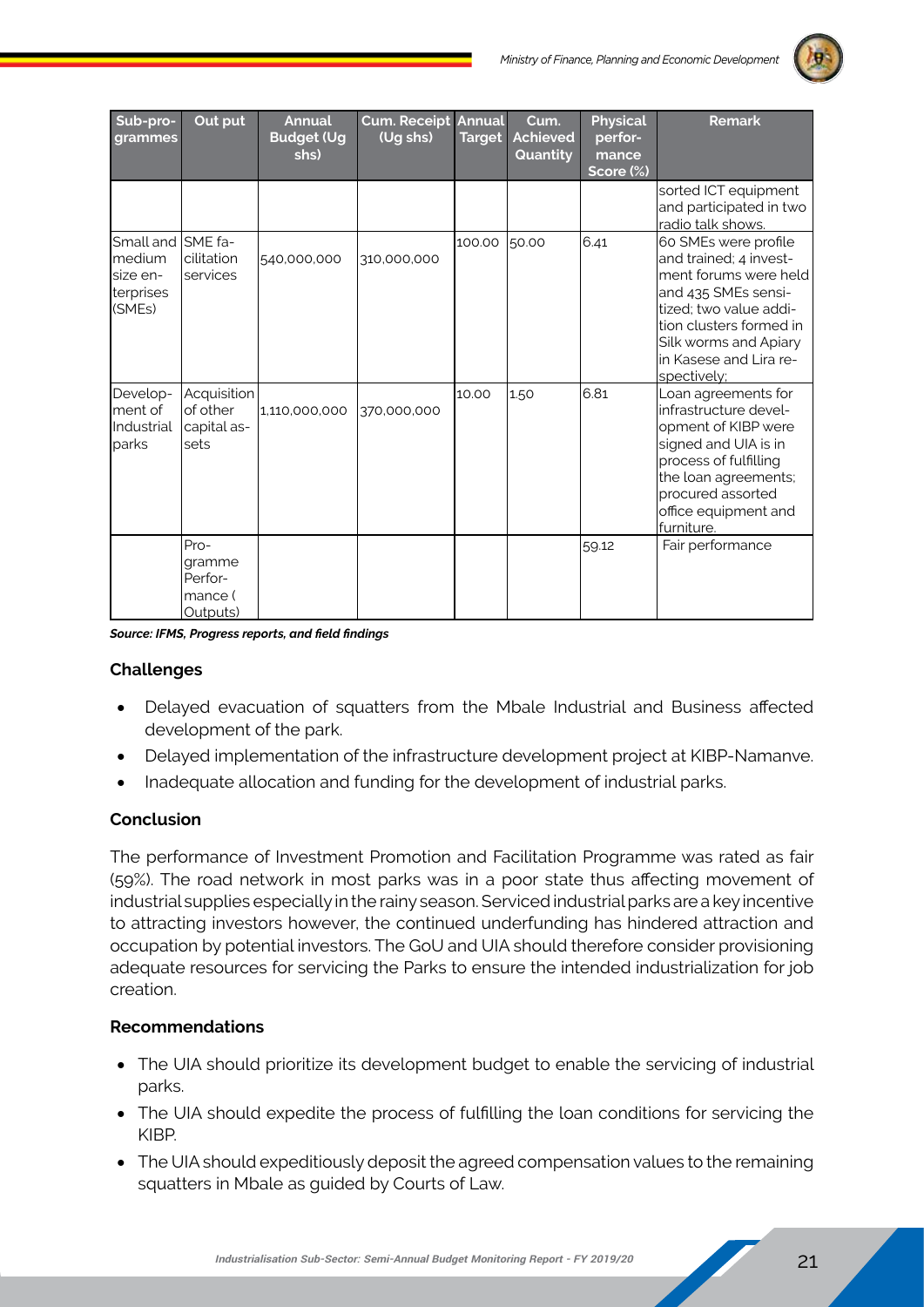

| Sub-pro-<br>grammes                                                         | Out put                                          | <b>Annual</b><br><b>Budget (Ug</b><br>shs) | <b>Cum. Receipt Annual</b><br>(Ug shs) | <b>Target</b> | Cum.<br><b>Achieved</b><br>Quantity | <b>Physical</b><br>perfor-<br>mance<br>Score (%) | Remark                                                                                                                                                                                                                 |
|-----------------------------------------------------------------------------|--------------------------------------------------|--------------------------------------------|----------------------------------------|---------------|-------------------------------------|--------------------------------------------------|------------------------------------------------------------------------------------------------------------------------------------------------------------------------------------------------------------------------|
|                                                                             |                                                  |                                            |                                        |               |                                     |                                                  | sorted ICT equipment<br>and participated in two<br>radio talk shows.                                                                                                                                                   |
| Small and SME fa-<br>medium<br>size en-<br>terprises<br>(SME <sub>s</sub> ) | cilitation<br>services                           | 540,000,000                                | 310,000,000                            | 100.00        | 50.00                               | 6.41                                             | 60 SMEs were profile<br>and trained; 4 invest-<br>ment forums were held<br>and 435 SMEs sensi-<br>tized: two value addi-<br>tion clusters formed in<br>Silk worms and Apiary<br>lin Kasese and Lira re-<br>spectively; |
| Develop-<br>ment of<br>Industrial<br>parks                                  | Acquisition<br>of other<br> capital as-<br>sets  | 1,110,000,000                              | 370,000,000                            | 10.00         | 1.50                                | 6.81                                             | Loan agreements for<br>infrastructure devel-<br>opment of KIBP were<br>signed and UIA is in<br>process of fulfilling<br>the loan agreements;<br>procured assorted<br>office equipment and<br>furniture.                |
|                                                                             | Pro-<br>gramme<br>Perfor-<br>mance (<br>Outputs) |                                            |                                        |               |                                     | 59.12                                            | Fair performance                                                                                                                                                                                                       |

*Source: IFMS, Progress reports, and field findings*

### **Challenges**

- Delayed evacuation of squatters from the Mbale Industrial and Business affected development of the park.
- Delayed implementation of the infrastructure development project at KIBP-Namanve.
- Inadequate allocation and funding for the development of industrial parks.

### **Conclusion**

The performance of Investment Promotion and Facilitation Programme was rated as fair (59%). The road network in most parks was in a poor state thus affecting movement of industrial supplies especially in the rainy season. Serviced industrial parks are a key incentive to attracting investors however, the continued underfunding has hindered attraction and occupation by potential investors. The GoU and UIA should therefore consider provisioning adequate resources for servicing the Parks to ensure the intended industrialization for job creation.

### **Recommendations**

- The UIA should prioritize its development budget to enable the servicing of industrial parks.
- The UIA should expedite the process of fulfilling the loan conditions for servicing the KIBP.
- The UIA should expeditiously deposit the agreed compensation values to the remaining squatters in Mbale as guided by Courts of Law.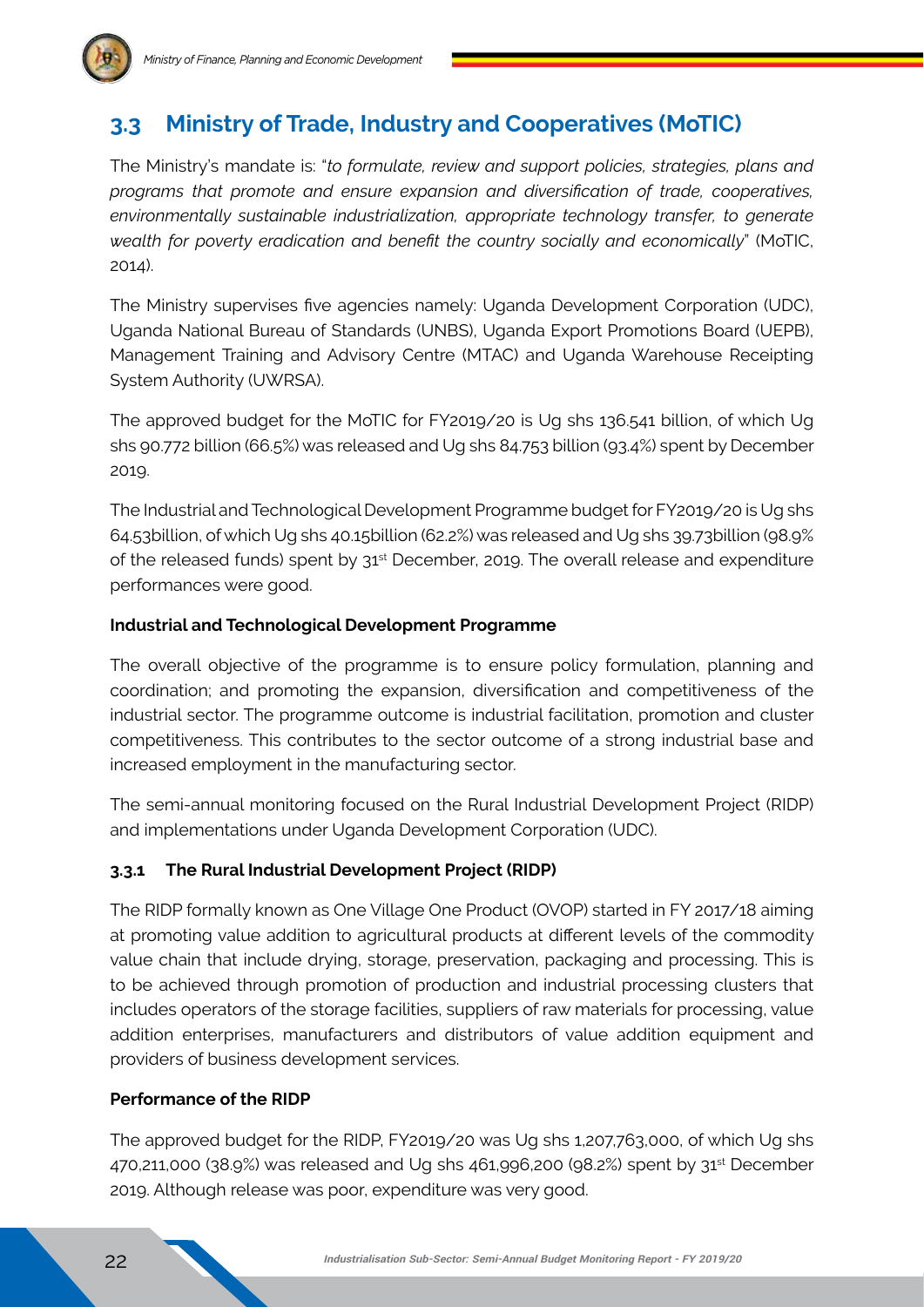## **3.3 Ministry of Trade, Industry and Cooperatives (MoTIC)**

The Ministry's mandate is: "*to formulate, review and support policies, strategies, plans and programs that promote and ensure expansion and diversification of trade, cooperatives, environmentally sustainable industrialization, appropriate technology transfer, to generate wealth for poverty eradication and benefit the country socially and economically*" (MoTIC,  $2014$ ).

The Ministry supervises five agencies namely: Uganda Development Corporation (UDC), Uganda National Bureau of Standards (UNBS), Uganda Export Promotions Board (UEPB), Management Training and Advisory Centre (MTAC) and Uganda Warehouse Receipting System Authority (UWRSA).

The approved budget for the MoTIC for FY2019/20 is Ug shs 136.541 billion, of which Ug shs 90.772 billion (66.5%) was released and Ug shs 84.753 billion (93.4%) spent by December 2019.

The Industrial and Technological Development Programme budget for FY2019/20 is Ug shs 64.53billion, of which Ug shs 40.15billion (62.2%) was released and Ug shs 39.73billion (98.9% of the released funds) spent by 31<sup>st</sup> December, 2019. The overall release and expenditure performances were good.

## **Industrial and Technological Development Programme**

The overall objective of the programme is to ensure policy formulation, planning and coordination; and promoting the expansion, diversification and competitiveness of the industrial sector. The programme outcome is industrial facilitation, promotion and cluster competitiveness. This contributes to the sector outcome of a strong industrial base and increased employment in the manufacturing sector.

The semi-annual monitoring focused on the Rural Industrial Development Project (RIDP) and implementations under Uganda Development Corporation (UDC).

## **3.3.1 The Rural Industrial Development Project (RIDP)**

The RIDP formally known as One Village One Product (OVOP) started in FY 2017/18 aiming at promoting value addition to agricultural products at different levels of the commodity value chain that include drying, storage, preservation, packaging and processing. This is to be achieved through promotion of production and industrial processing clusters that includes operators of the storage facilities, suppliers of raw materials for processing, value addition enterprises, manufacturers and distributors of value addition equipment and providers of business development services.

## **Performance of the RIDP**

The approved budget for the RIDP, FY2019/20 was Ug shs 1,207,763,000, of which Ug shs 470,211,000 (38.9%) was released and Ug shs 461,996,200 (98.2%) spent by 31st December 2019. Although release was poor, expenditure was very good.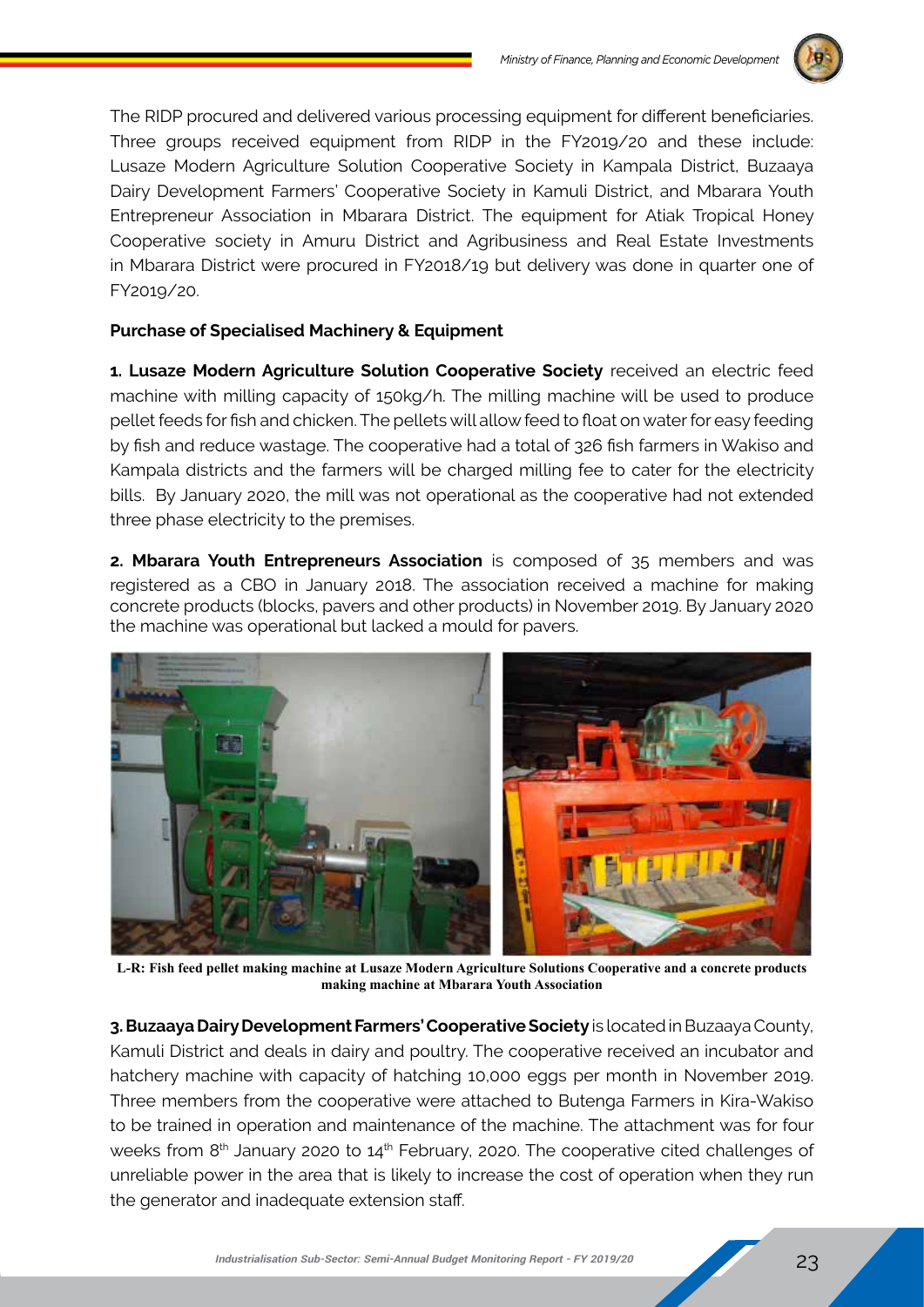

The RIDP procured and delivered various processing equipment for different beneficiaries. Three groups received equipment from RIDP in the FY2019/20 and these include: Lusaze Modern Agriculture Solution Cooperative Society in Kampala District, Buzaaya Dairy Development Farmers' Cooperative Society in Kamuli District, and Mbarara Youth Entrepreneur Association in Mbarara District. The equipment for Atiak Tropical Honey Cooperative society in Amuru District and Agribusiness and Real Estate Investments in Mbarara District were procured in FY2018/19 but delivery was done in quarter one of FY2019/20.

## **Purchase of Specialised Machinery & Equipment**

**1. Lusaze Modern Agriculture Solution Cooperative Society** received an electric feed machine with milling capacity of 150kg/h. The milling machine will be used to produce pellet feeds for fish and chicken. The pellets will allow feed to float on water for easy feeding by fish and reduce wastage. The cooperative had a total of 326 fish farmers in Wakiso and Kampala districts and the farmers will be charged milling fee to cater for the electricity bills. By January 2020, the mill was not operational as the cooperative had not extended three phase electricity to the premises.

**2. Mbarara Youth Entrepreneurs Association** is composed of 35 members and was registered as a CBO in January 2018. The association received a machine for making concrete products (blocks, pavers and other products) in November 2019. By January 2020 the machine was operational but lacked a mould for pavers.



**L-R: Fish feed pellet making machine at Lusaze Modern Agriculture Solutions Cooperative and a concrete products making machine at Mbarara Youth Association**

**3. Buzaaya Dairy Development Farmers' Cooperative Society** is located in Buzaaya County, Kamuli District and deals in dairy and poultry. The cooperative received an incubator and hatchery machine with capacity of hatching 10,000 eggs per month in November 2019. Three members from the cooperative were attached to Butenga Farmers in Kira-Wakiso to be trained in operation and maintenance of the machine. The attachment was for four weeks from 8<sup>th</sup> January 2020 to 14<sup>th</sup> February, 2020. The cooperative cited challenges of unreliable power in the area that is likely to increase the cost of operation when they run the generator and inadequate extension staff.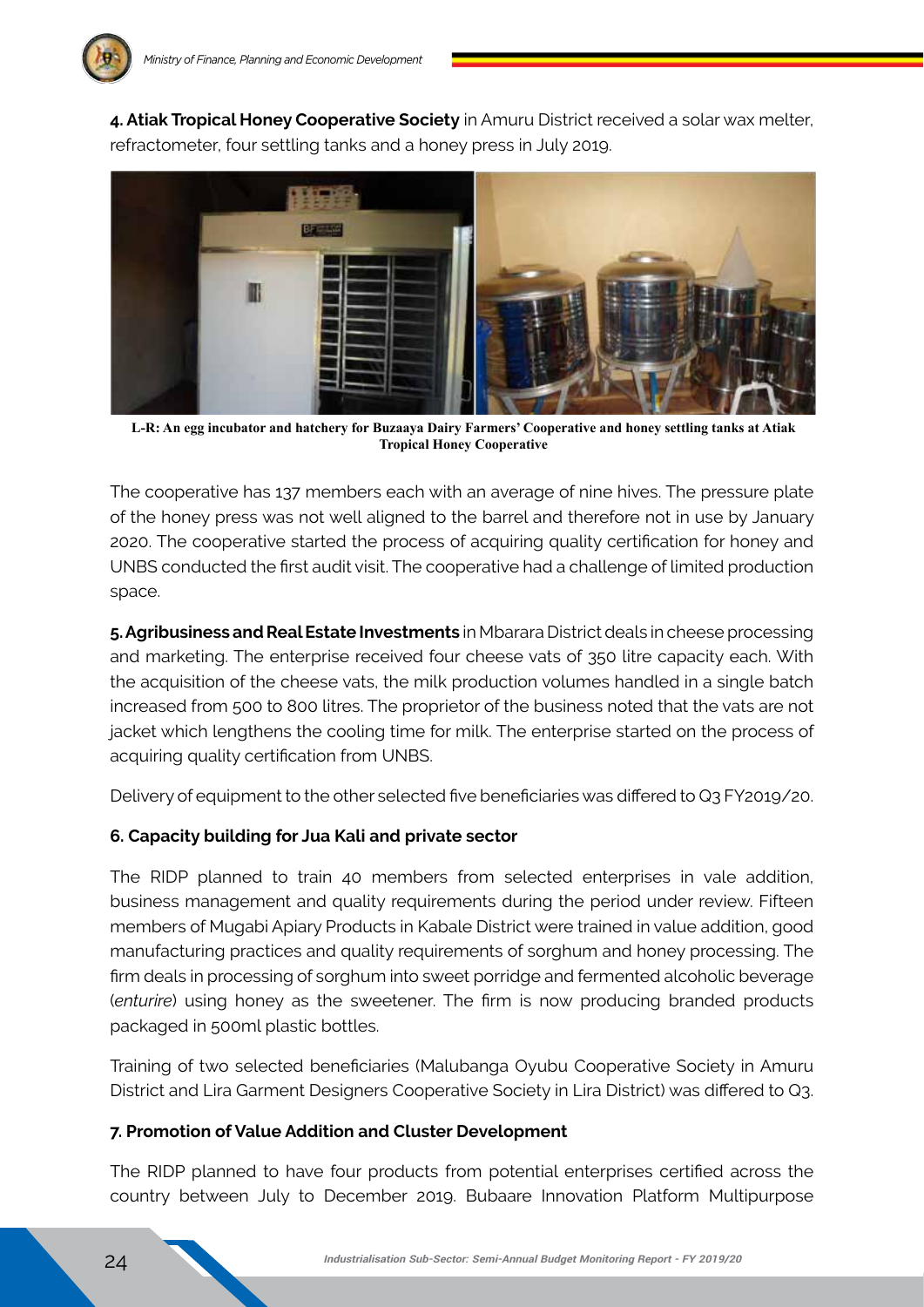

**4. Atiak Tropical Honey Cooperative Society** in Amuru District received a solar wax melter, refractometer, four settling tanks and a honey press in July 2019.



**L-R: An egg incubator and hatchery for Buzaaya Dairy Farmers' Cooperative and honey settling tanks at Atiak Tropical Honey Cooperative**

The cooperative has 137 members each with an average of nine hives. The pressure plate of the honey press was not well aligned to the barrel and therefore not in use by January 2020. The cooperative started the process of acquiring quality certification for honey and UNBS conducted the first audit visit. The cooperative had a challenge of limited production space.

**5. Agribusiness and Real Estate Investments** in Mbarara District deals in cheese processing and marketing. The enterprise received four cheese vats of 350 litre capacity each. With the acquisition of the cheese vats, the milk production volumes handled in a single batch increased from 500 to 800 litres. The proprietor of the business noted that the vats are not jacket which lengthens the cooling time for milk. The enterprise started on the process of acquiring quality certification from UNBS.

Delivery of equipment to the other selected five beneficiaries was differed to Q3 FY2019/20.

## **6. Capacity building for Jua Kali and private sector**

The RIDP planned to train 40 members from selected enterprises in vale addition, business management and quality requirements during the period under review. Fifteen members of Mugabi Apiary Products in Kabale District were trained in value addition, good manufacturing practices and quality requirements of sorghum and honey processing. The firm deals in processing of sorghum into sweet porridge and fermented alcoholic beverage (*enturire*) using honey as the sweetener. The firm is now producing branded products packaged in 500ml plastic bottles.

Training of two selected beneficiaries (Malubanga Oyubu Cooperative Society in Amuru District and Lira Garment Designers Cooperative Society in Lira District) was differed to Q3.

### **7. Promotion of Value Addition and Cluster Development**

The RIDP planned to have four products from potential enterprises certified across the country between July to December 2019. Bubaare Innovation Platform Multipurpose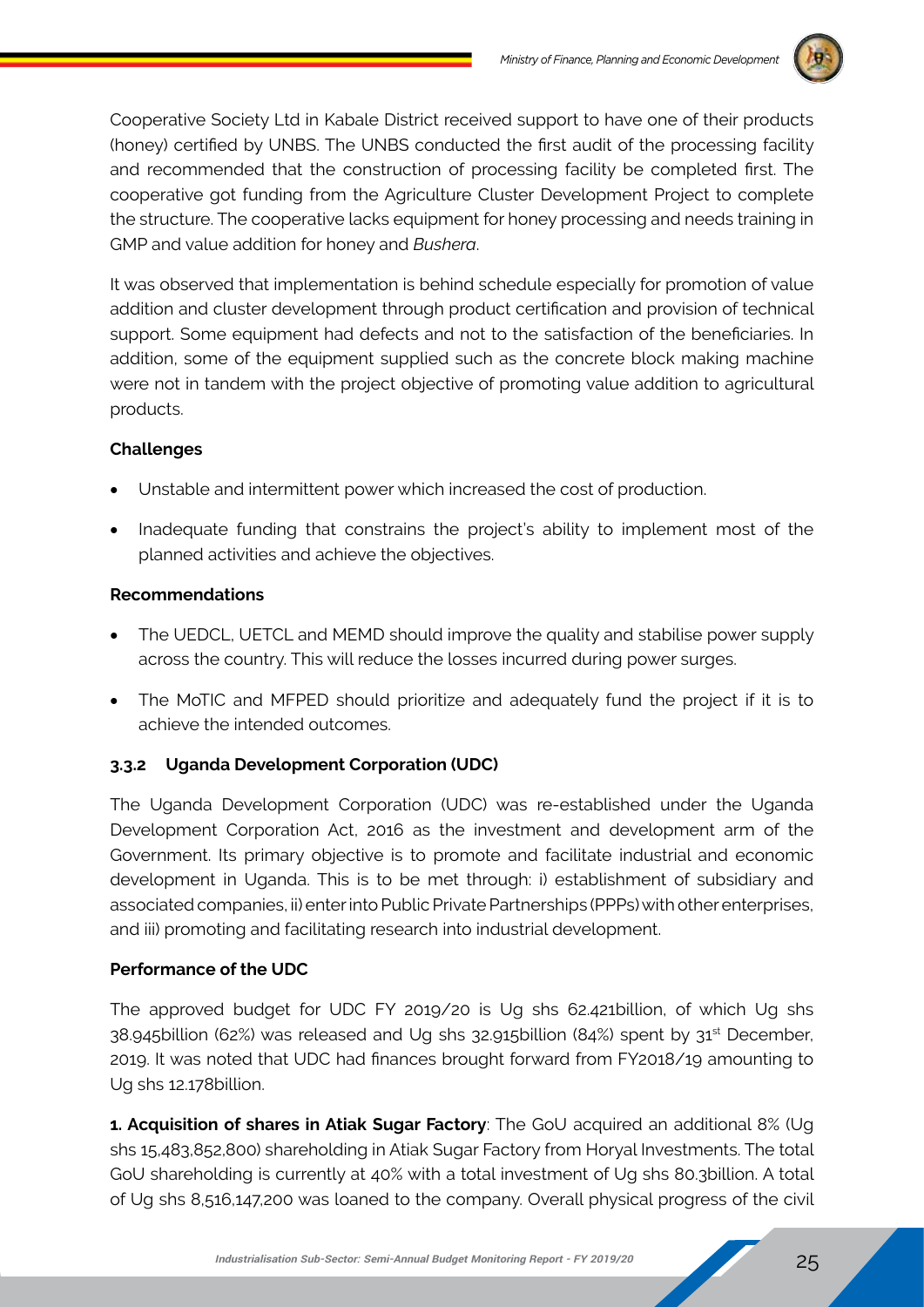

Cooperative Society Ltd in Kabale District received support to have one of their products (honey) certified by UNBS. The UNBS conducted the first audit of the processing facility and recommended that the construction of processing facility be completed first. The cooperative got funding from the Agriculture Cluster Development Project to complete the structure. The cooperative lacks equipment for honey processing and needs training in GMP and value addition for honey and *Bushera*.

It was observed that implementation is behind schedule especially for promotion of value addition and cluster development through product certification and provision of technical support. Some equipment had defects and not to the satisfaction of the beneficiaries. In addition, some of the equipment supplied such as the concrete block making machine were not in tandem with the project objective of promoting value addition to agricultural products.

## **Challenges**

- Unstable and intermittent power which increased the cost of production.
- Inadequate funding that constrains the project's ability to implement most of the planned activities and achieve the objectives.

### **Recommendations**

- The UEDCL, UETCL and MEMD should improve the quality and stabilise power supply across the country. This will reduce the losses incurred during power surges.
- The MoTIC and MFPED should prioritize and adequately fund the project if it is to achieve the intended outcomes.

## **3.3.2 Uganda Development Corporation (UDC)**

The Uganda Development Corporation (UDC) was re-established under the Uganda Development Corporation Act, 2016 as the investment and development arm of the Government. Its primary objective is to promote and facilitate industrial and economic development in Uganda. This is to be met through: i) establishment of subsidiary and associated companies, ii) enter into Public Private Partnerships (PPPs) with other enterprises, and iii) promoting and facilitating research into industrial development.

## **Performance of the UDC**

The approved budget for UDC FY 2019/20 is Ug shs 62.421billion, of which Ug shs 38.945 billion (62%) was released and Ug shs 32.915 billion (84%) spent by 31<sup>st</sup> December, 2019. It was noted that UDC had finances brought forward from FY2018/19 amounting to Ug shs 12.178billion.

**1. Acquisition of shares in Atiak Sugar Factory**: The GoU acquired an additional 8% (Ug shs 15,483,852,800) shareholding in Atiak Sugar Factory from Horyal Investments. The total GoU shareholding is currently at 40% with a total investment of Ug shs 80.3billion. A total of Ug shs 8,516,147,200 was loaned to the company. Overall physical progress of the civil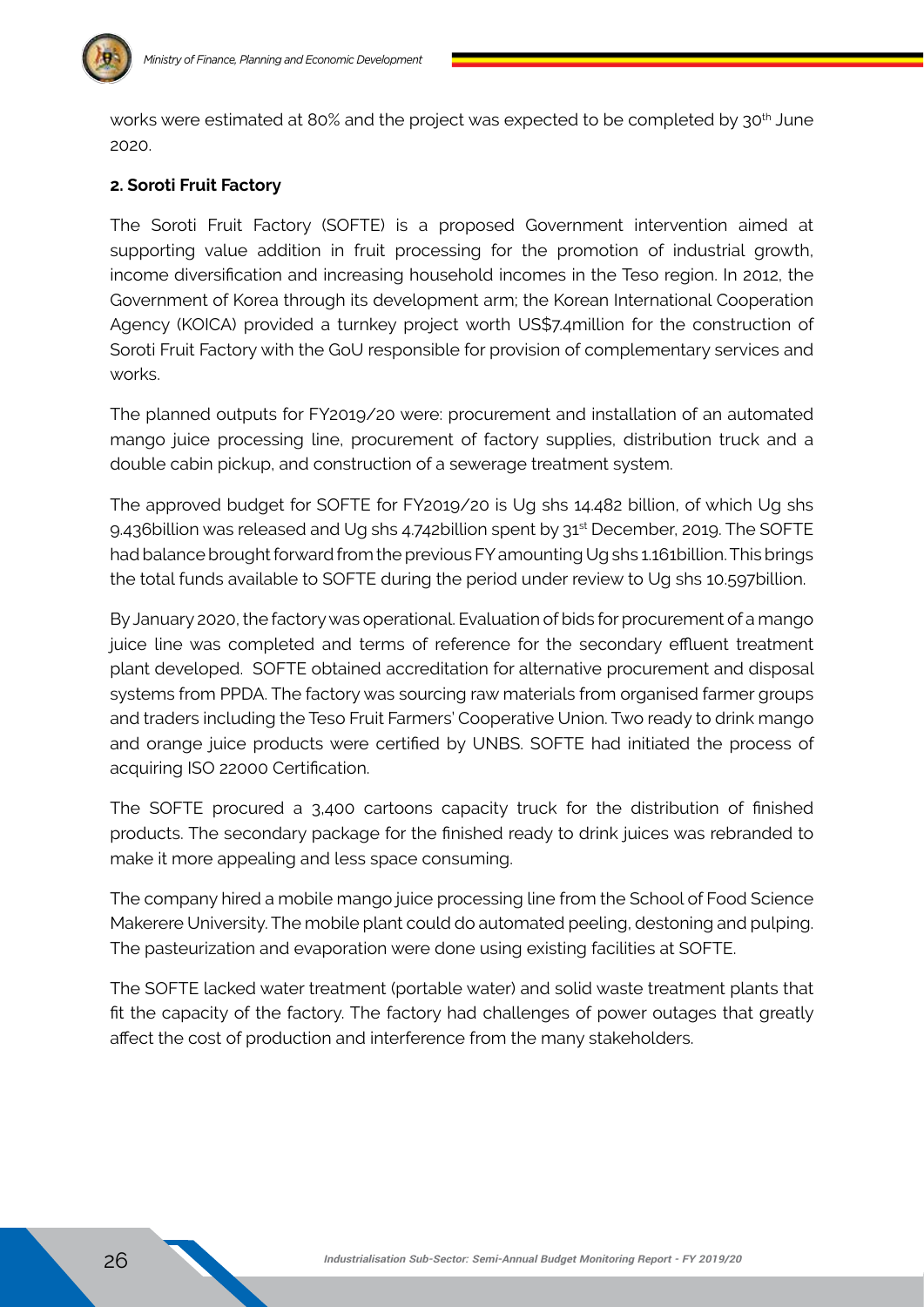works were estimated at 80% and the project was expected to be completed by 30<sup>th</sup> June 2020.

#### **2. Soroti Fruit Factory**

The Soroti Fruit Factory (SOFTE) is a proposed Government intervention aimed at supporting value addition in fruit processing for the promotion of industrial growth, income diversification and increasing household incomes in the Teso region. In 2012, the Government of Korea through its development arm; the Korean International Cooperation Agency (KOICA) provided a turnkey project worth US\$7.4million for the construction of Soroti Fruit Factory with the GoU responsible for provision of complementary services and works.

The planned outputs for FY2019/20 were: procurement and installation of an automated mango juice processing line, procurement of factory supplies, distribution truck and a double cabin pickup, and construction of a sewerage treatment system.

The approved budget for SOFTE for FY2019/20 is Ug shs 14.482 billion, of which Ug shs 9.436 billion was released and Ug shs 4.742 billion spent by 31<sup>st</sup> December, 2019. The SOFTE had balance brought forward from the previous FY amounting Ug shs 1.161billion. This brings the total funds available to SOFTE during the period under review to Ug shs 10.597billion.

By January 2020, the factory was operational. Evaluation of bids for procurement of a mango juice line was completed and terms of reference for the secondary effluent treatment plant developed. SOFTE obtained accreditation for alternative procurement and disposal systems from PPDA. The factory was sourcing raw materials from organised farmer groups and traders including the Teso Fruit Farmers' Cooperative Union. Two ready to drink mango and orange juice products were certified by UNBS. SOFTE had initiated the process of acquiring ISO 22000 Certification.

The SOFTE procured a 3,400 cartoons capacity truck for the distribution of finished products. The secondary package for the finished ready to drink juices was rebranded to make it more appealing and less space consuming.

The company hired a mobile mango juice processing line from the School of Food Science Makerere University. The mobile plant could do automated peeling, destoning and pulping. The pasteurization and evaporation were done using existing facilities at SOFTE.

The SOFTE lacked water treatment (portable water) and solid waste treatment plants that fit the capacity of the factory. The factory had challenges of power outages that greatly affect the cost of production and interference from the many stakeholders.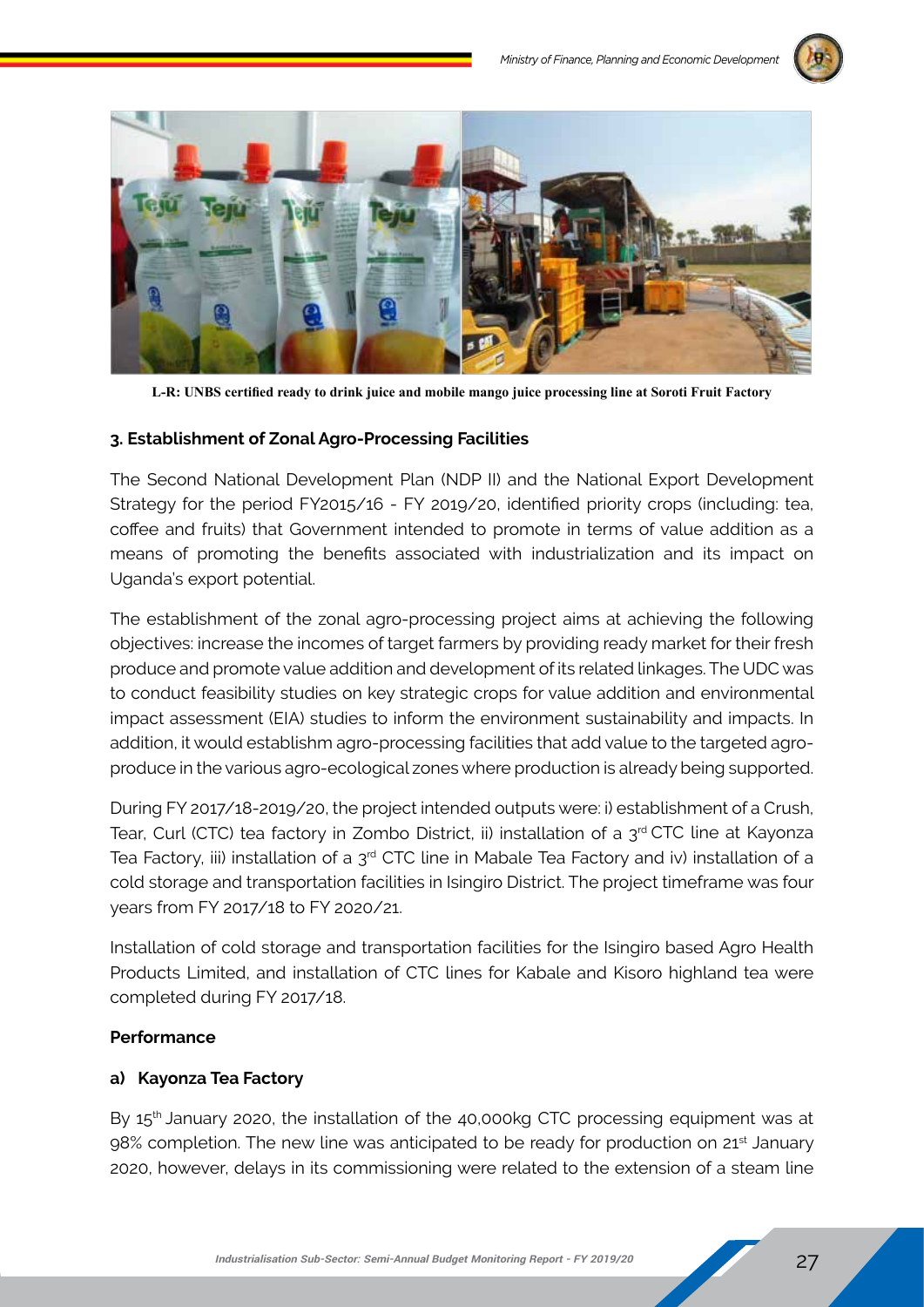



**L-R: UNBS certified ready to drink juice and mobile mango juice processing line at Soroti Fruit Factory**

### **3. Establishment of Zonal Agro-Processing Facilities**

The Second National Development Plan (NDP II) and the National Export Development Strategy for the period FY2015/16 - FY 2019/20, identified priority crops (including: tea, coffee and fruits) that Government intended to promote in terms of value addition as a means of promoting the benefits associated with industrialization and its impact on Uganda's export potential.

The establishment of the zonal agro-processing project aims at achieving the following objectives: increase the incomes of target farmers by providing ready market for their fresh produce and promote value addition and development of its related linkages. The UDC was to conduct feasibility studies on key strategic crops for value addition and environmental impact assessment (EIA) studies to inform the environment sustainability and impacts. In addition, it would establishm agro-processing facilities that add value to the targeted agroproduce in the various agro-ecological zones where production is already being supported.

During FY 2017/18-2019/20, the project intended outputs were: i) establishment of a Crush, Tear, Curl (CTC) tea factory in Zombo District, ii) installation of a 3<sup>rd</sup> CTC line at Kayonza Tea Factory, iii) installation of a 3rd CTC line in Mabale Tea Factory and iv) installation of a cold storage and transportation facilities in Isingiro District. The project timeframe was four years from FY 2017/18 to FY 2020/21.

Installation of cold storage and transportation facilities for the Isingiro based Agro Health Products Limited, and installation of CTC lines for Kabale and Kisoro highland tea were completed during FY 2017/18.

### **Performance**

### **a) Kayonza Tea Factory**

By  $15<sup>th</sup>$  January 2020, the installation of the 40,000kg CTC processing equipment was at  $98\%$  completion. The new line was anticipated to be ready for production on  $21<sup>st</sup>$  January 2020, however, delays in its commissioning were related to the extension of a steam line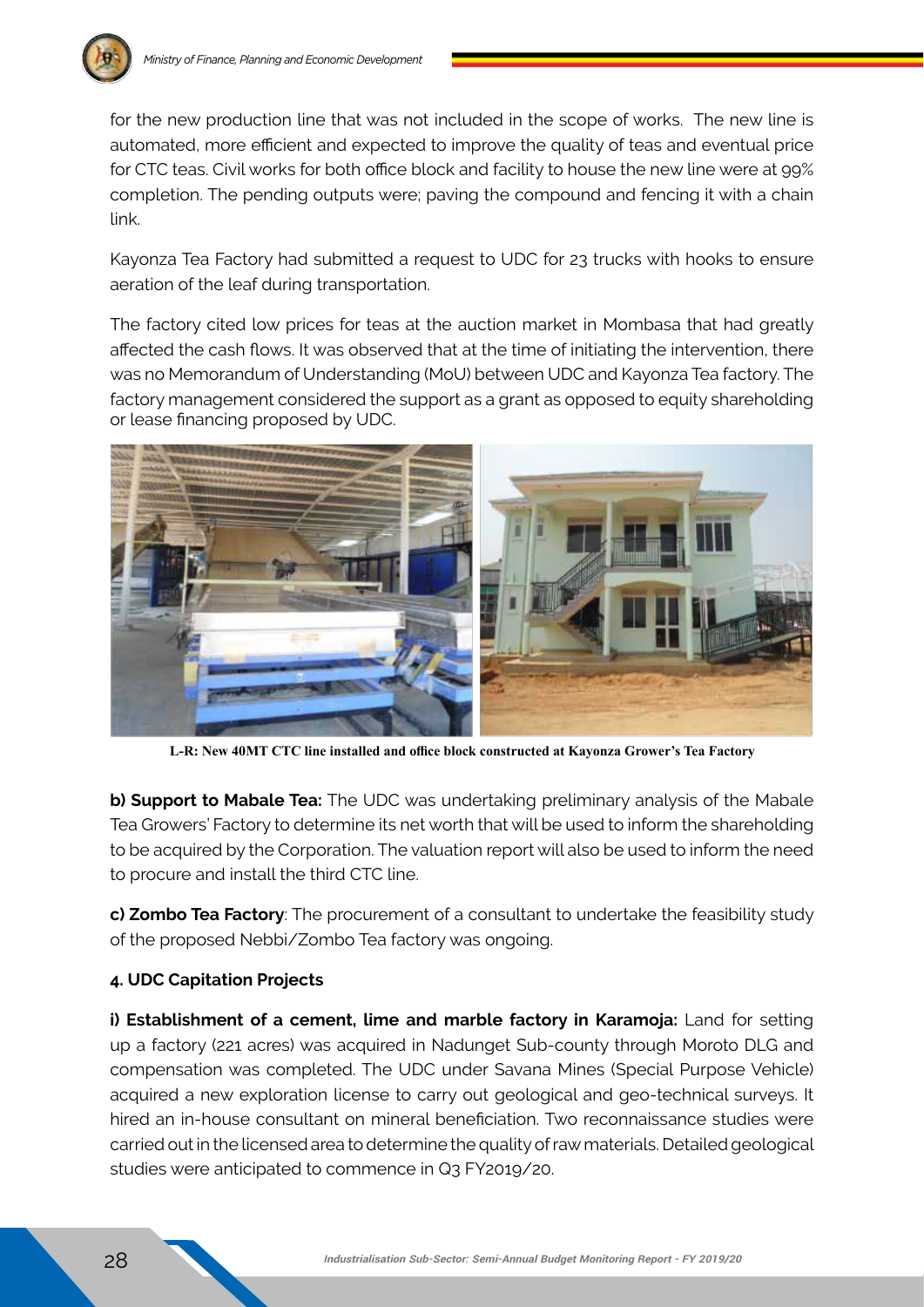

for the new production line that was not included in the scope of works. The new line is automated, more efficient and expected to improve the quality of teas and eventual price for CTC teas. Civil works for both office block and facility to house the new line were at 99% completion. The pending outputs were; paving the compound and fencing it with a chain link.

Kayonza Tea Factory had submitted a request to UDC for 23 trucks with hooks to ensure aeration of the leaf during transportation.

The factory cited low prices for teas at the auction market in Mombasa that had greatly affected the cash flows. It was observed that at the time of initiating the intervention, there was no Memorandum of Understanding (MoU) between UDC and Kayonza Tea factory. The factory management considered the support as a grant as opposed to equity shareholding or lease financing proposed by UDC.



**L-R: New 40MT CTC line installed and office block constructed at Kayonza Grower's Tea Factory**

**b) Support to Mabale Tea:** The UDC was undertaking preliminary analysis of the Mabale Tea Growers' Factory to determine its net worth that will be used to inform the shareholding to be acquired by the Corporation. The valuation report will also be used to inform the need to procure and install the third CTC line.

**c) Zombo Tea Factory**: The procurement of a consultant to undertake the feasibility study of the proposed Nebbi/Zombo Tea factory was ongoing.

### **4. UDC Capitation Projects**

**i) Establishment of a cement, lime and marble factory in Karamoja:** Land for setting up a factory (221 acres) was acquired in Nadunget Sub-county through Moroto DLG and compensation was completed. The UDC under Savana Mines (Special Purpose Vehicle) acquired a new exploration license to carry out geological and geo-technical surveys. It hired an in-house consultant on mineral beneficiation. Two reconnaissance studies were carried out in the licensed area to determine the quality of raw materials. Detailed geological studies were anticipated to commence in Q3 FY2019/20.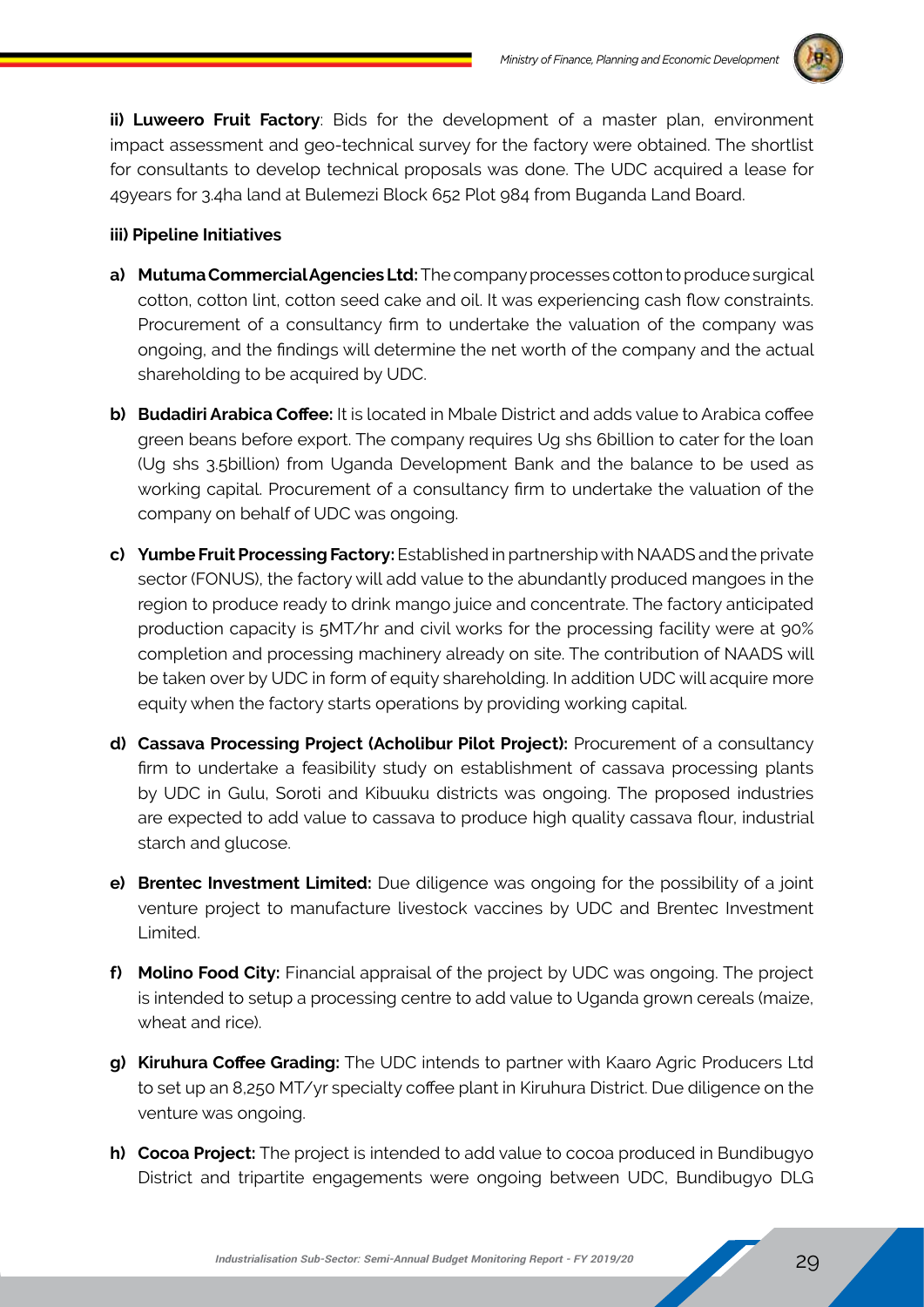

**ii) Luweero Fruit Factory**: Bids for the development of a master plan, environment impact assessment and geo-technical survey for the factory were obtained. The shortlist for consultants to develop technical proposals was done. The UDC acquired a lease for 49years for 3.4ha land at Bulemezi Block 652 Plot 984 from Buganda Land Board.

### **iii) Pipeline Initiatives**

- **a) Mutuma Commercial Agencies Ltd:** The company processes cotton to produce surgical cotton, cotton lint, cotton seed cake and oil. It was experiencing cash flow constraints. Procurement of a consultancy firm to undertake the valuation of the company was ongoing, and the findings will determine the net worth of the company and the actual shareholding to be acquired by UDC.
- **b) Budadiri Arabica Coffee:** It is located in Mbale District and adds value to Arabica coffee green beans before export. The company requires Ug shs 6billion to cater for the loan (Ug shs 3.5billion) from Uganda Development Bank and the balance to be used as working capital. Procurement of a consultancy firm to undertake the valuation of the company on behalf of UDC was ongoing.
- **c) Yumbe Fruit Processing Factory:** Established in partnership with NAADS and the private sector (FONUS), the factory will add value to the abundantly produced mangoes in the region to produce ready to drink mango juice and concentrate. The factory anticipated production capacity is 5MT/hr and civil works for the processing facility were at 90% completion and processing machinery already on site. The contribution of NAADS will be taken over by UDC in form of equity shareholding. In addition UDC will acquire more equity when the factory starts operations by providing working capital.
- **d) Cassava Processing Project (Acholibur Pilot Project):** Procurement of a consultancy firm to undertake a feasibility study on establishment of cassava processing plants by UDC in Gulu, Soroti and Kibuuku districts was ongoing. The proposed industries are expected to add value to cassava to produce high quality cassava flour, industrial starch and glucose.
- **e) Brentec Investment Limited:** Due diligence was ongoing for the possibility of a joint venture project to manufacture livestock vaccines by UDC and Brentec Investment Limited.
- **f) Molino Food City:** Financial appraisal of the project by UDC was ongoing. The project is intended to setup a processing centre to add value to Uganda grown cereals (maize, wheat and rice).
- **g) Kiruhura Coffee Grading:** The UDC intends to partner with Kaaro Agric Producers Ltd to set up an 8,250 MT/yr specialty coffee plant in Kiruhura District. Due diligence on the venture was ongoing.
- **h) Cocoa Project:** The project is intended to add value to cocoa produced in Bundibugyo District and tripartite engagements were ongoing between UDC, Bundibugyo DLG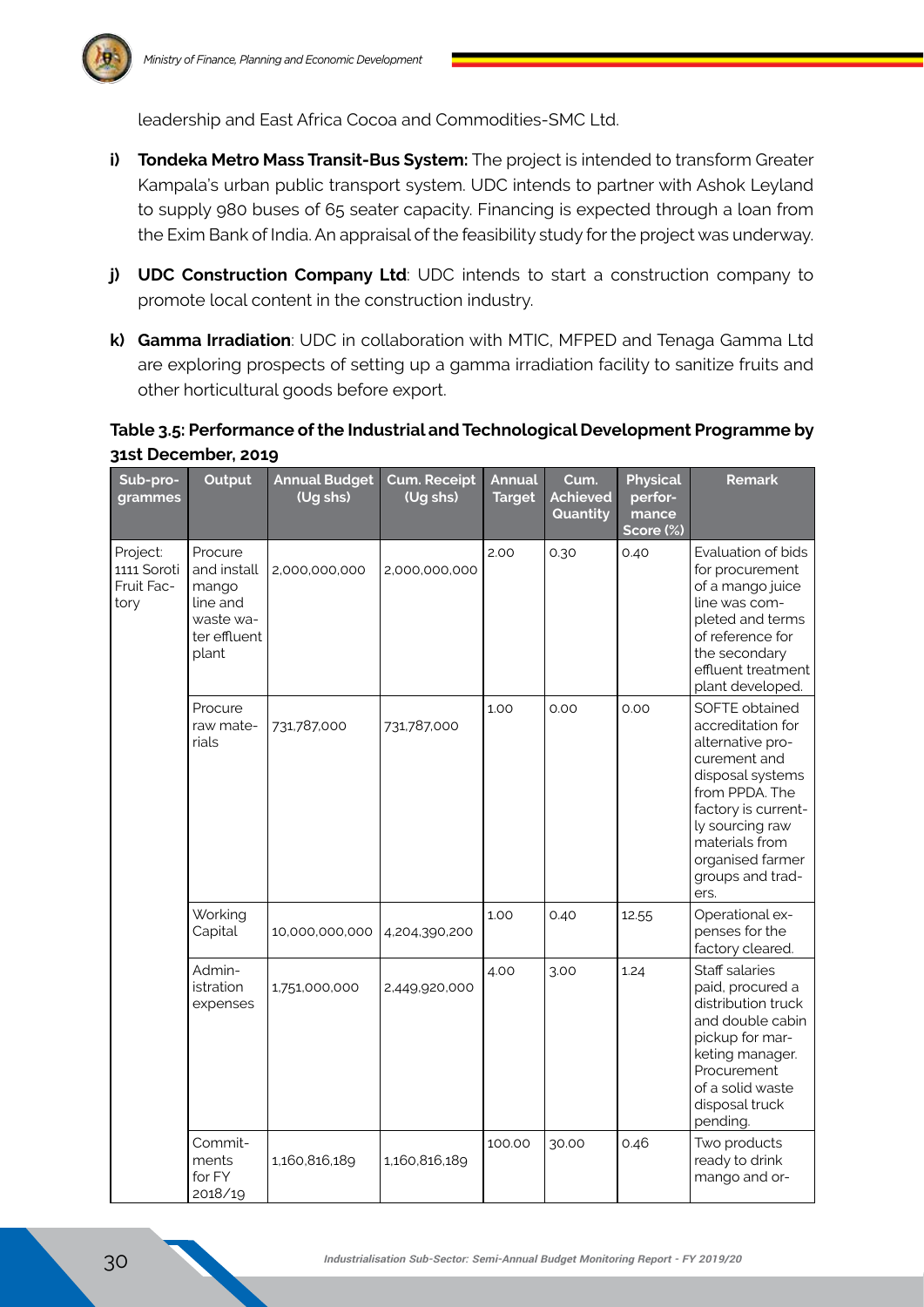

leadership and East Africa Cocoa and Commodities-SMC Ltd.

- **i) Tondeka Metro Mass Transit-Bus System:** The project is intended to transform Greater Kampala's urban public transport system. UDC intends to partner with Ashok Leyland to supply 980 buses of 65 seater capacity. Financing is expected through a loan from the Exim Bank of India. An appraisal of the feasibility study for the project was underway.
- **j) UDC Construction Company Ltd**: UDC intends to start a construction company to promote local content in the construction industry.
- **k) Gamma Irradiation**: UDC in collaboration with MTIC, MFPED and Tenaga Gamma Ltd are exploring prospects of setting up a gamma irradiation facility to sanitize fruits and other horticultural goods before export.

## **Table 3.5: Performance of the Industrial and Technological Development Programme by 31st December, 2019**

| Sub-pro-<br>grammes                           | Output                                                                            | <b>Annual Budget</b><br>(Ug shs) | <b>Cum. Receipt</b><br>(Ug shs) | <b>Annual</b><br><b>Target</b> | Cum.<br><b>Achieved</b><br>Quantity | <b>Physical</b><br>perfor-<br>mance<br>Score (%) | <b>Remark</b>                                                                                                                                                                                                             |
|-----------------------------------------------|-----------------------------------------------------------------------------------|----------------------------------|---------------------------------|--------------------------------|-------------------------------------|--------------------------------------------------|---------------------------------------------------------------------------------------------------------------------------------------------------------------------------------------------------------------------------|
| Project:<br>1111 Soroti<br>Fruit Fac-<br>tory | Procure<br>and install<br>mango<br>line and<br>waste wa-<br>ter effluent<br>plant | 2,000,000,000                    | 2,000,000,000                   | 2.00                           | 0.30                                | 0.40                                             | Evaluation of bids<br>for procurement<br>of a mango juice<br>line was com-<br>pleted and terms<br>of reference for<br>the secondary<br>effluent treatment<br>plant developed.                                             |
|                                               | Procure<br>raw mate-<br>rials                                                     | 731,787,000                      | 731,787,000                     | 1.00                           | 0.00                                | 0.00                                             | SOFTE obtained<br>accreditation for<br>alternative pro-<br>curement and<br>disposal systems<br>from PPDA. The<br>factory is current-<br>ly sourcing raw<br>materials from<br>organised farmer<br>groups and trad-<br>ers. |
|                                               | Working<br>Capital                                                                | 10,000,000,000                   | 4,204,390,200                   | 1.00                           | 0.40                                | 12.55                                            | Operational ex-<br>penses for the<br>factory cleared.                                                                                                                                                                     |
|                                               | Admin-<br>istration<br>expenses                                                   | 1,751,000,000                    | 2,449,920,000                   | 4.00                           | 3.00                                | 1.24                                             | Staff salaries<br>paid, procured a<br>distribution truck<br>and double cabin<br>pickup for mar-<br>keting manager.<br>Procurement<br>of a solid waste<br>disposal truck<br>pending.                                       |
|                                               | Commit-<br>ments<br>for FY<br>2018/19                                             | 1,160,816,189                    | 1,160,816,189                   | 100.00                         | 30.00                               | 0.46                                             | Two products<br>ready to drink<br>mango and or-                                                                                                                                                                           |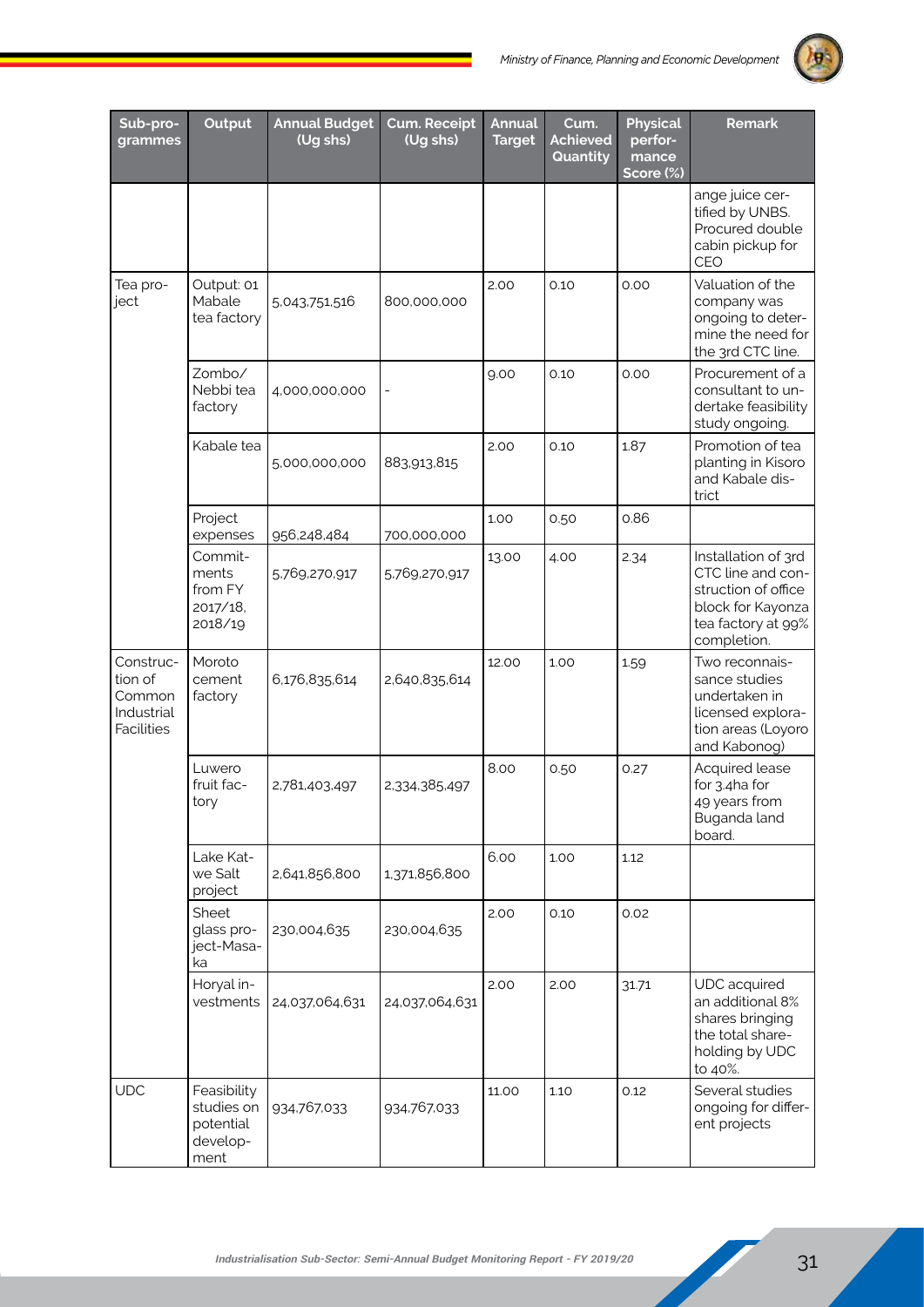

| Sub-pro-<br>grammes                                               | Output                                                     | <b>Annual Budget</b><br>(Ug shs) | <b>Cum. Receipt</b><br>(Ug shs) | <b>Annual</b><br><b>Target</b> | Cum.<br><b>Achieved</b><br>Quantity | <b>Physical</b><br>perfor-<br>mance<br>Score (%) | <b>Remark</b>                                                                                                             |
|-------------------------------------------------------------------|------------------------------------------------------------|----------------------------------|---------------------------------|--------------------------------|-------------------------------------|--------------------------------------------------|---------------------------------------------------------------------------------------------------------------------------|
|                                                                   |                                                            |                                  |                                 |                                |                                     |                                                  | ange juice cer-<br>tified by UNBS.<br>Procured double<br>cabin pickup for<br>CEO                                          |
| Tea pro-<br>ject                                                  | Output: 01<br>Mabale<br>tea factory                        | 5,043,751,516                    | 800,000,000                     | 2.00                           | 0.10                                | 0.00                                             | Valuation of the<br>company was<br>ongoing to deter-<br>mine the need for<br>the 3rd CTC line.                            |
|                                                                   | Zombo/<br>Nebbi tea<br>factory                             | 4,000,000,000                    |                                 | 9.00                           | 0.10                                | 0.00                                             | Procurement of a<br>consultant to un-<br>dertake feasibility<br>study ongoing.                                            |
|                                                                   | Kabale tea                                                 | 5,000,000,000                    | 883,913,815                     | 2.00                           | 0.10                                | 1.87                                             | Promotion of tea<br>planting in Kisoro<br>and Kabale dis-<br>trict                                                        |
|                                                                   | Project<br>expenses                                        | 956,248,484                      | 700,000,000                     | 1.00                           | 0.50                                | 0.86                                             |                                                                                                                           |
|                                                                   | Commit-<br>ments<br>from FY<br>2017/18,<br>2018/19         | 5,769,270,917                    | 5,769,270,917                   | 13.00                          | 4.00                                | 2.34                                             | Installation of 3rd<br>CTC line and con-<br>struction of office<br>block for Kayonza<br>tea factory at 99%<br>completion. |
| Construc-<br>tion of<br>Common<br>Industrial<br><b>Facilities</b> | Moroto<br>cement<br>factory                                | 6,176,835,614                    | 2,640,835,614                   | 12.00                          | 1.00                                | 1.59                                             | Two reconnais-<br>sance studies<br>undertaken in<br>licensed explora-<br>tion areas (Loyoro<br>and Kabonog)               |
|                                                                   | Luwero<br>fruit fac-<br>tory                               | 2,781,403,497                    | 2,334,385,497                   | 8.00                           | 0.50                                | 0.27                                             | Acquired lease<br>for 3.4ha for<br>49 years from<br>Buganda land<br>board.                                                |
|                                                                   | Lake Kat-<br>we Salt<br>project                            | 2,641,856,800                    | 1,371,856,800                   | 6.00                           | 1.00                                | 1.12                                             |                                                                                                                           |
|                                                                   | Sheet<br>glass pro-<br>ject-Masa-<br>ka                    | 230,004,635                      | 230,004,635                     | 2.00                           | 0.10                                | 0.02                                             |                                                                                                                           |
|                                                                   | Horyal in-<br>vestments                                    | 24,037,064,631                   | 24,037,064,631                  | 2.00                           | 2.00                                | 31.71                                            | UDC acquired<br>an additional 8%<br>shares bringing<br>the total share-<br>holding by UDC<br>to 40%.                      |
| <b>UDC</b>                                                        | Feasibility<br>studies on<br>potential<br>develop-<br>ment | 934,767,033                      | 934,767,033                     | 11.00                          | 1.10                                | 0.12                                             | Several studies<br>ongoing for differ-<br>ent projects                                                                    |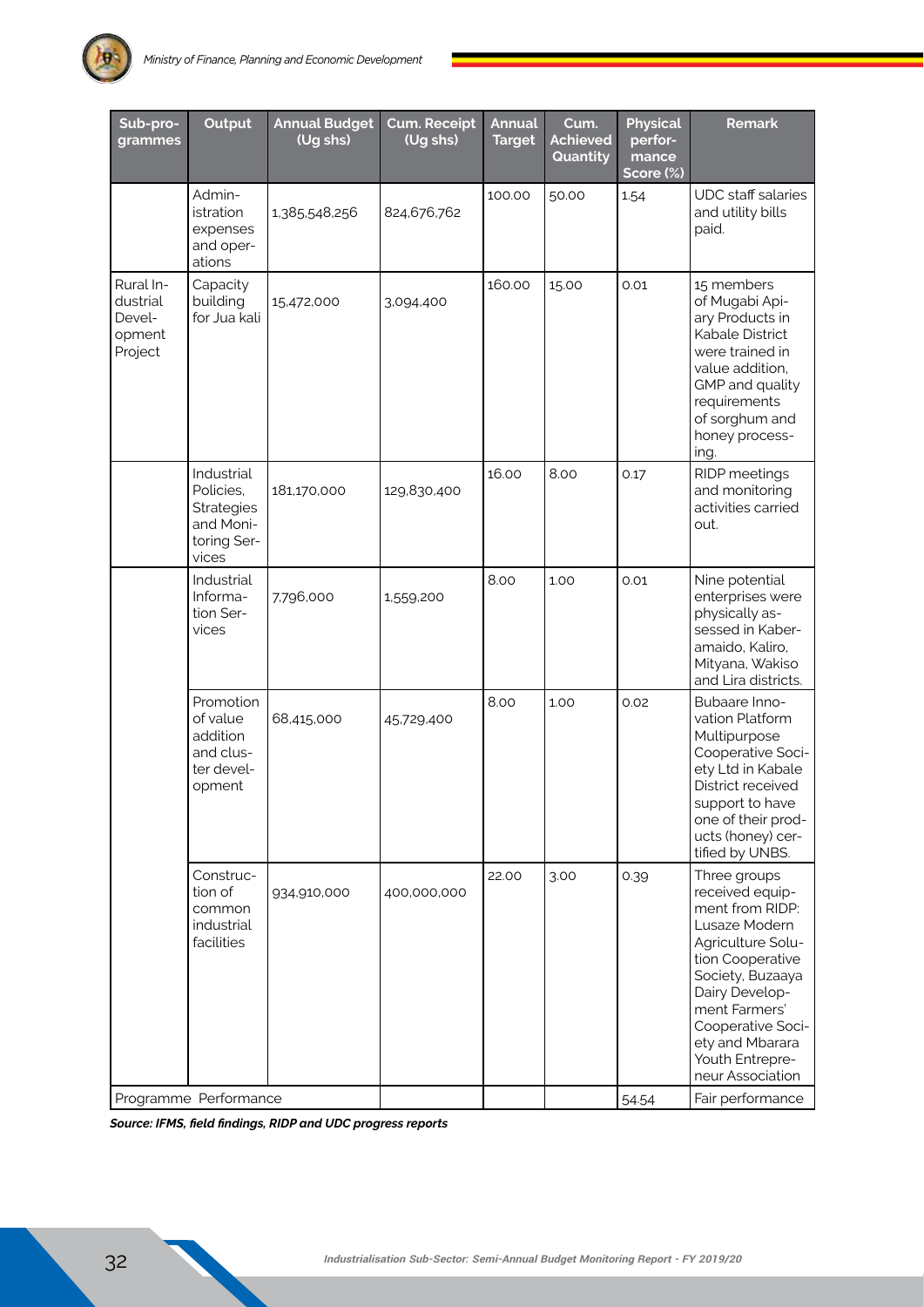

| Output                                                                            | <b>Annual Budget</b><br>(Ug shs) | <b>Cum. Receipt</b><br>(Ug shs) | <b>Annual</b><br><b>Target</b> | Cum.<br><b>Achieved</b><br>Quantity | <b>Physical</b><br>perfor-<br>mance<br>Score (%) | <b>Remark</b>                                                                                                                                                                                                                                                          |
|-----------------------------------------------------------------------------------|----------------------------------|---------------------------------|--------------------------------|-------------------------------------|--------------------------------------------------|------------------------------------------------------------------------------------------------------------------------------------------------------------------------------------------------------------------------------------------------------------------------|
| Admin-<br>istration<br>expenses<br>and oper-<br>ations                            | 1,385,548,256                    | 824,676,762                     | 100.00                         | 50.00                               | 1.54                                             | <b>UDC</b> staff salaries<br>and utility bills<br>paid.                                                                                                                                                                                                                |
| Capacity<br>building<br>for Jua kali                                              | 15,472,000                       | 3,094,400                       | 160.00                         | 15.00                               | 0.01                                             | 15 members<br>of Mugabi Api-<br>ary Products in<br>Kabale District<br>were trained in<br>value addition,<br>GMP and quality<br>requirements<br>of sorghum and<br>honey process-<br>ing.                                                                                |
| Industrial<br>Policies,<br><b>Strategies</b><br>and Moni-<br>toring Ser-<br>vices | 181,170,000                      | 129,830,400                     | 16.00                          | 8.00                                | 0.17                                             | RIDP meetings<br>and monitoring<br>activities carried<br>out.                                                                                                                                                                                                          |
| Industrial<br>Informa-<br>tion Ser-<br>vices                                      | 7,796,000                        | 1,559,200                       | 8.00                           | 1.00                                | 0.01                                             | Nine potential<br>enterprises were<br>physically as-<br>sessed in Kaber-<br>amaido, Kaliro,<br>Mityana, Wakiso<br>and Lira districts.                                                                                                                                  |
| Promotion<br>of value<br>addition<br>and clus-<br>ter devel-<br>opment            | 68,415,000                       | 45,729,400                      | 8.00                           | 1.00                                | 0.02                                             | Bubaare Inno-<br>vation Platform<br>Multipurpose<br>Cooperative Soci-<br>ety Ltd in Kabale<br>District received<br>support to have<br>one of their prod-<br>ucts (honey) cer-<br>tified by UNBS.                                                                       |
| Construc-<br>tion of<br>common<br>industrial<br>facilities                        | 934,910,000                      | 400,000,000                     | 22.00                          | 3.00                                | 0.39                                             | Three groups<br>received equip-<br>ment from RIDP:<br>Lusaze Modern<br>Agriculture Solu-<br>tion Cooperative<br>Society, Buzaaya<br>Dairy Develop-<br>ment Farmers'<br>Cooperative Soci-<br>ety and Mbarara<br>Youth Entrepre-<br>neur Association<br>Fair performance |
|                                                                                   |                                  | Programme Performance           |                                |                                     |                                                  | 54.54                                                                                                                                                                                                                                                                  |

*Source: IFMS, field findings, RIDP and UDC progress reports*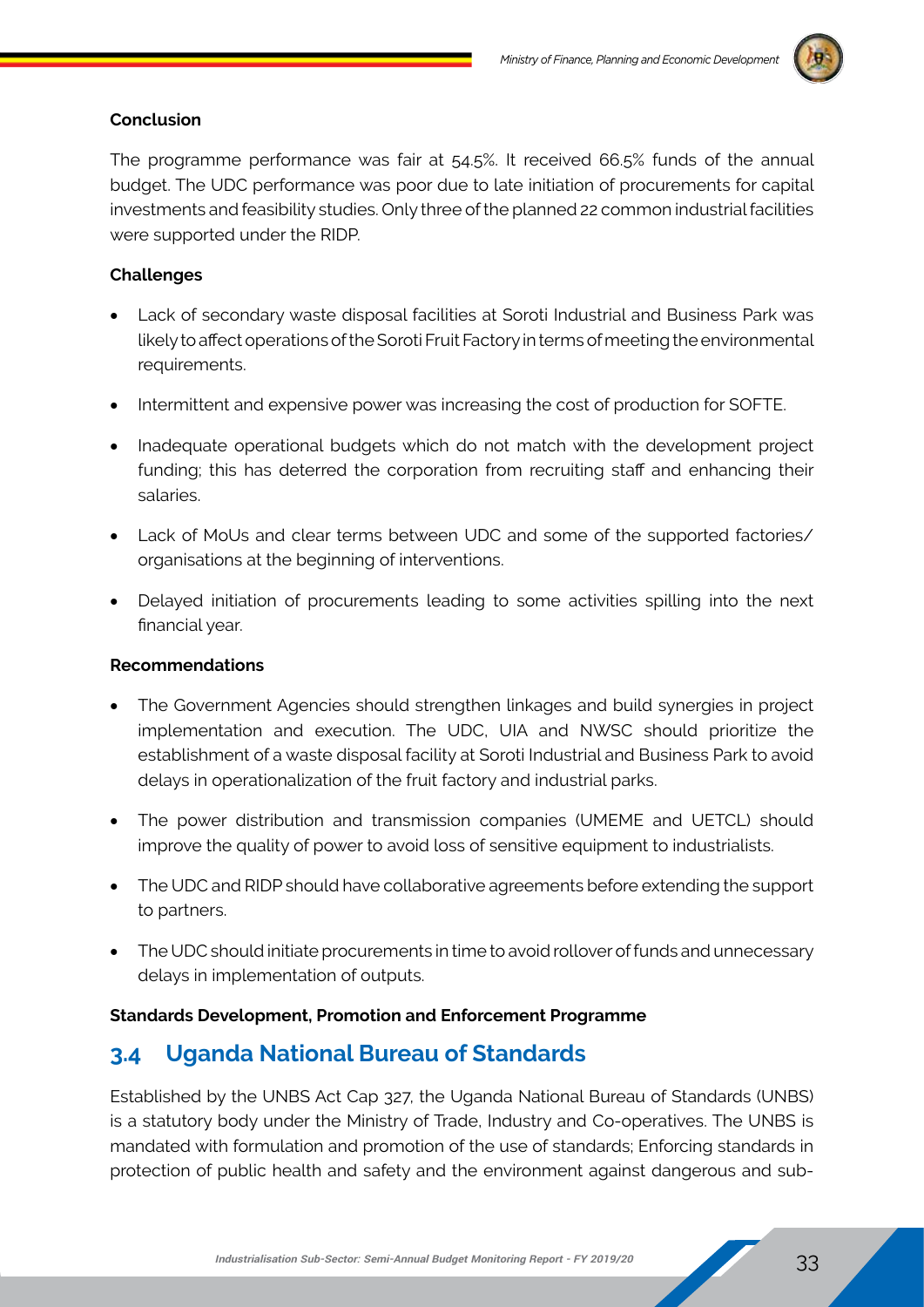

### **Conclusion**

The programme performance was fair at 54.5%. It received 66.5% funds of the annual budget. The UDC performance was poor due to late initiation of procurements for capital investments and feasibility studies. Only three of the planned 22 common industrial facilities were supported under the RIDP.

## **Challenges**

- Lack of secondary waste disposal facilities at Soroti Industrial and Business Park was likely to affect operations of the Soroti Fruit Factory in terms of meeting the environmental requirements.
- Intermittent and expensive power was increasing the cost of production for SOFTE.
- Inadequate operational budgets which do not match with the development project funding; this has deterred the corporation from recruiting staff and enhancing their salaries.
- Lack of MoUs and clear terms between UDC and some of the supported factories/ organisations at the beginning of interventions.
- Delayed initiation of procurements leading to some activities spilling into the next financial year.

### **Recommendations**

- The Government Agencies should strengthen linkages and build synergies in project implementation and execution. The UDC, UIA and NWSC should prioritize the establishment of a waste disposal facility at Soroti Industrial and Business Park to avoid delays in operationalization of the fruit factory and industrial parks.
- The power distribution and transmission companies (UMEME and UETCL) should improve the quality of power to avoid loss of sensitive equipment to industrialists.
- The UDC and RIDP should have collaborative agreements before extending the support to partners.
- The UDC should initiate procurements in time to avoid rollover of funds and unnecessary delays in implementation of outputs.

## **Standards Development, Promotion and Enforcement Programme**

## **3.4 Uganda National Bureau of Standards**

Established by the UNBS Act Cap 327, the Uganda National Bureau of Standards (UNBS) is a statutory body under the Ministry of Trade, Industry and Co-operatives. The UNBS is mandated with formulation and promotion of the use of standards; Enforcing standards in protection of public health and safety and the environment against dangerous and sub-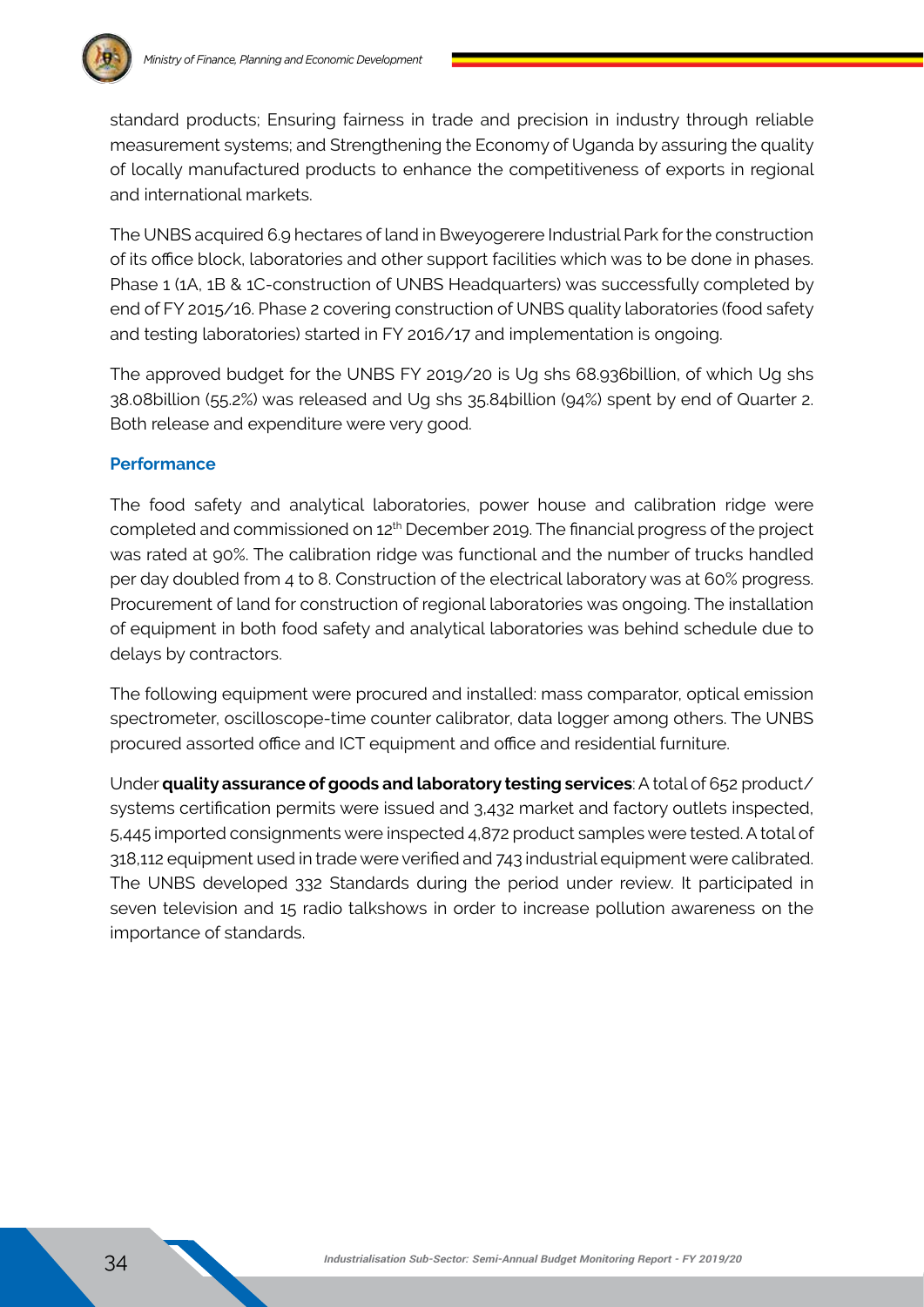

standard products; Ensuring fairness in trade and precision in industry through reliable measurement systems; and Strengthening the Economy of Uganda by assuring the quality of locally manufactured products to enhance the competitiveness of exports in regional and international markets.

The UNBS acquired 6.9 hectares of land in Bweyogerere Industrial Park for the construction of its office block, laboratories and other support facilities which was to be done in phases. Phase 1 (1A, 1B & 1C-construction of UNBS Headquarters) was successfully completed by end of FY 2015/16. Phase 2 covering construction of UNBS quality laboratories (food safety and testing laboratories) started in FY 2016/17 and implementation is ongoing.

The approved budget for the UNBS FY 2019/20 is Ug shs 68.936billion, of which Ug shs 38.08billion (55.2%) was released and Ug shs 35.84billion (94%) spent by end of Quarter 2. Both release and expenditure were very good.

### **Performance**

The food safety and analytical laboratories, power house and calibration ridge were completed and commissioned on 12<sup>th</sup> December 2019. The financial progress of the project was rated at 90%. The calibration ridge was functional and the number of trucks handled per day doubled from 4 to 8. Construction of the electrical laboratory was at 60% progress. Procurement of land for construction of regional laboratories was ongoing. The installation of equipment in both food safety and analytical laboratories was behind schedule due to delays by contractors.

The following equipment were procured and installed: mass comparator, optical emission spectrometer, oscilloscope-time counter calibrator, data logger among others. The UNBS procured assorted office and ICT equipment and office and residential furniture.

Under **quality assurance of goods and laboratory testing services**: A total of 652 product/ systems certification permits were issued and 3,432 market and factory outlets inspected, 5,445 imported consignments were inspected 4,872 product samples were tested. A total of 318,112 equipment used in trade were verified and 743 industrial equipment were calibrated. The UNBS developed 332 Standards during the period under review. It participated in seven television and 15 radio talkshows in order to increase pollution awareness on the importance of standards.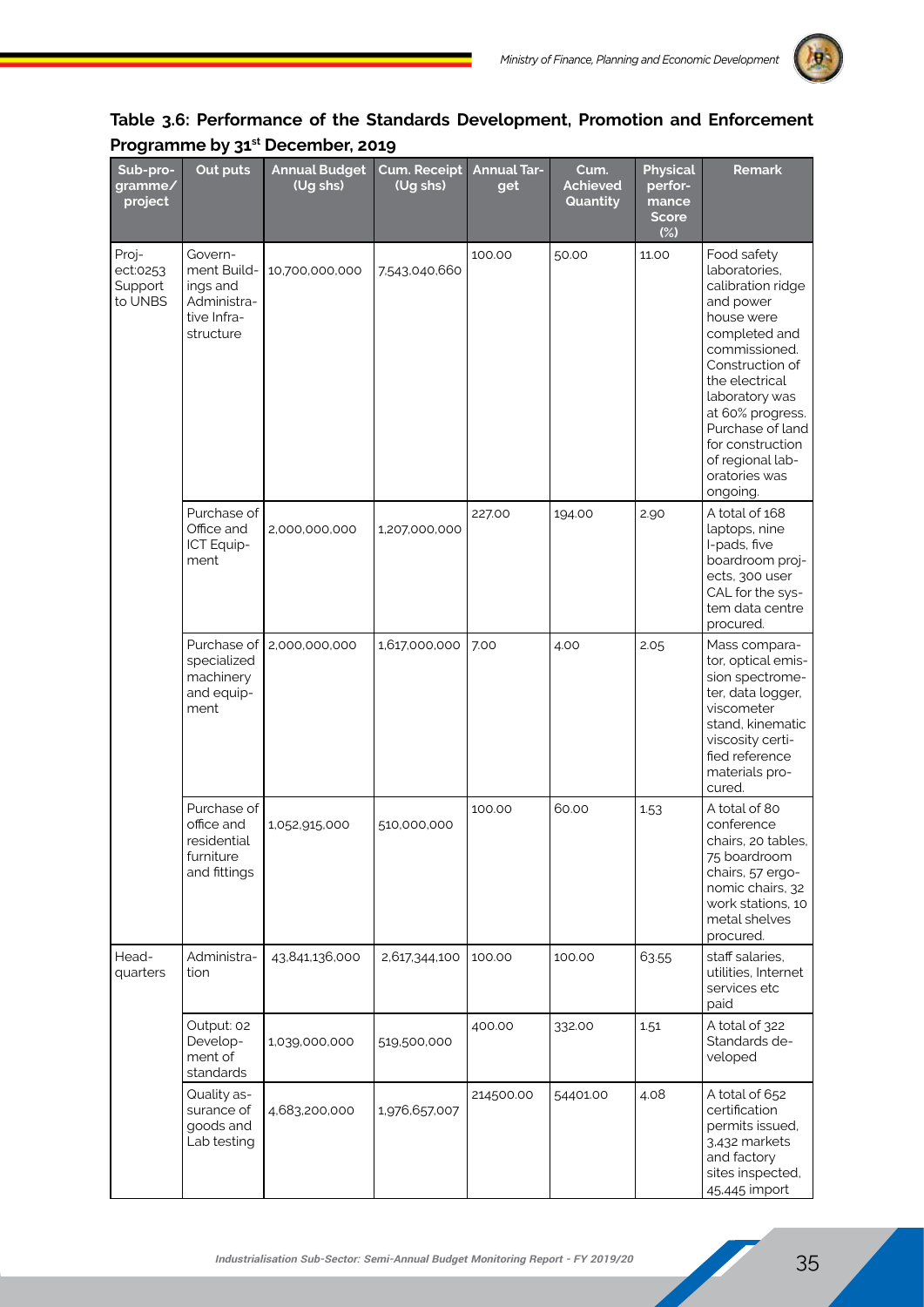

| Sub-pro-<br>gramme/<br>project          | Out puts                                                                      | <b>Annual Budget</b><br>(Ug shs) | Cum. Receipt<br>(Ug shs) | <b>Annual Tar-</b><br>get | Cum.<br><b>Achieved</b><br>Quantity | <b>Physical</b><br>perfor-<br>mance<br><b>Score</b><br>$(\%)$ | Remark                                                                                                                                                                                                                                                                             |
|-----------------------------------------|-------------------------------------------------------------------------------|----------------------------------|--------------------------|---------------------------|-------------------------------------|---------------------------------------------------------------|------------------------------------------------------------------------------------------------------------------------------------------------------------------------------------------------------------------------------------------------------------------------------------|
| Proj-<br>ect:0253<br>Support<br>to UNBS | Govern-<br>ment Build-<br>ings and<br>Administra-<br>tive Infra-<br>structure | 10,700,000,000                   | 7,543,040,660            | 100.00                    | 50.00                               | 11.00                                                         | Food safety<br>laboratories,<br>calibration ridge<br>and power<br>house were<br>completed and<br>commissioned.<br>Construction of<br>the electrical<br>laboratory was<br>at 60% progress.<br>Purchase of land<br>for construction<br>of regional lab-<br>oratories was<br>ongoing. |
|                                         | Purchase of<br>Office and<br>ICT Equip-<br>ment                               | 2,000,000,000                    | 1,207,000,000            | 227.00                    | 194.00                              | 2.90                                                          | A total of 168<br>laptops, nine<br>I-pads, five<br>boardroom proj-<br>ects, 300 user<br>CAL for the sys-<br>tem data centre<br>procured.                                                                                                                                           |
|                                         | Purchase of<br>specialized<br>machinery<br>and equip-<br>ment                 | 2,000,000,000                    | 1,617,000,000            | 7.00                      | 4.00                                | 2.05                                                          | Mass compara-<br>tor, optical emis-<br>sion spectrome-<br>ter, data logger,<br>viscometer<br>stand, kinematic<br>viscosity certi-<br>fied reference<br>materials pro-<br>cured.                                                                                                    |
|                                         | Purchase of<br>office and<br>residential<br>furniture<br>and fittings         | 1,052,915,000                    | 510,000,000              | 100.00                    | 60.00                               | 1.53                                                          | A total of 80<br>conference<br>chairs, 20 tables,<br>75 boardroom<br>chairs, 57 ergo-<br>nomic chairs, 32<br>work stations, 10<br>metal shelves<br>procured.                                                                                                                       |
| Head-<br>quarters                       | Administra-<br>tion                                                           | 43,841,136,000                   | 2,617,344,100            | 100.00                    | 100.00                              | 63.55                                                         | staff salaries,<br>utilities, Internet<br>services etc<br>paid                                                                                                                                                                                                                     |
|                                         | Output: 02<br>Develop-<br>ment of<br>standards                                | 1,039,000,000                    | 519,500,000              | 400.00                    | 332.00                              | 1.51                                                          | A total of 322<br>Standards de-<br>veloped                                                                                                                                                                                                                                         |
|                                         | Quality as-<br>surance of<br>goods and<br>Lab testing                         | 4,683,200,000                    | 1,976,657,007            | 214500.00                 | 54401.00                            | 4.08                                                          | A total of 652<br>certification<br>permits issued,<br>3,432 markets<br>and factory<br>sites inspected,<br>45.445 import                                                                                                                                                            |

## **Table 3.6: Performance of the Standards Development, Promotion and Enforcement Programme by 31st December, 2019**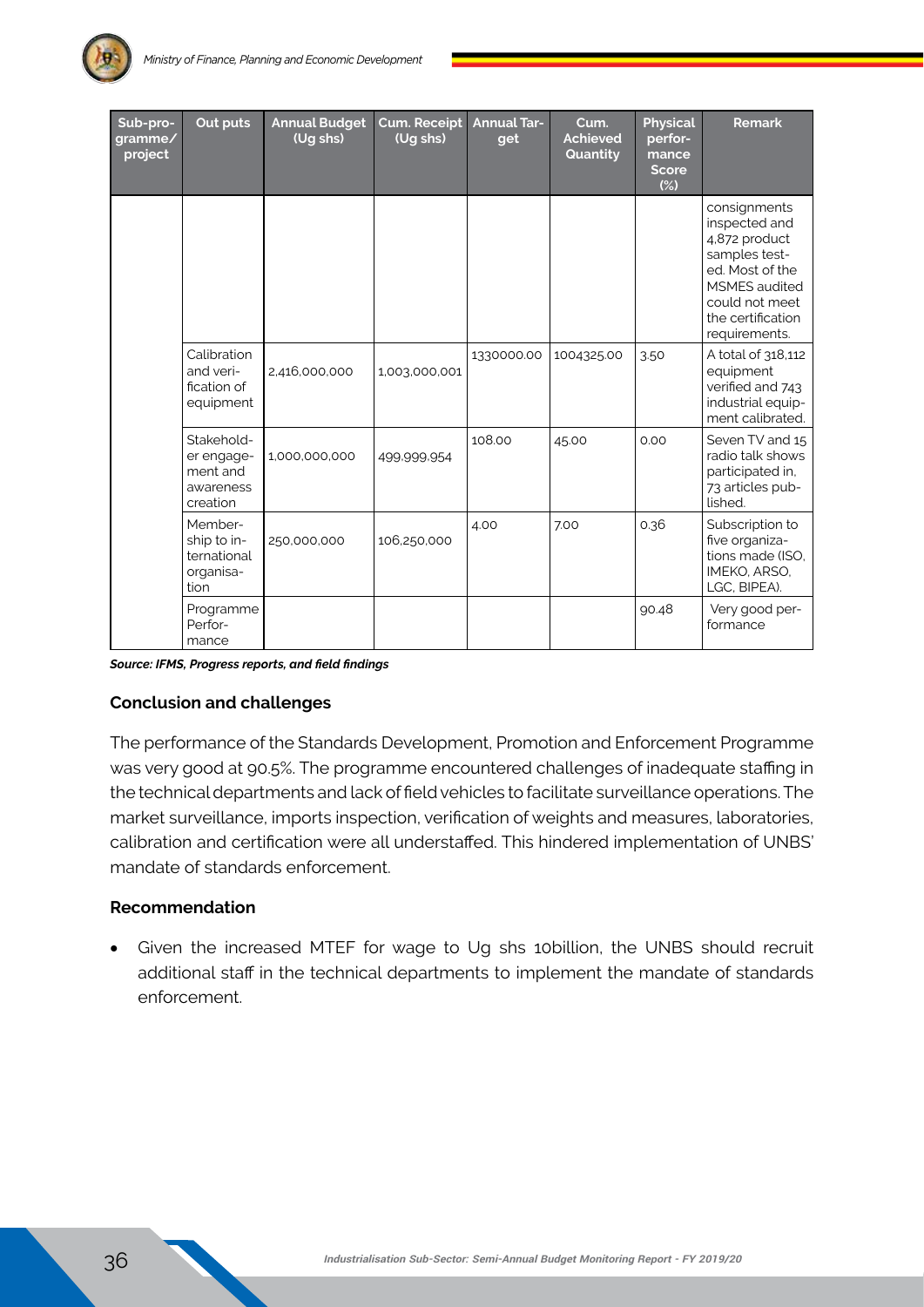

| Sub-pro-<br>gramme/<br>project | Out puts                                                      | <b>Annual Budget</b><br>(Ug shs) | Cum. Receipt<br>(Ug shs) | <b>Annual Tar-</b><br>get | Cum.<br><b>Achieved</b><br>Quantity | <b>Physical</b><br>perfor-<br>mance<br><b>Score</b><br>$(\%)$ | <b>Remark</b>                                                                                                                                                      |
|--------------------------------|---------------------------------------------------------------|----------------------------------|--------------------------|---------------------------|-------------------------------------|---------------------------------------------------------------|--------------------------------------------------------------------------------------------------------------------------------------------------------------------|
|                                |                                                               |                                  |                          |                           |                                     |                                                               | consignments<br>inspected and<br>4,872 product<br>samples test-<br>ed. Most of the<br><b>MSMES</b> audited<br>could not meet<br>the certification<br>requirements. |
|                                | Calibration<br>and veri-<br>fication of<br>equipment          | 2.416.000.000                    | 1,003,000,001            | 1330000.00                | 1004325.00                          | 3.50                                                          | A total of 318,112<br>equipment<br>verified and 743<br>industrial equip-<br>ment calibrated.                                                                       |
|                                | Stakehold-<br>er engage-<br>ment and<br>awareness<br>creation | 1,000,000,000                    | 499,999,954              | 108.00                    | 45.00                               | 0.00                                                          | Seven TV and 15<br>radio talk shows<br>participated in,<br>73 articles pub-<br>lished.                                                                             |
|                                | Member-<br>ship to in-<br>ternational<br>organisa-<br>tion    | 250,000,000                      | 106,250,000              | 4.00                      | 7.00                                | 0.36                                                          | Subscription to<br>five organiza-<br>tions made (ISO.<br>IMEKO, ARSO,<br>LGC, BIPEA).                                                                              |
|                                | Programme<br>Perfor-<br>mance                                 |                                  |                          |                           |                                     | 90.48                                                         | Very good per-<br>formance                                                                                                                                         |

*Source: IFMS, Progress reports, and field findings*

### **Conclusion and challenges**

The performance of the Standards Development, Promotion and Enforcement Programme was very good at 90.5%. The programme encountered challenges of inadequate staffing in the technical departments and lack of field vehicles to facilitate surveillance operations. The market surveillance, imports inspection, verification of weights and measures, laboratories, calibration and certification were all understaffed. This hindered implementation of UNBS' mandate of standards enforcement.

### **Recommendation**

• Given the increased MTEF for wage to Ug shs 10billion, the UNBS should recruit additional staff in the technical departments to implement the mandate of standards enforcement.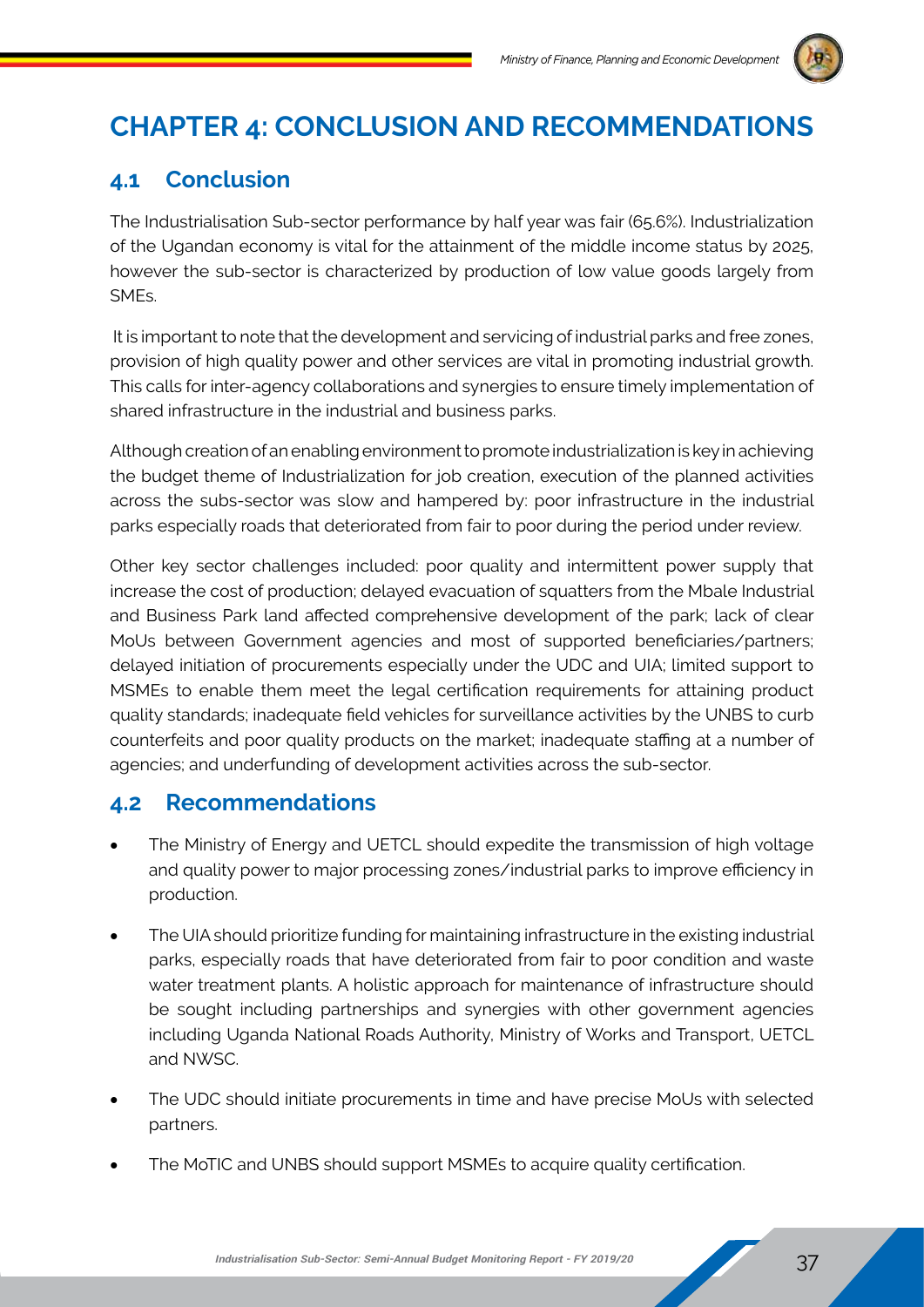

## **Chapter 4: Conclusion and Recommendations**

## **4.1 Conclusion**

The Industrialisation Sub-sector performance by half year was fair (65.6%). Industrialization of the Ugandan economy is vital for the attainment of the middle income status by 2025, however the sub-sector is characterized by production of low value goods largely from SMEs.

 It is important to note that the development and servicing of industrial parks and free zones, provision of high quality power and other services are vital in promoting industrial growth. This calls for inter-agency collaborations and synergies to ensure timely implementation of shared infrastructure in the industrial and business parks.

Although creation of an enabling environment to promote industrialization is key in achieving the budget theme of Industrialization for job creation, execution of the planned activities across the subs-sector was slow and hampered by: poor infrastructure in the industrial parks especially roads that deteriorated from fair to poor during the period under review.

Other key sector challenges included: poor quality and intermittent power supply that increase the cost of production; delayed evacuation of squatters from the Mbale Industrial and Business Park land affected comprehensive development of the park; lack of clear MoUs between Government agencies and most of supported beneficiaries/partners; delayed initiation of procurements especially under the UDC and UIA; limited support to MSMEs to enable them meet the legal certification requirements for attaining product quality standards; inadequate field vehicles for surveillance activities by the UNBS to curb counterfeits and poor quality products on the market; inadequate staffing at a number of agencies; and underfunding of development activities across the sub-sector.

## **4.2 Recommendations**

- The Ministry of Energy and UETCL should expedite the transmission of high voltage and quality power to major processing zones/industrial parks to improve efficiency in production.
- The UIA should prioritize funding for maintaining infrastructure in the existing industrial parks, especially roads that have deteriorated from fair to poor condition and waste water treatment plants. A holistic approach for maintenance of infrastructure should be sought including partnerships and synergies with other government agencies including Uganda National Roads Authority, Ministry of Works and Transport, UETCL and NWSC.
- The UDC should initiate procurements in time and have precise MoUs with selected partners.
- The MoTIC and UNBS should support MSMEs to acquire quality certification.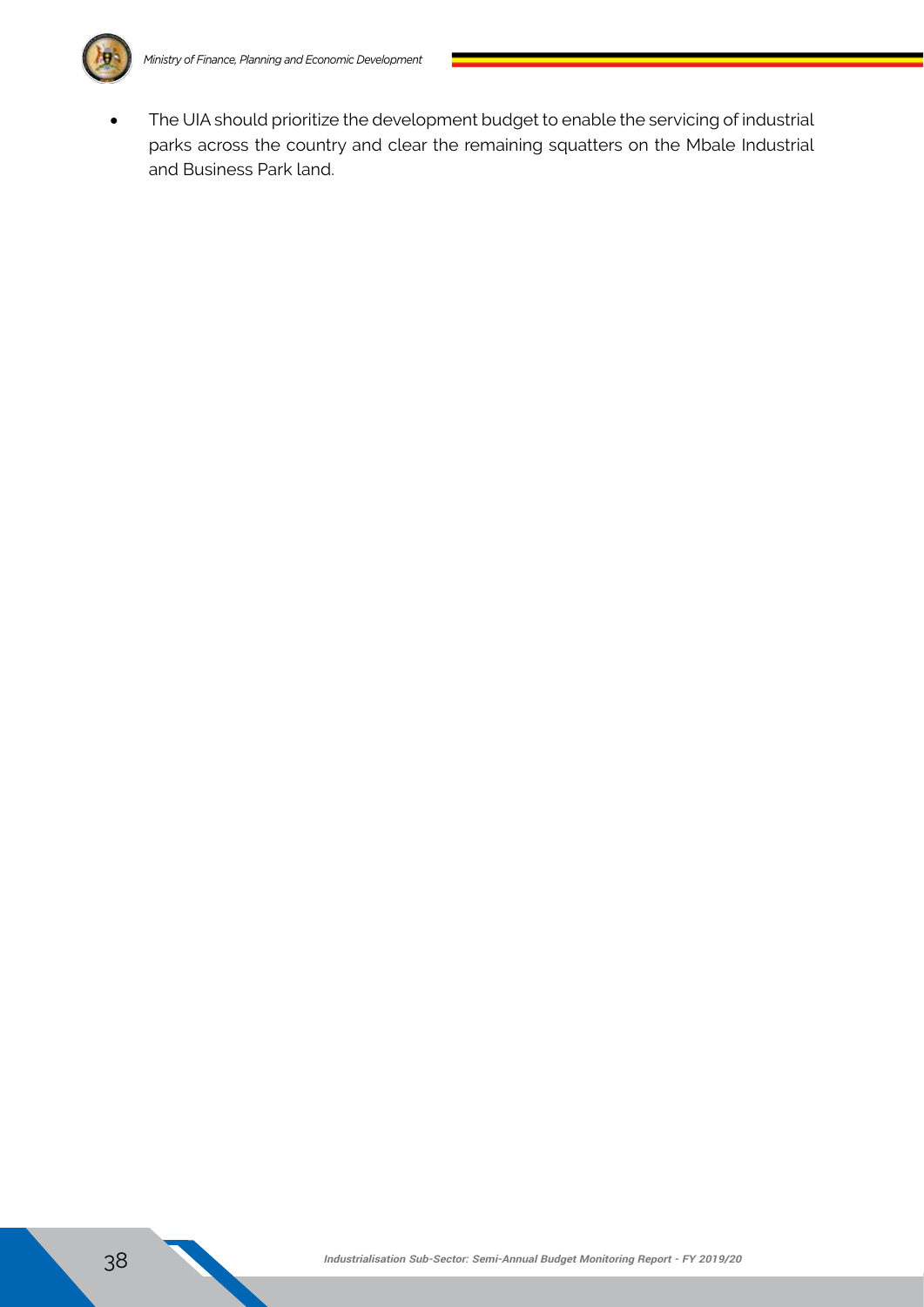

The UIA should prioritize the development budget to enable the servicing of industrial parks across the country and clear the remaining squatters on the Mbale Industrial and Business Park land.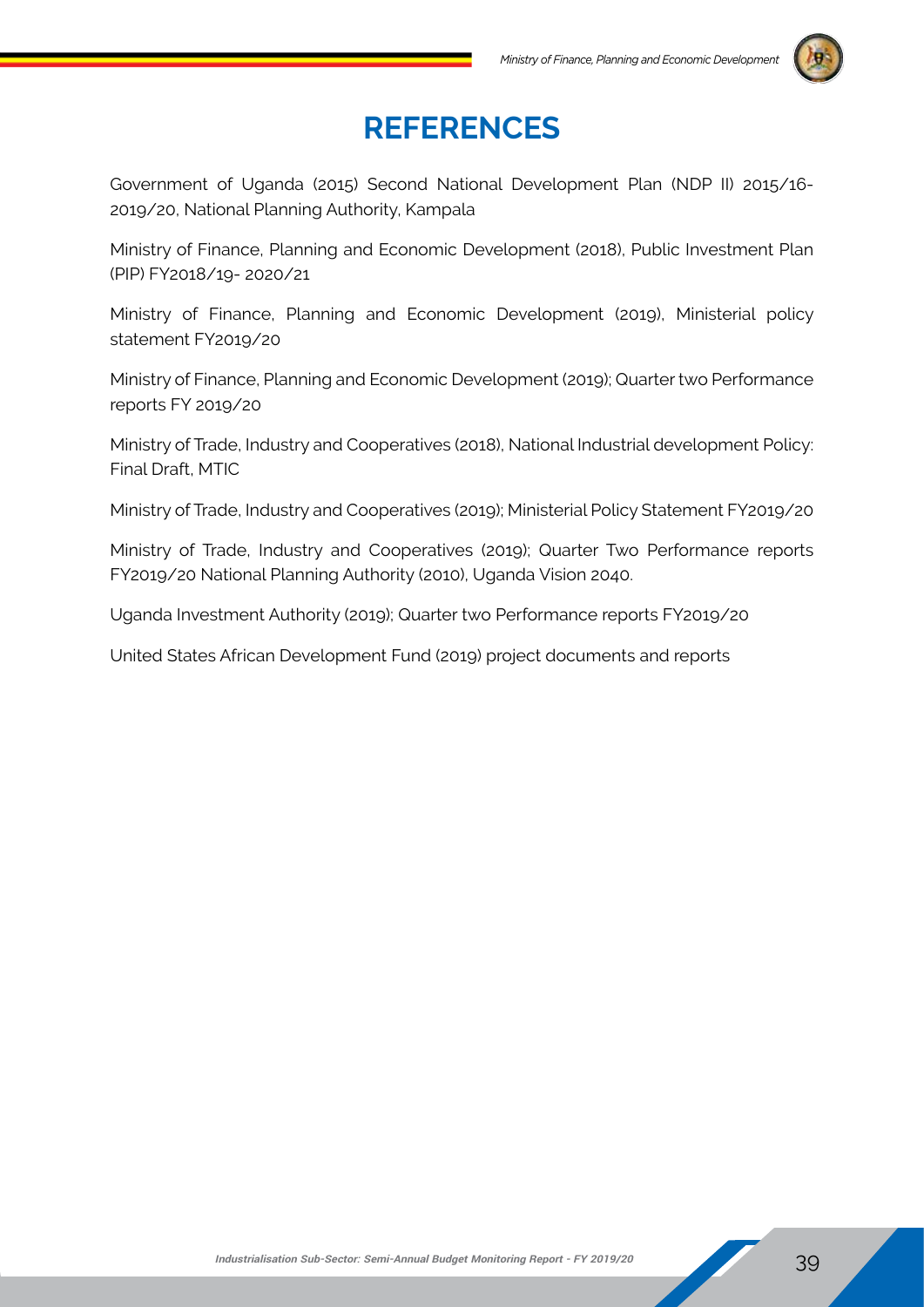

## **References**

Government of Uganda (2015) Second National Development Plan (NDP II) 2015/16- 2019/20, National Planning Authority, Kampala

Ministry of Finance, Planning and Economic Development (2018), Public Investment Plan (PIP) FY2018/19- 2020/21

Ministry of Finance, Planning and Economic Development (2019), Ministerial policy statement FY2019/20

Ministry of Finance, Planning and Economic Development (2019); Quarter two Performance reports FY 2019/20

Ministry of Trade, Industry and Cooperatives (2018), National Industrial development Policy: Final Draft, MTIC

Ministry of Trade, Industry and Cooperatives (2019); Ministerial Policy Statement FY2019/20

Ministry of Trade, Industry and Cooperatives (2019); Quarter Two Performance reports FY2019/20 National Planning Authority (2010), Uganda Vision 2040.

Uganda Investment Authority (2019); Quarter two Performance reports FY2019/20

United States African Development Fund (2019) project documents and reports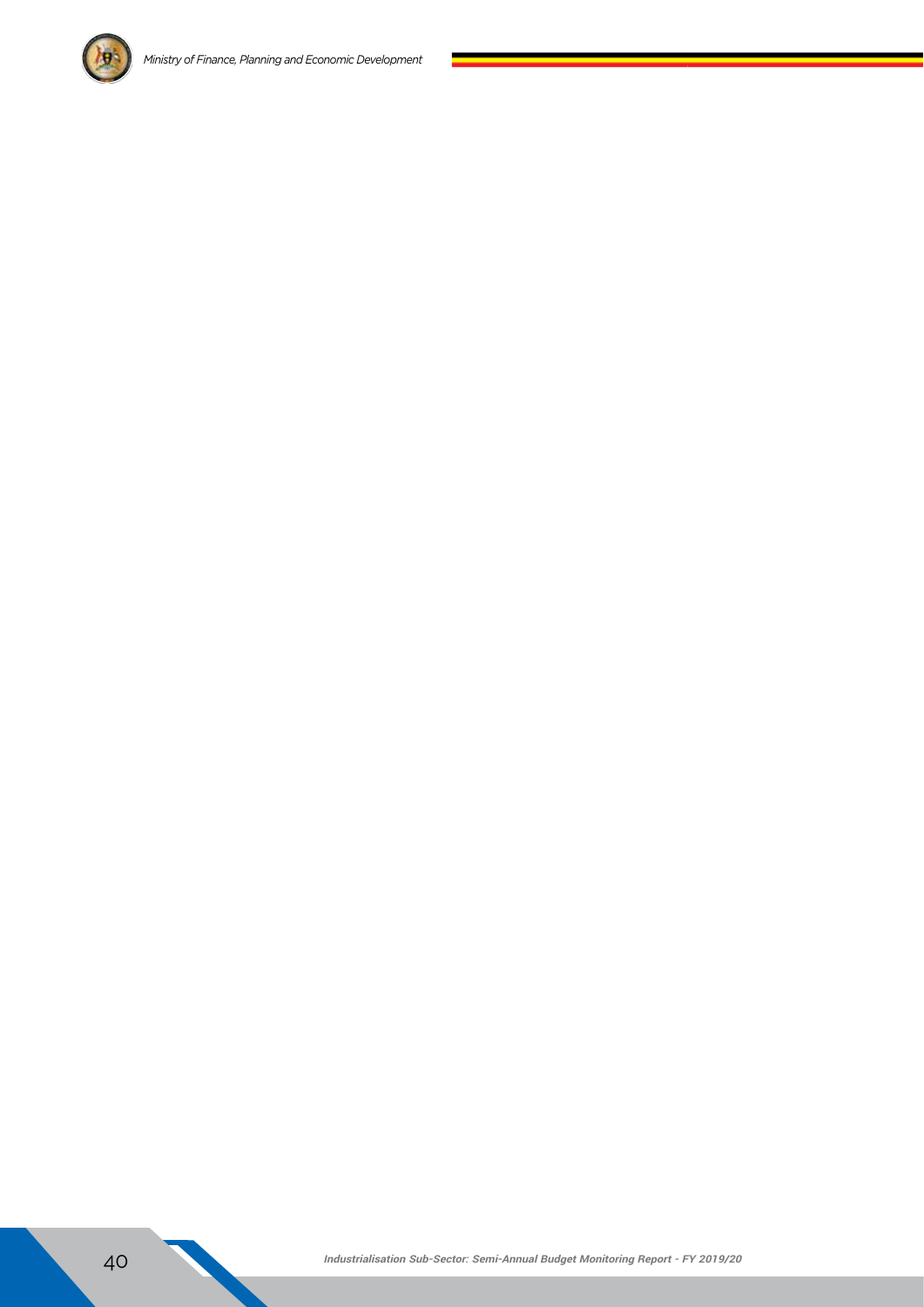